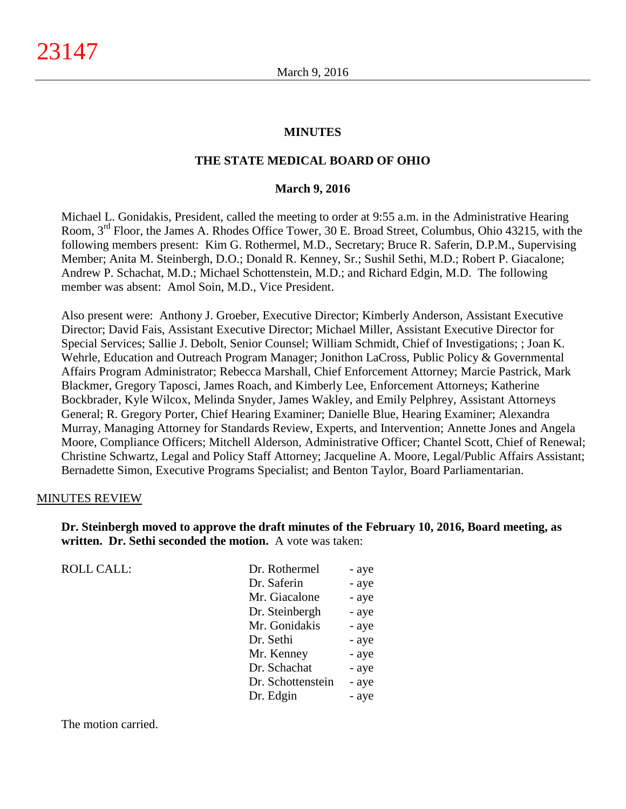### **MINUTES**

#### **THE STATE MEDICAL BOARD OF OHIO**

#### **March 9, 2016**

Michael L. Gonidakis, President, called the meeting to order at 9:55 a.m. in the Administrative Hearing Room, 3rd Floor, the James A. Rhodes Office Tower, 30 E. Broad Street, Columbus, Ohio 43215, with the following members present: Kim G. Rothermel, M.D., Secretary; Bruce R. Saferin, D.P.M., Supervising Member; Anita M. Steinbergh, D.O.; Donald R. Kenney, Sr.; Sushil Sethi, M.D.; Robert P. Giacalone; Andrew P. Schachat, M.D.; Michael Schottenstein, M.D.; and Richard Edgin, M.D. The following member was absent: Amol Soin, M.D., Vice President.

Also present were: Anthony J. Groeber, Executive Director; Kimberly Anderson, Assistant Executive Director; David Fais, Assistant Executive Director; Michael Miller, Assistant Executive Director for Special Services; Sallie J. Debolt, Senior Counsel; William Schmidt, Chief of Investigations; ; Joan K. Wehrle, Education and Outreach Program Manager; Jonithon LaCross, Public Policy & Governmental Affairs Program Administrator; Rebecca Marshall, Chief Enforcement Attorney; Marcie Pastrick, Mark Blackmer, Gregory Taposci, James Roach, and Kimberly Lee, Enforcement Attorneys; Katherine Bockbrader, Kyle Wilcox, Melinda Snyder, James Wakley, and Emily Pelphrey, Assistant Attorneys General; R. Gregory Porter, Chief Hearing Examiner; Danielle Blue, Hearing Examiner; Alexandra Murray, Managing Attorney for Standards Review, Experts, and Intervention; Annette Jones and Angela Moore, Compliance Officers; Mitchell Alderson, Administrative Officer; Chantel Scott, Chief of Renewal; Christine Schwartz, Legal and Policy Staff Attorney; Jacqueline A. Moore, Legal/Public Affairs Assistant; Bernadette Simon, Executive Programs Specialist; and Benton Taylor, Board Parliamentarian.

#### MINUTES REVIEW

**Dr. Steinbergh moved to approve the draft minutes of the February 10, 2016, Board meeting, as written. Dr. Sethi seconded the motion.** A vote was taken:

| <b>ROLL CALL:</b> | Dr. Rothermel     | - aye |
|-------------------|-------------------|-------|
|                   |                   |       |
|                   | Dr. Saferin       | - aye |
|                   | Mr. Giacalone     | - aye |
|                   | Dr. Steinbergh    | - aye |
|                   | Mr. Gonidakis     | - aye |
|                   | Dr. Sethi         | - aye |
|                   | Mr. Kenney        | - aye |
|                   | Dr. Schachat      | - aye |
|                   | Dr. Schottenstein | - aye |
|                   | Dr. Edgin         | - aye |
|                   |                   |       |

The motion carried.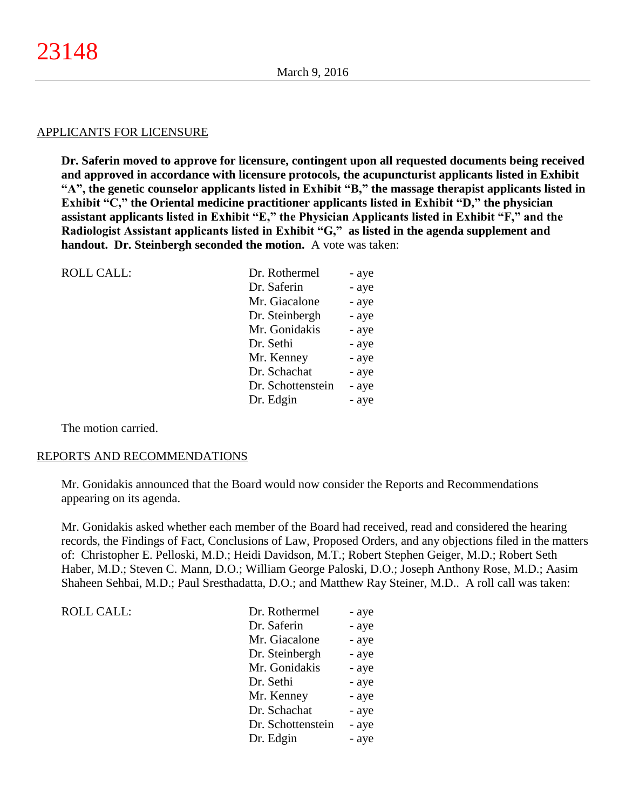#### APPLICANTS FOR LICENSURE

**Dr. Saferin moved to approve for licensure, contingent upon all requested documents being received and approved in accordance with licensure protocols, the acupuncturist applicants listed in Exhibit "A", the genetic counselor applicants listed in Exhibit "B," the massage therapist applicants listed in Exhibit "C," the Oriental medicine practitioner applicants listed in Exhibit "D," the physician assistant applicants listed in Exhibit "E," the Physician Applicants listed in Exhibit "F," and the Radiologist Assistant applicants listed in Exhibit "G," as listed in the agenda supplement and handout. Dr. Steinbergh seconded the motion.** A vote was taken:

| <b>ROLL CALL:</b> | Dr. Rothermel     | - aye |
|-------------------|-------------------|-------|
|                   | Dr. Saferin       | - aye |
|                   | Mr. Giacalone     | - aye |
|                   | Dr. Steinbergh    | - aye |
|                   | Mr. Gonidakis     | - aye |
|                   | Dr. Sethi         | - aye |
|                   | Mr. Kenney        | - aye |
|                   | Dr. Schachat      | - aye |
|                   | Dr. Schottenstein | - aye |
|                   | Dr. Edgin         | - aye |
|                   |                   |       |

The motion carried.

#### REPORTS AND RECOMMENDATIONS

Mr. Gonidakis announced that the Board would now consider the Reports and Recommendations appearing on its agenda.

Mr. Gonidakis asked whether each member of the Board had received, read and considered the hearing records, the Findings of Fact, Conclusions of Law, Proposed Orders, and any objections filed in the matters of: Christopher E. Pelloski, M.D.; Heidi Davidson, M.T.; Robert Stephen Geiger, M.D.; Robert Seth Haber, M.D.; Steven C. Mann, D.O.; William George Paloski, D.O.; Joseph Anthony Rose, M.D.; Aasim Shaheen Sehbai, M.D.; Paul Sresthadatta, D.O.; and Matthew Ray Steiner, M.D.. A roll call was taken:

| <b>ROLL CALL:</b> | Dr. Rothermel     | - aye |
|-------------------|-------------------|-------|
|                   | Dr. Saferin       | - aye |
|                   | Mr. Giacalone     | - aye |
|                   | Dr. Steinbergh    | - aye |
|                   | Mr. Gonidakis     | - aye |
|                   | Dr. Sethi         | - aye |
|                   | Mr. Kenney        | - aye |
|                   | Dr. Schachat      | - aye |
|                   | Dr. Schottenstein | - aye |
|                   | Dr. Edgin         | - aye |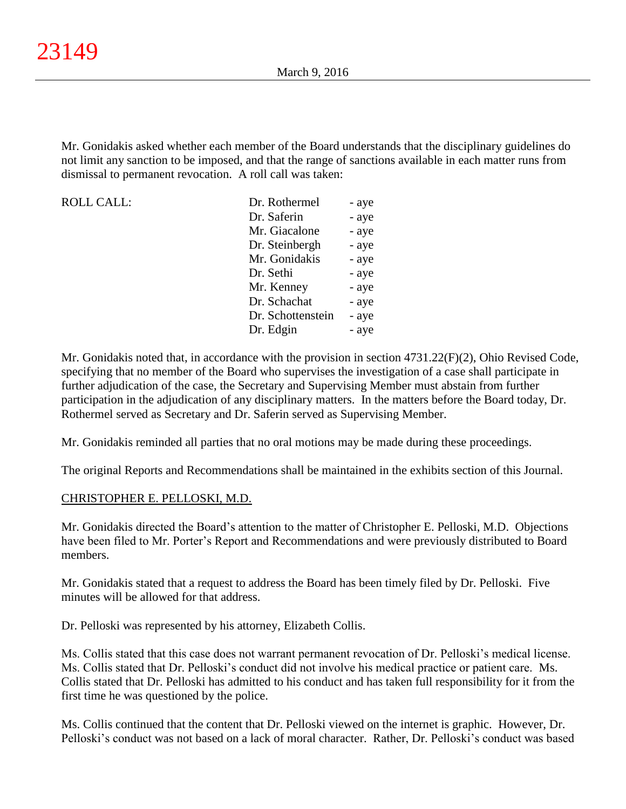Mr. Gonidakis asked whether each member of the Board understands that the disciplinary guidelines do not limit any sanction to be imposed, and that the range of sanctions available in each matter runs from dismissal to permanent revocation. A roll call was taken:

| ROLL CALL: | Dr. Rothermel     |       |
|------------|-------------------|-------|
|            |                   | - aye |
|            | Dr. Saferin       | - aye |
|            | Mr. Giacalone     | - aye |
|            | Dr. Steinbergh    | - aye |
|            | Mr. Gonidakis     | - aye |
|            | Dr. Sethi         | - aye |
|            | Mr. Kenney        | - aye |
|            | Dr. Schachat      | - aye |
|            | Dr. Schottenstein | - aye |
|            | Dr. Edgin         | - aye |

Mr. Gonidakis noted that, in accordance with the provision in section 4731.22(F)(2), Ohio Revised Code, specifying that no member of the Board who supervises the investigation of a case shall participate in further adjudication of the case, the Secretary and Supervising Member must abstain from further participation in the adjudication of any disciplinary matters. In the matters before the Board today, Dr. Rothermel served as Secretary and Dr. Saferin served as Supervising Member.

Mr. Gonidakis reminded all parties that no oral motions may be made during these proceedings.

The original Reports and Recommendations shall be maintained in the exhibits section of this Journal.

## CHRISTOPHER E. PELLOSKI, M.D.

Mr. Gonidakis directed the Board's attention to the matter of Christopher E. Pelloski, M.D. Objections have been filed to Mr. Porter's Report and Recommendations and were previously distributed to Board members.

Mr. Gonidakis stated that a request to address the Board has been timely filed by Dr. Pelloski. Five minutes will be allowed for that address.

Dr. Pelloski was represented by his attorney, Elizabeth Collis.

Ms. Collis stated that this case does not warrant permanent revocation of Dr. Pelloski's medical license. Ms. Collis stated that Dr. Pelloski's conduct did not involve his medical practice or patient care. Ms. Collis stated that Dr. Pelloski has admitted to his conduct and has taken full responsibility for it from the first time he was questioned by the police.

Ms. Collis continued that the content that Dr. Pelloski viewed on the internet is graphic. However, Dr. Pelloski's conduct was not based on a lack of moral character. Rather, Dr. Pelloski's conduct was based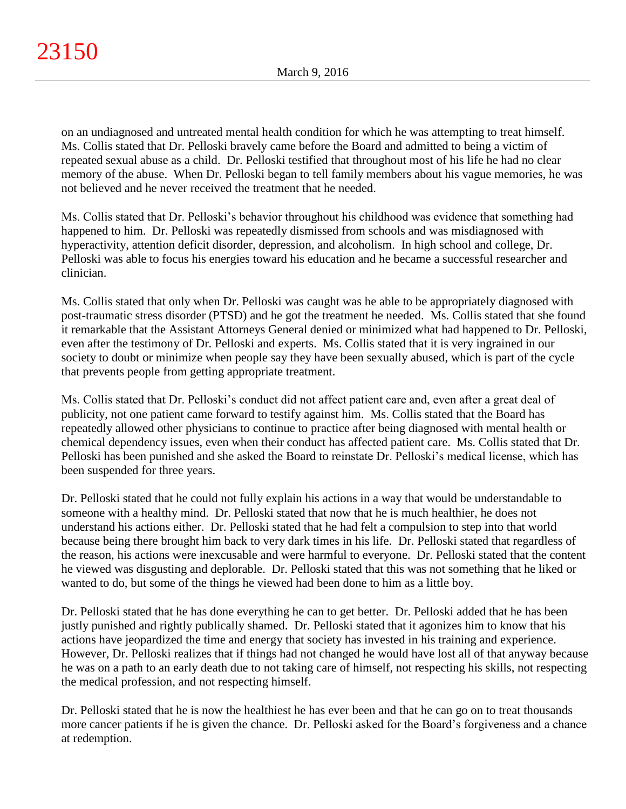on an undiagnosed and untreated mental health condition for which he was attempting to treat himself. Ms. Collis stated that Dr. Pelloski bravely came before the Board and admitted to being a victim of repeated sexual abuse as a child. Dr. Pelloski testified that throughout most of his life he had no clear memory of the abuse. When Dr. Pelloski began to tell family members about his vague memories, he was not believed and he never received the treatment that he needed.

Ms. Collis stated that Dr. Pelloski's behavior throughout his childhood was evidence that something had happened to him. Dr. Pelloski was repeatedly dismissed from schools and was misdiagnosed with hyperactivity, attention deficit disorder, depression, and alcoholism. In high school and college, Dr. Pelloski was able to focus his energies toward his education and he became a successful researcher and clinician.

Ms. Collis stated that only when Dr. Pelloski was caught was he able to be appropriately diagnosed with post-traumatic stress disorder (PTSD) and he got the treatment he needed. Ms. Collis stated that she found it remarkable that the Assistant Attorneys General denied or minimized what had happened to Dr. Pelloski, even after the testimony of Dr. Pelloski and experts. Ms. Collis stated that it is very ingrained in our society to doubt or minimize when people say they have been sexually abused, which is part of the cycle that prevents people from getting appropriate treatment.

Ms. Collis stated that Dr. Pelloski's conduct did not affect patient care and, even after a great deal of publicity, not one patient came forward to testify against him. Ms. Collis stated that the Board has repeatedly allowed other physicians to continue to practice after being diagnosed with mental health or chemical dependency issues, even when their conduct has affected patient care. Ms. Collis stated that Dr. Pelloski has been punished and she asked the Board to reinstate Dr. Pelloski's medical license, which has been suspended for three years.

Dr. Pelloski stated that he could not fully explain his actions in a way that would be understandable to someone with a healthy mind. Dr. Pelloski stated that now that he is much healthier, he does not understand his actions either. Dr. Pelloski stated that he had felt a compulsion to step into that world because being there brought him back to very dark times in his life. Dr. Pelloski stated that regardless of the reason, his actions were inexcusable and were harmful to everyone. Dr. Pelloski stated that the content he viewed was disgusting and deplorable. Dr. Pelloski stated that this was not something that he liked or wanted to do, but some of the things he viewed had been done to him as a little boy.

Dr. Pelloski stated that he has done everything he can to get better. Dr. Pelloski added that he has been justly punished and rightly publically shamed. Dr. Pelloski stated that it agonizes him to know that his actions have jeopardized the time and energy that society has invested in his training and experience. However, Dr. Pelloski realizes that if things had not changed he would have lost all of that anyway because he was on a path to an early death due to not taking care of himself, not respecting his skills, not respecting the medical profession, and not respecting himself.

Dr. Pelloski stated that he is now the healthiest he has ever been and that he can go on to treat thousands more cancer patients if he is given the chance. Dr. Pelloski asked for the Board's forgiveness and a chance at redemption.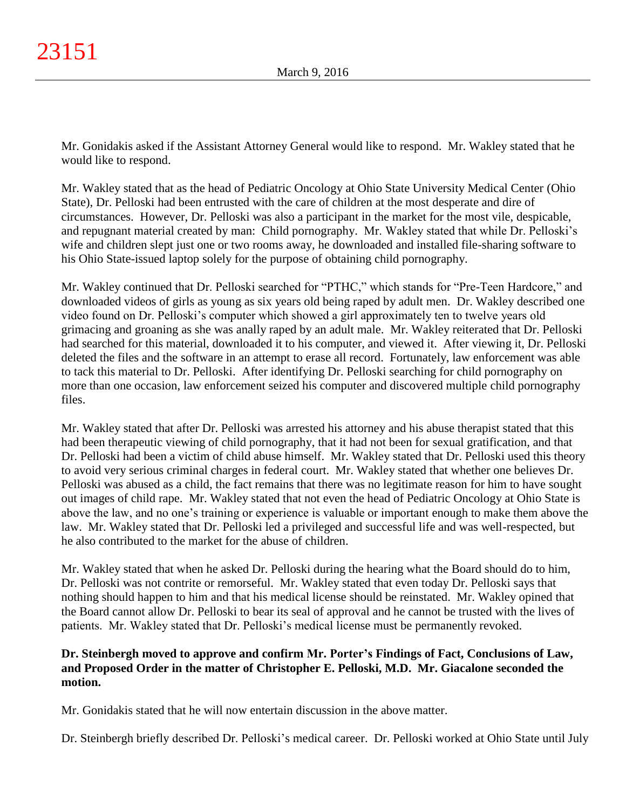Mr. Gonidakis asked if the Assistant Attorney General would like to respond. Mr. Wakley stated that he would like to respond.

Mr. Wakley stated that as the head of Pediatric Oncology at Ohio State University Medical Center (Ohio State), Dr. Pelloski had been entrusted with the care of children at the most desperate and dire of circumstances. However, Dr. Pelloski was also a participant in the market for the most vile, despicable, and repugnant material created by man: Child pornography. Mr. Wakley stated that while Dr. Pelloski's wife and children slept just one or two rooms away, he downloaded and installed file-sharing software to his Ohio State-issued laptop solely for the purpose of obtaining child pornography.

Mr. Wakley continued that Dr. Pelloski searched for "PTHC," which stands for "Pre-Teen Hardcore," and downloaded videos of girls as young as six years old being raped by adult men. Dr. Wakley described one video found on Dr. Pelloski's computer which showed a girl approximately ten to twelve years old grimacing and groaning as she was anally raped by an adult male. Mr. Wakley reiterated that Dr. Pelloski had searched for this material, downloaded it to his computer, and viewed it. After viewing it, Dr. Pelloski deleted the files and the software in an attempt to erase all record. Fortunately, law enforcement was able to tack this material to Dr. Pelloski. After identifying Dr. Pelloski searching for child pornography on more than one occasion, law enforcement seized his computer and discovered multiple child pornography files.

Mr. Wakley stated that after Dr. Pelloski was arrested his attorney and his abuse therapist stated that this had been therapeutic viewing of child pornography, that it had not been for sexual gratification, and that Dr. Pelloski had been a victim of child abuse himself. Mr. Wakley stated that Dr. Pelloski used this theory to avoid very serious criminal charges in federal court. Mr. Wakley stated that whether one believes Dr. Pelloski was abused as a child, the fact remains that there was no legitimate reason for him to have sought out images of child rape. Mr. Wakley stated that not even the head of Pediatric Oncology at Ohio State is above the law, and no one's training or experience is valuable or important enough to make them above the law. Mr. Wakley stated that Dr. Pelloski led a privileged and successful life and was well-respected, but he also contributed to the market for the abuse of children.

Mr. Wakley stated that when he asked Dr. Pelloski during the hearing what the Board should do to him, Dr. Pelloski was not contrite or remorseful. Mr. Wakley stated that even today Dr. Pelloski says that nothing should happen to him and that his medical license should be reinstated. Mr. Wakley opined that the Board cannot allow Dr. Pelloski to bear its seal of approval and he cannot be trusted with the lives of patients. Mr. Wakley stated that Dr. Pelloski's medical license must be permanently revoked.

# **Dr. Steinbergh moved to approve and confirm Mr. Porter's Findings of Fact, Conclusions of Law, and Proposed Order in the matter of Christopher E. Pelloski, M.D. Mr. Giacalone seconded the motion.**

Mr. Gonidakis stated that he will now entertain discussion in the above matter.

Dr. Steinbergh briefly described Dr. Pelloski's medical career. Dr. Pelloski worked at Ohio State until July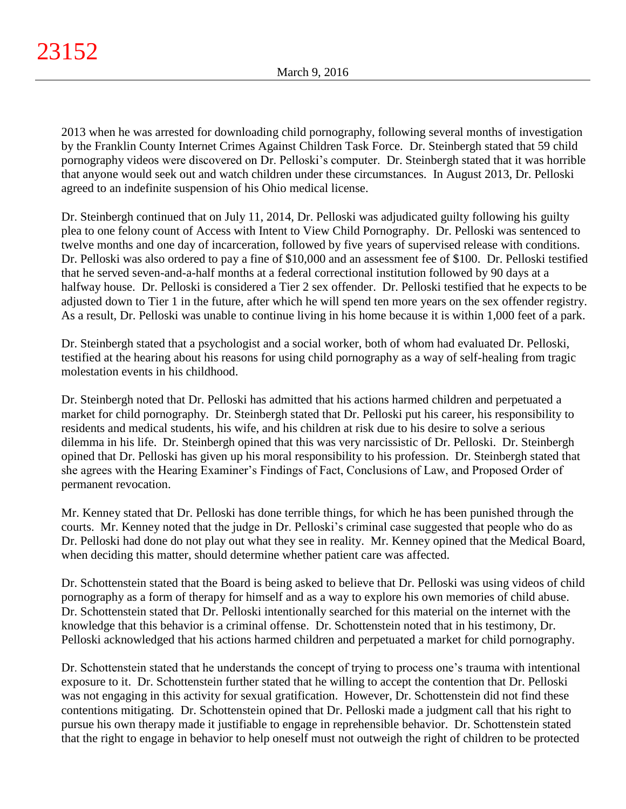2013 when he was arrested for downloading child pornography, following several months of investigation by the Franklin County Internet Crimes Against Children Task Force. Dr. Steinbergh stated that 59 child pornography videos were discovered on Dr. Pelloski's computer. Dr. Steinbergh stated that it was horrible that anyone would seek out and watch children under these circumstances. In August 2013, Dr. Pelloski agreed to an indefinite suspension of his Ohio medical license.

Dr. Steinbergh continued that on July 11, 2014, Dr. Pelloski was adjudicated guilty following his guilty plea to one felony count of Access with Intent to View Child Pornography. Dr. Pelloski was sentenced to twelve months and one day of incarceration, followed by five years of supervised release with conditions. Dr. Pelloski was also ordered to pay a fine of \$10,000 and an assessment fee of \$100. Dr. Pelloski testified that he served seven-and-a-half months at a federal correctional institution followed by 90 days at a halfway house. Dr. Pelloski is considered a Tier 2 sex offender. Dr. Pelloski testified that he expects to be adjusted down to Tier 1 in the future, after which he will spend ten more years on the sex offender registry. As a result, Dr. Pelloski was unable to continue living in his home because it is within 1,000 feet of a park.

Dr. Steinbergh stated that a psychologist and a social worker, both of whom had evaluated Dr. Pelloski, testified at the hearing about his reasons for using child pornography as a way of self-healing from tragic molestation events in his childhood.

Dr. Steinbergh noted that Dr. Pelloski has admitted that his actions harmed children and perpetuated a market for child pornography. Dr. Steinbergh stated that Dr. Pelloski put his career, his responsibility to residents and medical students, his wife, and his children at risk due to his desire to solve a serious dilemma in his life. Dr. Steinbergh opined that this was very narcissistic of Dr. Pelloski. Dr. Steinbergh opined that Dr. Pelloski has given up his moral responsibility to his profession. Dr. Steinbergh stated that she agrees with the Hearing Examiner's Findings of Fact, Conclusions of Law, and Proposed Order of permanent revocation.

Mr. Kenney stated that Dr. Pelloski has done terrible things, for which he has been punished through the courts. Mr. Kenney noted that the judge in Dr. Pelloski's criminal case suggested that people who do as Dr. Pelloski had done do not play out what they see in reality. Mr. Kenney opined that the Medical Board, when deciding this matter, should determine whether patient care was affected.

Dr. Schottenstein stated that the Board is being asked to believe that Dr. Pelloski was using videos of child pornography as a form of therapy for himself and as a way to explore his own memories of child abuse. Dr. Schottenstein stated that Dr. Pelloski intentionally searched for this material on the internet with the knowledge that this behavior is a criminal offense. Dr. Schottenstein noted that in his testimony, Dr. Pelloski acknowledged that his actions harmed children and perpetuated a market for child pornography.

Dr. Schottenstein stated that he understands the concept of trying to process one's trauma with intentional exposure to it. Dr. Schottenstein further stated that he willing to accept the contention that Dr. Pelloski was not engaging in this activity for sexual gratification. However, Dr. Schottenstein did not find these contentions mitigating. Dr. Schottenstein opined that Dr. Pelloski made a judgment call that his right to pursue his own therapy made it justifiable to engage in reprehensible behavior. Dr. Schottenstein stated that the right to engage in behavior to help oneself must not outweigh the right of children to be protected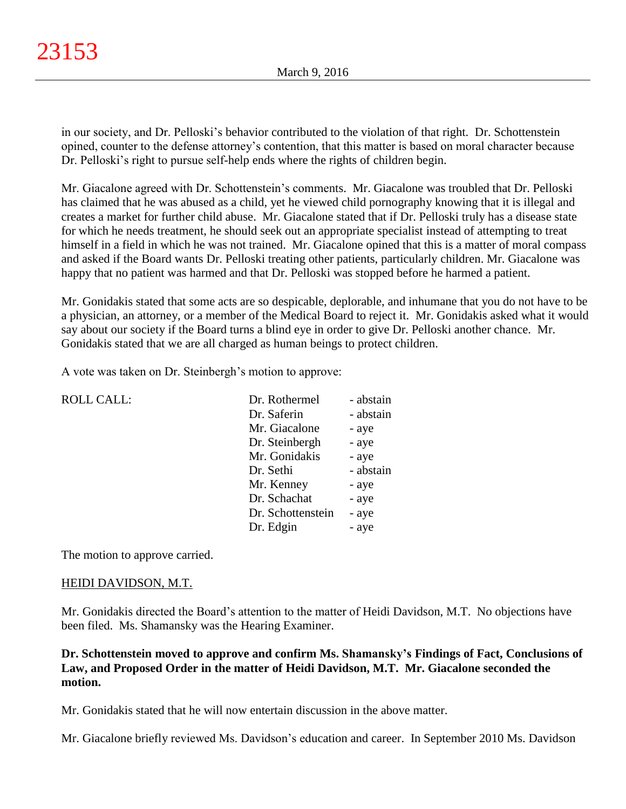in our society, and Dr. Pelloski's behavior contributed to the violation of that right. Dr. Schottenstein opined, counter to the defense attorney's contention, that this matter is based on moral character because Dr. Pelloski's right to pursue self-help ends where the rights of children begin.

Mr. Giacalone agreed with Dr. Schottenstein's comments. Mr. Giacalone was troubled that Dr. Pelloski has claimed that he was abused as a child, yet he viewed child pornography knowing that it is illegal and creates a market for further child abuse. Mr. Giacalone stated that if Dr. Pelloski truly has a disease state for which he needs treatment, he should seek out an appropriate specialist instead of attempting to treat himself in a field in which he was not trained. Mr. Giacalone opined that this is a matter of moral compass and asked if the Board wants Dr. Pelloski treating other patients, particularly children. Mr. Giacalone was happy that no patient was harmed and that Dr. Pelloski was stopped before he harmed a patient.

Mr. Gonidakis stated that some acts are so despicable, deplorable, and inhumane that you do not have to be a physician, an attorney, or a member of the Medical Board to reject it. Mr. Gonidakis asked what it would say about our society if the Board turns a blind eye in order to give Dr. Pelloski another chance. Mr. Gonidakis stated that we are all charged as human beings to protect children.

A vote was taken on Dr. Steinbergh's motion to approve:

| <b>ROLL CALL:</b> | Dr. Rothermel     | - abstain |
|-------------------|-------------------|-----------|
|                   | Dr. Saferin       | - abstain |
|                   | Mr. Giacalone     | - aye     |
|                   | Dr. Steinbergh    | - aye     |
|                   | Mr. Gonidakis     | - aye     |
|                   | Dr. Sethi         | - abstain |
|                   | Mr. Kenney        | - aye     |
|                   | Dr. Schachat      | - aye     |
|                   | Dr. Schottenstein | - aye     |
|                   | Dr. Edgin         | - aye     |
|                   |                   |           |

The motion to approve carried.

# HEIDI DAVIDSON, M.T.

Mr. Gonidakis directed the Board's attention to the matter of Heidi Davidson, M.T. No objections have been filed. Ms. Shamansky was the Hearing Examiner.

# **Dr. Schottenstein moved to approve and confirm Ms. Shamansky's Findings of Fact, Conclusions of Law, and Proposed Order in the matter of Heidi Davidson, M.T. Mr. Giacalone seconded the motion.**

Mr. Gonidakis stated that he will now entertain discussion in the above matter.

Mr. Giacalone briefly reviewed Ms. Davidson's education and career. In September 2010 Ms. Davidson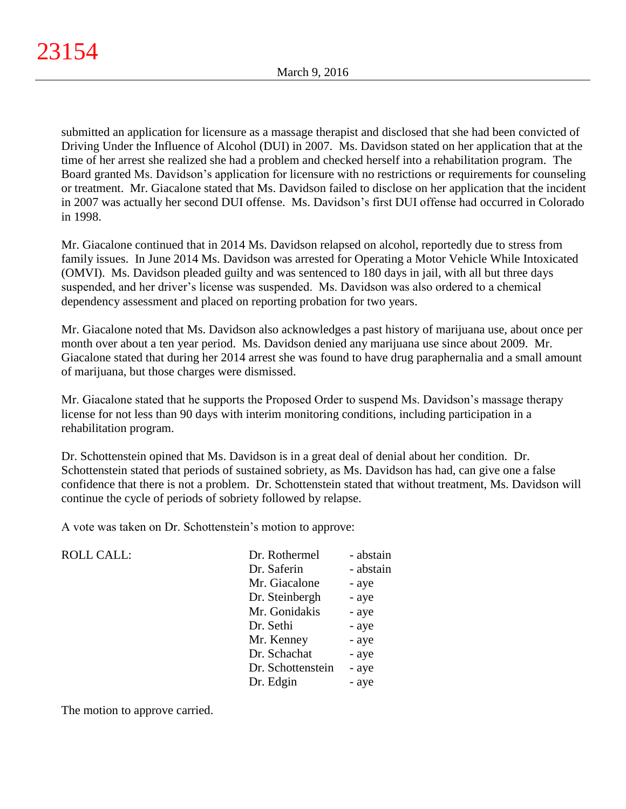submitted an application for licensure as a massage therapist and disclosed that she had been convicted of Driving Under the Influence of Alcohol (DUI) in 2007. Ms. Davidson stated on her application that at the time of her arrest she realized she had a problem and checked herself into a rehabilitation program. The Board granted Ms. Davidson's application for licensure with no restrictions or requirements for counseling or treatment. Mr. Giacalone stated that Ms. Davidson failed to disclose on her application that the incident in 2007 was actually her second DUI offense. Ms. Davidson's first DUI offense had occurred in Colorado in 1998.

Mr. Giacalone continued that in 2014 Ms. Davidson relapsed on alcohol, reportedly due to stress from family issues. In June 2014 Ms. Davidson was arrested for Operating a Motor Vehicle While Intoxicated (OMVI). Ms. Davidson pleaded guilty and was sentenced to 180 days in jail, with all but three days suspended, and her driver's license was suspended. Ms. Davidson was also ordered to a chemical dependency assessment and placed on reporting probation for two years.

Mr. Giacalone noted that Ms. Davidson also acknowledges a past history of marijuana use, about once per month over about a ten year period. Ms. Davidson denied any marijuana use since about 2009. Mr. Giacalone stated that during her 2014 arrest she was found to have drug paraphernalia and a small amount of marijuana, but those charges were dismissed.

Mr. Giacalone stated that he supports the Proposed Order to suspend Ms. Davidson's massage therapy license for not less than 90 days with interim monitoring conditions, including participation in a rehabilitation program.

Dr. Schottenstein opined that Ms. Davidson is in a great deal of denial about her condition. Dr. Schottenstein stated that periods of sustained sobriety, as Ms. Davidson has had, can give one a false confidence that there is not a problem. Dr. Schottenstein stated that without treatment, Ms. Davidson will continue the cycle of periods of sobriety followed by relapse.

A vote was taken on Dr. Schottenstein's motion to approve:

ROLL CALL:

| Dr. Rothermel     | - abstain |
|-------------------|-----------|
| Dr. Saferin       | - abstain |
| Mr. Giacalone     | - aye     |
| Dr. Steinbergh    | - aye     |
| Mr. Gonidakis     | - aye     |
| Dr. Sethi         | - aye     |
| Mr. Kenney        | - aye     |
| Dr. Schachat      | - aye     |
| Dr. Schottenstein | - aye     |
| Dr. Edgin         | - aye     |
|                   |           |

The motion to approve carried.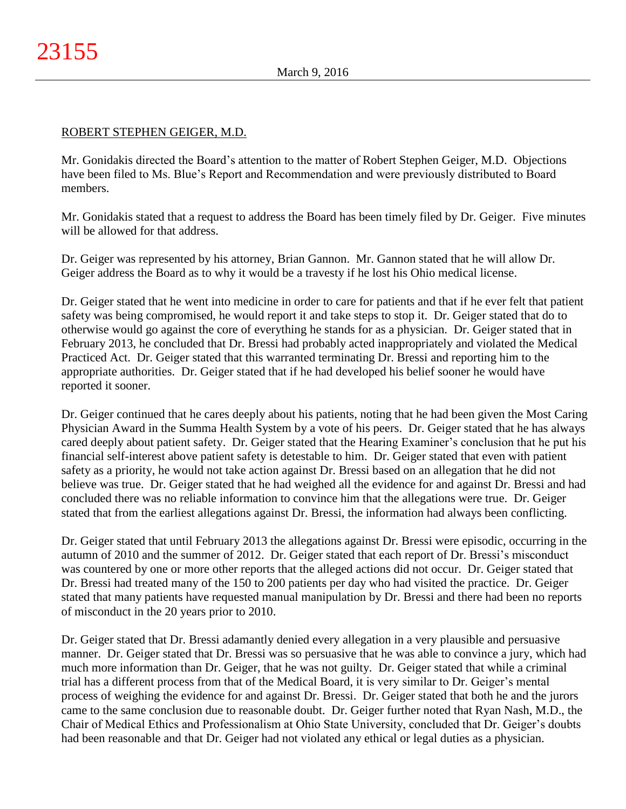## ROBERT STEPHEN GEIGER, M.D.

Mr. Gonidakis directed the Board's attention to the matter of Robert Stephen Geiger, M.D. Objections have been filed to Ms. Blue's Report and Recommendation and were previously distributed to Board members.

Mr. Gonidakis stated that a request to address the Board has been timely filed by Dr. Geiger. Five minutes will be allowed for that address.

Dr. Geiger was represented by his attorney, Brian Gannon. Mr. Gannon stated that he will allow Dr. Geiger address the Board as to why it would be a travesty if he lost his Ohio medical license.

Dr. Geiger stated that he went into medicine in order to care for patients and that if he ever felt that patient safety was being compromised, he would report it and take steps to stop it. Dr. Geiger stated that do to otherwise would go against the core of everything he stands for as a physician. Dr. Geiger stated that in February 2013, he concluded that Dr. Bressi had probably acted inappropriately and violated the Medical Practiced Act. Dr. Geiger stated that this warranted terminating Dr. Bressi and reporting him to the appropriate authorities. Dr. Geiger stated that if he had developed his belief sooner he would have reported it sooner.

Dr. Geiger continued that he cares deeply about his patients, noting that he had been given the Most Caring Physician Award in the Summa Health System by a vote of his peers. Dr. Geiger stated that he has always cared deeply about patient safety. Dr. Geiger stated that the Hearing Examiner's conclusion that he put his financial self-interest above patient safety is detestable to him. Dr. Geiger stated that even with patient safety as a priority, he would not take action against Dr. Bressi based on an allegation that he did not believe was true. Dr. Geiger stated that he had weighed all the evidence for and against Dr. Bressi and had concluded there was no reliable information to convince him that the allegations were true. Dr. Geiger stated that from the earliest allegations against Dr. Bressi, the information had always been conflicting.

Dr. Geiger stated that until February 2013 the allegations against Dr. Bressi were episodic, occurring in the autumn of 2010 and the summer of 2012. Dr. Geiger stated that each report of Dr. Bressi's misconduct was countered by one or more other reports that the alleged actions did not occur. Dr. Geiger stated that Dr. Bressi had treated many of the 150 to 200 patients per day who had visited the practice. Dr. Geiger stated that many patients have requested manual manipulation by Dr. Bressi and there had been no reports of misconduct in the 20 years prior to 2010.

Dr. Geiger stated that Dr. Bressi adamantly denied every allegation in a very plausible and persuasive manner. Dr. Geiger stated that Dr. Bressi was so persuasive that he was able to convince a jury, which had much more information than Dr. Geiger, that he was not guilty. Dr. Geiger stated that while a criminal trial has a different process from that of the Medical Board, it is very similar to Dr. Geiger's mental process of weighing the evidence for and against Dr. Bressi. Dr. Geiger stated that both he and the jurors came to the same conclusion due to reasonable doubt. Dr. Geiger further noted that Ryan Nash, M.D., the Chair of Medical Ethics and Professionalism at Ohio State University, concluded that Dr. Geiger's doubts had been reasonable and that Dr. Geiger had not violated any ethical or legal duties as a physician.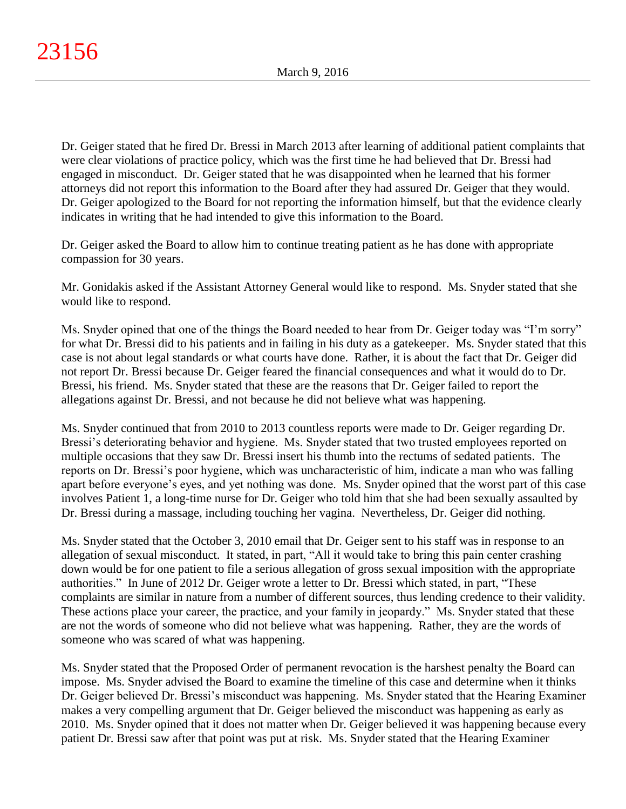Dr. Geiger stated that he fired Dr. Bressi in March 2013 after learning of additional patient complaints that were clear violations of practice policy, which was the first time he had believed that Dr. Bressi had engaged in misconduct. Dr. Geiger stated that he was disappointed when he learned that his former attorneys did not report this information to the Board after they had assured Dr. Geiger that they would. Dr. Geiger apologized to the Board for not reporting the information himself, but that the evidence clearly indicates in writing that he had intended to give this information to the Board.

Dr. Geiger asked the Board to allow him to continue treating patient as he has done with appropriate compassion for 30 years.

Mr. Gonidakis asked if the Assistant Attorney General would like to respond. Ms. Snyder stated that she would like to respond.

Ms. Snyder opined that one of the things the Board needed to hear from Dr. Geiger today was "I'm sorry" for what Dr. Bressi did to his patients and in failing in his duty as a gatekeeper. Ms. Snyder stated that this case is not about legal standards or what courts have done. Rather, it is about the fact that Dr. Geiger did not report Dr. Bressi because Dr. Geiger feared the financial consequences and what it would do to Dr. Bressi, his friend. Ms. Snyder stated that these are the reasons that Dr. Geiger failed to report the allegations against Dr. Bressi, and not because he did not believe what was happening.

Ms. Snyder continued that from 2010 to 2013 countless reports were made to Dr. Geiger regarding Dr. Bressi's deteriorating behavior and hygiene. Ms. Snyder stated that two trusted employees reported on multiple occasions that they saw Dr. Bressi insert his thumb into the rectums of sedated patients. The reports on Dr. Bressi's poor hygiene, which was uncharacteristic of him, indicate a man who was falling apart before everyone's eyes, and yet nothing was done. Ms. Snyder opined that the worst part of this case involves Patient 1, a long-time nurse for Dr. Geiger who told him that she had been sexually assaulted by Dr. Bressi during a massage, including touching her vagina. Nevertheless, Dr. Geiger did nothing.

Ms. Snyder stated that the October 3, 2010 email that Dr. Geiger sent to his staff was in response to an allegation of sexual misconduct. It stated, in part, "All it would take to bring this pain center crashing down would be for one patient to file a serious allegation of gross sexual imposition with the appropriate authorities." In June of 2012 Dr. Geiger wrote a letter to Dr. Bressi which stated, in part, "These complaints are similar in nature from a number of different sources, thus lending credence to their validity. These actions place your career, the practice, and your family in jeopardy." Ms. Snyder stated that these are not the words of someone who did not believe what was happening. Rather, they are the words of someone who was scared of what was happening.

Ms. Snyder stated that the Proposed Order of permanent revocation is the harshest penalty the Board can impose. Ms. Snyder advised the Board to examine the timeline of this case and determine when it thinks Dr. Geiger believed Dr. Bressi's misconduct was happening. Ms. Snyder stated that the Hearing Examiner makes a very compelling argument that Dr. Geiger believed the misconduct was happening as early as 2010. Ms. Snyder opined that it does not matter when Dr. Geiger believed it was happening because every patient Dr. Bressi saw after that point was put at risk. Ms. Snyder stated that the Hearing Examiner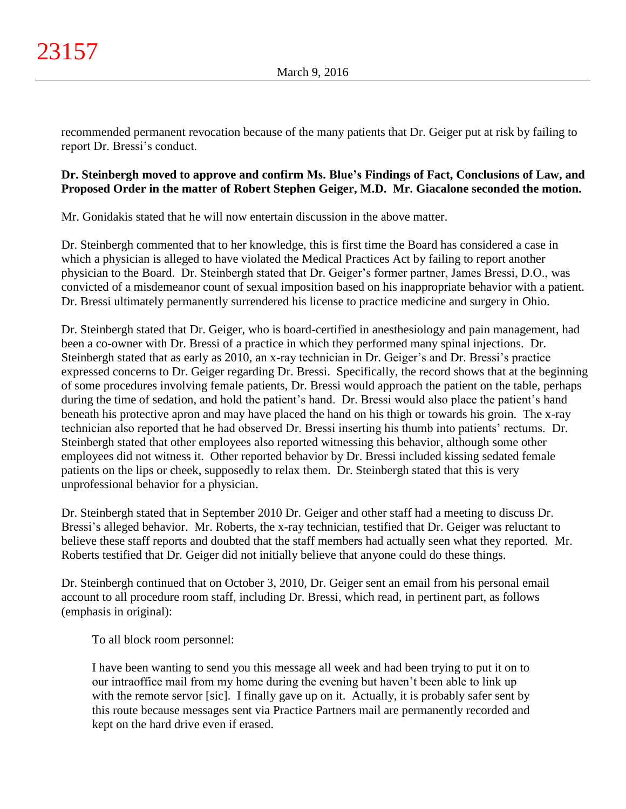recommended permanent revocation because of the many patients that Dr. Geiger put at risk by failing to report Dr. Bressi's conduct.

# **Dr. Steinbergh moved to approve and confirm Ms. Blue's Findings of Fact, Conclusions of Law, and Proposed Order in the matter of Robert Stephen Geiger, M.D. Mr. Giacalone seconded the motion.**

Mr. Gonidakis stated that he will now entertain discussion in the above matter.

Dr. Steinbergh commented that to her knowledge, this is first time the Board has considered a case in which a physician is alleged to have violated the Medical Practices Act by failing to report another physician to the Board. Dr. Steinbergh stated that Dr. Geiger's former partner, James Bressi, D.O., was convicted of a misdemeanor count of sexual imposition based on his inappropriate behavior with a patient. Dr. Bressi ultimately permanently surrendered his license to practice medicine and surgery in Ohio.

Dr. Steinbergh stated that Dr. Geiger, who is board-certified in anesthesiology and pain management, had been a co-owner with Dr. Bressi of a practice in which they performed many spinal injections. Dr. Steinbergh stated that as early as 2010, an x-ray technician in Dr. Geiger's and Dr. Bressi's practice expressed concerns to Dr. Geiger regarding Dr. Bressi. Specifically, the record shows that at the beginning of some procedures involving female patients, Dr. Bressi would approach the patient on the table, perhaps during the time of sedation, and hold the patient's hand. Dr. Bressi would also place the patient's hand beneath his protective apron and may have placed the hand on his thigh or towards his groin. The x-ray technician also reported that he had observed Dr. Bressi inserting his thumb into patients' rectums. Dr. Steinbergh stated that other employees also reported witnessing this behavior, although some other employees did not witness it. Other reported behavior by Dr. Bressi included kissing sedated female patients on the lips or cheek, supposedly to relax them. Dr. Steinbergh stated that this is very unprofessional behavior for a physician.

Dr. Steinbergh stated that in September 2010 Dr. Geiger and other staff had a meeting to discuss Dr. Bressi's alleged behavior. Mr. Roberts, the x-ray technician, testified that Dr. Geiger was reluctant to believe these staff reports and doubted that the staff members had actually seen what they reported. Mr. Roberts testified that Dr. Geiger did not initially believe that anyone could do these things.

Dr. Steinbergh continued that on October 3, 2010, Dr. Geiger sent an email from his personal email account to all procedure room staff, including Dr. Bressi, which read, in pertinent part, as follows (emphasis in original):

To all block room personnel:

I have been wanting to send you this message all week and had been trying to put it on to our intraoffice mail from my home during the evening but haven't been able to link up with the remote servor [sic]. I finally gave up on it. Actually, it is probably safer sent by this route because messages sent via Practice Partners mail are permanently recorded and kept on the hard drive even if erased.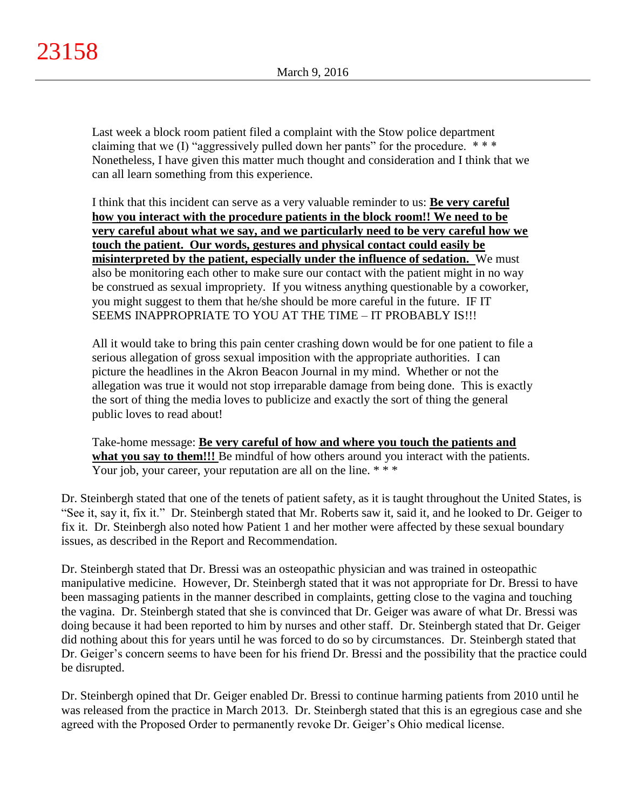Last week a block room patient filed a complaint with the Stow police department claiming that we  $(I)$  "aggressively pulled down her pants" for the procedure.  $***$ Nonetheless, I have given this matter much thought and consideration and I think that we can all learn something from this experience.

I think that this incident can serve as a very valuable reminder to us: **Be very careful how you interact with the procedure patients in the block room!! We need to be very careful about what we say, and we particularly need to be very careful how we touch the patient. Our words, gestures and physical contact could easily be misinterpreted by the patient, especially under the influence of sedation.** We must also be monitoring each other to make sure our contact with the patient might in no way be construed as sexual impropriety. If you witness anything questionable by a coworker, you might suggest to them that he/she should be more careful in the future. IF IT SEEMS INAPPROPRIATE TO YOU AT THE TIME – IT PROBABLY IS!!!

All it would take to bring this pain center crashing down would be for one patient to file a serious allegation of gross sexual imposition with the appropriate authorities. I can picture the headlines in the Akron Beacon Journal in my mind. Whether or not the allegation was true it would not stop irreparable damage from being done. This is exactly the sort of thing the media loves to publicize and exactly the sort of thing the general public loves to read about!

Take-home message: **Be very careful of how and where you touch the patients and**  what you say to them!!! Be mindful of how others around you interact with the patients. Your job, your career, your reputation are all on the line. \*\*\*

Dr. Steinbergh stated that one of the tenets of patient safety, as it is taught throughout the United States, is "See it, say it, fix it." Dr. Steinbergh stated that Mr. Roberts saw it, said it, and he looked to Dr. Geiger to fix it. Dr. Steinbergh also noted how Patient 1 and her mother were affected by these sexual boundary issues, as described in the Report and Recommendation.

Dr. Steinbergh stated that Dr. Bressi was an osteopathic physician and was trained in osteopathic manipulative medicine. However, Dr. Steinbergh stated that it was not appropriate for Dr. Bressi to have been massaging patients in the manner described in complaints, getting close to the vagina and touching the vagina. Dr. Steinbergh stated that she is convinced that Dr. Geiger was aware of what Dr. Bressi was doing because it had been reported to him by nurses and other staff. Dr. Steinbergh stated that Dr. Geiger did nothing about this for years until he was forced to do so by circumstances. Dr. Steinbergh stated that Dr. Geiger's concern seems to have been for his friend Dr. Bressi and the possibility that the practice could be disrupted.

Dr. Steinbergh opined that Dr. Geiger enabled Dr. Bressi to continue harming patients from 2010 until he was released from the practice in March 2013. Dr. Steinbergh stated that this is an egregious case and she agreed with the Proposed Order to permanently revoke Dr. Geiger's Ohio medical license.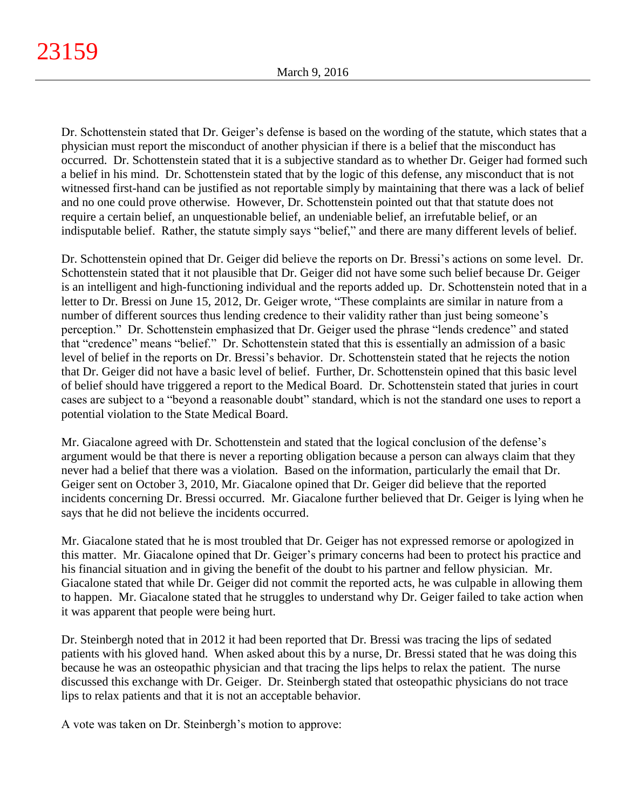Dr. Schottenstein stated that Dr. Geiger's defense is based on the wording of the statute, which states that a physician must report the misconduct of another physician if there is a belief that the misconduct has occurred. Dr. Schottenstein stated that it is a subjective standard as to whether Dr. Geiger had formed such a belief in his mind. Dr. Schottenstein stated that by the logic of this defense, any misconduct that is not witnessed first-hand can be justified as not reportable simply by maintaining that there was a lack of belief and no one could prove otherwise. However, Dr. Schottenstein pointed out that that statute does not require a certain belief, an unquestionable belief, an undeniable belief, an irrefutable belief, or an indisputable belief. Rather, the statute simply says "belief," and there are many different levels of belief.

Dr. Schottenstein opined that Dr. Geiger did believe the reports on Dr. Bressi's actions on some level. Dr. Schottenstein stated that it not plausible that Dr. Geiger did not have some such belief because Dr. Geiger is an intelligent and high-functioning individual and the reports added up. Dr. Schottenstein noted that in a letter to Dr. Bressi on June 15, 2012, Dr. Geiger wrote, "These complaints are similar in nature from a number of different sources thus lending credence to their validity rather than just being someone's perception." Dr. Schottenstein emphasized that Dr. Geiger used the phrase "lends credence" and stated that "credence" means "belief." Dr. Schottenstein stated that this is essentially an admission of a basic level of belief in the reports on Dr. Bressi's behavior. Dr. Schottenstein stated that he rejects the notion that Dr. Geiger did not have a basic level of belief. Further, Dr. Schottenstein opined that this basic level of belief should have triggered a report to the Medical Board. Dr. Schottenstein stated that juries in court cases are subject to a "beyond a reasonable doubt" standard, which is not the standard one uses to report a potential violation to the State Medical Board.

Mr. Giacalone agreed with Dr. Schottenstein and stated that the logical conclusion of the defense's argument would be that there is never a reporting obligation because a person can always claim that they never had a belief that there was a violation. Based on the information, particularly the email that Dr. Geiger sent on October 3, 2010, Mr. Giacalone opined that Dr. Geiger did believe that the reported incidents concerning Dr. Bressi occurred. Mr. Giacalone further believed that Dr. Geiger is lying when he says that he did not believe the incidents occurred.

Mr. Giacalone stated that he is most troubled that Dr. Geiger has not expressed remorse or apologized in this matter. Mr. Giacalone opined that Dr. Geiger's primary concerns had been to protect his practice and his financial situation and in giving the benefit of the doubt to his partner and fellow physician. Mr. Giacalone stated that while Dr. Geiger did not commit the reported acts, he was culpable in allowing them to happen. Mr. Giacalone stated that he struggles to understand why Dr. Geiger failed to take action when it was apparent that people were being hurt.

Dr. Steinbergh noted that in 2012 it had been reported that Dr. Bressi was tracing the lips of sedated patients with his gloved hand. When asked about this by a nurse, Dr. Bressi stated that he was doing this because he was an osteopathic physician and that tracing the lips helps to relax the patient. The nurse discussed this exchange with Dr. Geiger. Dr. Steinbergh stated that osteopathic physicians do not trace lips to relax patients and that it is not an acceptable behavior.

A vote was taken on Dr. Steinbergh's motion to approve: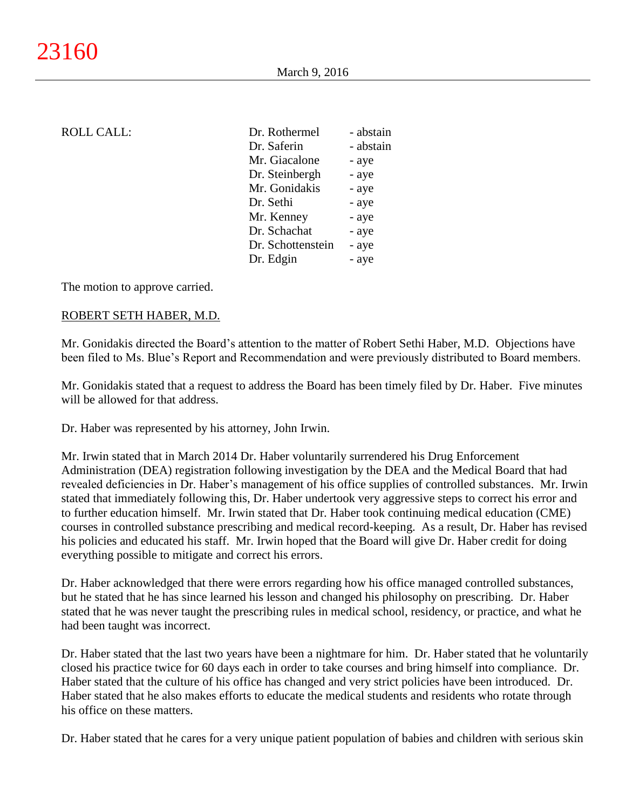| Dr. Rothermel     | - abstain |
|-------------------|-----------|
| Dr. Saferin       | - abstain |
| Mr. Giacalone     | - aye     |
| Dr. Steinbergh    | - aye     |
| Mr. Gonidakis     | - aye     |
| Dr. Sethi         | - aye     |
| Mr. Kenney        | - aye     |
| Dr. Schachat      | - aye     |
| Dr. Schottenstein | - aye     |
| Dr. Edgin         | - aye     |
|                   |           |

The motion to approve carried.

### ROBERT SETH HABER, M.D.

Mr. Gonidakis directed the Board's attention to the matter of Robert Sethi Haber, M.D. Objections have been filed to Ms. Blue's Report and Recommendation and were previously distributed to Board members.

Mr. Gonidakis stated that a request to address the Board has been timely filed by Dr. Haber. Five minutes will be allowed for that address.

Dr. Haber was represented by his attorney, John Irwin.

Mr. Irwin stated that in March 2014 Dr. Haber voluntarily surrendered his Drug Enforcement Administration (DEA) registration following investigation by the DEA and the Medical Board that had revealed deficiencies in Dr. Haber's management of his office supplies of controlled substances. Mr. Irwin stated that immediately following this, Dr. Haber undertook very aggressive steps to correct his error and to further education himself. Mr. Irwin stated that Dr. Haber took continuing medical education (CME) courses in controlled substance prescribing and medical record-keeping. As a result, Dr. Haber has revised his policies and educated his staff. Mr. Irwin hoped that the Board will give Dr. Haber credit for doing everything possible to mitigate and correct his errors.

Dr. Haber acknowledged that there were errors regarding how his office managed controlled substances, but he stated that he has since learned his lesson and changed his philosophy on prescribing. Dr. Haber stated that he was never taught the prescribing rules in medical school, residency, or practice, and what he had been taught was incorrect.

Dr. Haber stated that the last two years have been a nightmare for him. Dr. Haber stated that he voluntarily closed his practice twice for 60 days each in order to take courses and bring himself into compliance. Dr. Haber stated that the culture of his office has changed and very strict policies have been introduced. Dr. Haber stated that he also makes efforts to educate the medical students and residents who rotate through his office on these matters.

Dr. Haber stated that he cares for a very unique patient population of babies and children with serious skin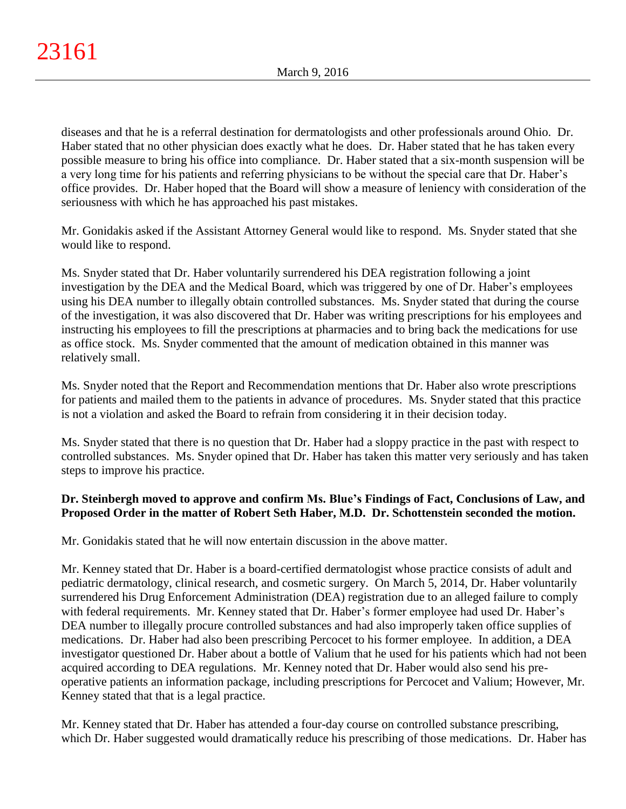diseases and that he is a referral destination for dermatologists and other professionals around Ohio. Dr. Haber stated that no other physician does exactly what he does. Dr. Haber stated that he has taken every possible measure to bring his office into compliance. Dr. Haber stated that a six-month suspension will be a very long time for his patients and referring physicians to be without the special care that Dr. Haber's office provides. Dr. Haber hoped that the Board will show a measure of leniency with consideration of the seriousness with which he has approached his past mistakes.

Mr. Gonidakis asked if the Assistant Attorney General would like to respond. Ms. Snyder stated that she would like to respond.

Ms. Snyder stated that Dr. Haber voluntarily surrendered his DEA registration following a joint investigation by the DEA and the Medical Board, which was triggered by one of Dr. Haber's employees using his DEA number to illegally obtain controlled substances. Ms. Snyder stated that during the course of the investigation, it was also discovered that Dr. Haber was writing prescriptions for his employees and instructing his employees to fill the prescriptions at pharmacies and to bring back the medications for use as office stock. Ms. Snyder commented that the amount of medication obtained in this manner was relatively small.

Ms. Snyder noted that the Report and Recommendation mentions that Dr. Haber also wrote prescriptions for patients and mailed them to the patients in advance of procedures. Ms. Snyder stated that this practice is not a violation and asked the Board to refrain from considering it in their decision today.

Ms. Snyder stated that there is no question that Dr. Haber had a sloppy practice in the past with respect to controlled substances. Ms. Snyder opined that Dr. Haber has taken this matter very seriously and has taken steps to improve his practice.

# **Dr. Steinbergh moved to approve and confirm Ms. Blue's Findings of Fact, Conclusions of Law, and Proposed Order in the matter of Robert Seth Haber, M.D. Dr. Schottenstein seconded the motion.**

Mr. Gonidakis stated that he will now entertain discussion in the above matter.

Mr. Kenney stated that Dr. Haber is a board-certified dermatologist whose practice consists of adult and pediatric dermatology, clinical research, and cosmetic surgery. On March 5, 2014, Dr. Haber voluntarily surrendered his Drug Enforcement Administration (DEA) registration due to an alleged failure to comply with federal requirements. Mr. Kenney stated that Dr. Haber's former employee had used Dr. Haber's DEA number to illegally procure controlled substances and had also improperly taken office supplies of medications. Dr. Haber had also been prescribing Percocet to his former employee. In addition, a DEA investigator questioned Dr. Haber about a bottle of Valium that he used for his patients which had not been acquired according to DEA regulations. Mr. Kenney noted that Dr. Haber would also send his preoperative patients an information package, including prescriptions for Percocet and Valium; However, Mr. Kenney stated that that is a legal practice.

Mr. Kenney stated that Dr. Haber has attended a four-day course on controlled substance prescribing, which Dr. Haber suggested would dramatically reduce his prescribing of those medications. Dr. Haber has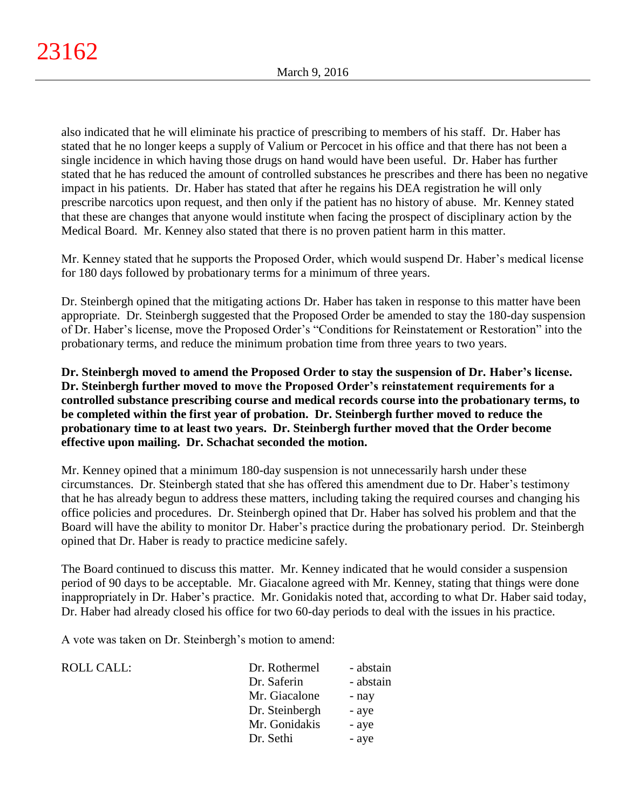also indicated that he will eliminate his practice of prescribing to members of his staff. Dr. Haber has stated that he no longer keeps a supply of Valium or Percocet in his office and that there has not been a single incidence in which having those drugs on hand would have been useful. Dr. Haber has further stated that he has reduced the amount of controlled substances he prescribes and there has been no negative impact in his patients. Dr. Haber has stated that after he regains his DEA registration he will only prescribe narcotics upon request, and then only if the patient has no history of abuse. Mr. Kenney stated that these are changes that anyone would institute when facing the prospect of disciplinary action by the Medical Board. Mr. Kenney also stated that there is no proven patient harm in this matter.

Mr. Kenney stated that he supports the Proposed Order, which would suspend Dr. Haber's medical license for 180 days followed by probationary terms for a minimum of three years.

Dr. Steinbergh opined that the mitigating actions Dr. Haber has taken in response to this matter have been appropriate. Dr. Steinbergh suggested that the Proposed Order be amended to stay the 180-day suspension of Dr. Haber's license, move the Proposed Order's "Conditions for Reinstatement or Restoration" into the probationary terms, and reduce the minimum probation time from three years to two years.

**Dr. Steinbergh moved to amend the Proposed Order to stay the suspension of Dr. Haber's license. Dr. Steinbergh further moved to move the Proposed Order's reinstatement requirements for a controlled substance prescribing course and medical records course into the probationary terms, to be completed within the first year of probation. Dr. Steinbergh further moved to reduce the probationary time to at least two years. Dr. Steinbergh further moved that the Order become effective upon mailing. Dr. Schachat seconded the motion.**

Mr. Kenney opined that a minimum 180-day suspension is not unnecessarily harsh under these circumstances. Dr. Steinbergh stated that she has offered this amendment due to Dr. Haber's testimony that he has already begun to address these matters, including taking the required courses and changing his office policies and procedures. Dr. Steinbergh opined that Dr. Haber has solved his problem and that the Board will have the ability to monitor Dr. Haber's practice during the probationary period. Dr. Steinbergh opined that Dr. Haber is ready to practice medicine safely.

The Board continued to discuss this matter. Mr. Kenney indicated that he would consider a suspension period of 90 days to be acceptable. Mr. Giacalone agreed with Mr. Kenney, stating that things were done inappropriately in Dr. Haber's practice. Mr. Gonidakis noted that, according to what Dr. Haber said today, Dr. Haber had already closed his office for two 60-day periods to deal with the issues in his practice.

A vote was taken on Dr. Steinbergh's motion to amend:

| Dr. Rothermel  | - abstain |
|----------------|-----------|
| Dr. Saferin    | - abstain |
| Mr. Giacalone  | - nay     |
| Dr. Steinbergh | - aye     |
| Mr. Gonidakis  | - aye     |
| Dr. Sethi      | - aye     |
|                |           |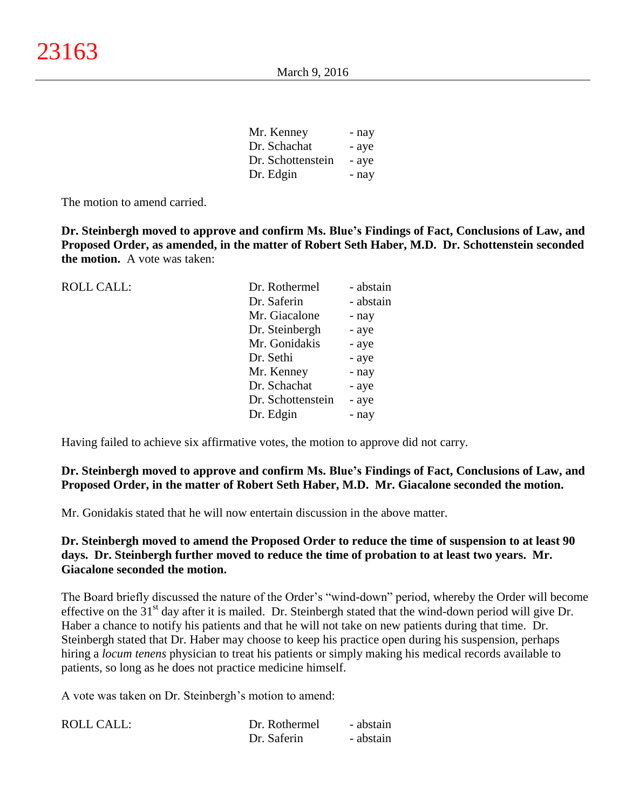| Mr. Kenney        | - nay |
|-------------------|-------|
| Dr. Schachat      | - aye |
| Dr. Schottenstein | - aye |
| Dr. Edgin         | - nay |

The motion to amend carried.

**Dr. Steinbergh moved to approve and confirm Ms. Blue's Findings of Fact, Conclusions of Law, and Proposed Order, as amended, in the matter of Robert Seth Haber, M.D. Dr. Schottenstein seconded the motion.** A vote was taken:

| <b>ROLL CALL:</b> | Dr. Rothermel     | - abstain |
|-------------------|-------------------|-----------|
|                   | Dr. Saferin       | - abstain |
|                   | Mr. Giacalone     | - nay     |
|                   | Dr. Steinbergh    | - aye     |
|                   | Mr. Gonidakis     | - aye     |
|                   | Dr. Sethi         | - aye     |
|                   | Mr. Kenney        | - nay     |
|                   | Dr. Schachat      | - aye     |
|                   | Dr. Schottenstein | - aye     |
|                   | Dr. Edgin         | - nay     |
|                   |                   |           |

Having failed to achieve six affirmative votes, the motion to approve did not carry.

## **Dr. Steinbergh moved to approve and confirm Ms. Blue's Findings of Fact, Conclusions of Law, and Proposed Order, in the matter of Robert Seth Haber, M.D. Mr. Giacalone seconded the motion.**

Mr. Gonidakis stated that he will now entertain discussion in the above matter.

## **Dr. Steinbergh moved to amend the Proposed Order to reduce the time of suspension to at least 90 days. Dr. Steinbergh further moved to reduce the time of probation to at least two years. Mr. Giacalone seconded the motion.**

The Board briefly discussed the nature of the Order's "wind-down" period, whereby the Order will become effective on the  $31<sup>st</sup>$  day after it is mailed. Dr. Steinbergh stated that the wind-down period will give Dr. Haber a chance to notify his patients and that he will not take on new patients during that time. Dr. Steinbergh stated that Dr. Haber may choose to keep his practice open during his suspension, perhaps hiring a *locum tenens* physician to treat his patients or simply making his medical records available to patients, so long as he does not practice medicine himself.

A vote was taken on Dr. Steinbergh's motion to amend:

| <b>ROLL CALL:</b> | Dr. Rothermel | - abstain |
|-------------------|---------------|-----------|
|                   | Dr. Saferin   | - abstain |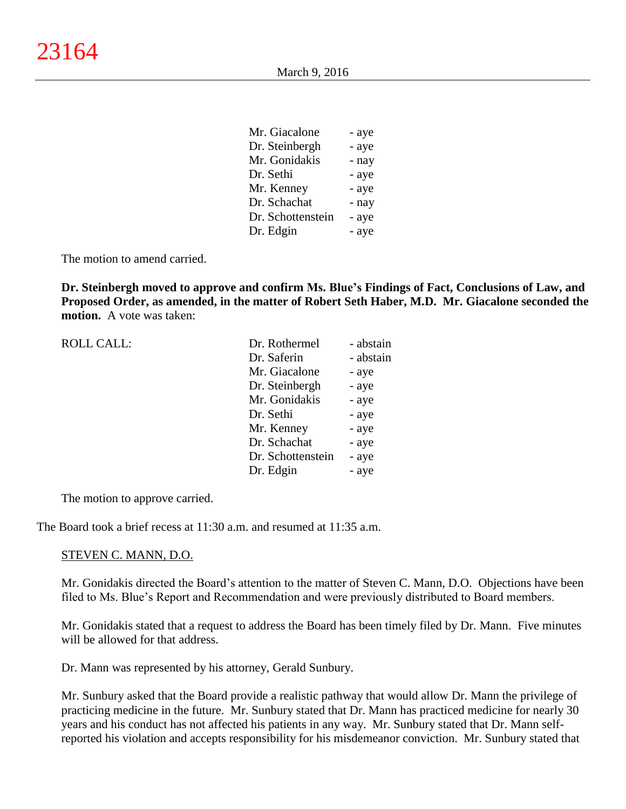| Mr. Giacalone     | - aye |
|-------------------|-------|
| Dr. Steinbergh    | - aye |
| Mr. Gonidakis     | - nay |
| Dr. Sethi         | - aye |
| Mr. Kenney        | - aye |
| Dr. Schachat      | - nay |
| Dr. Schottenstein | - aye |
| Dr. Edgin         | - aye |
|                   |       |

The motion to amend carried.

**Dr. Steinbergh moved to approve and confirm Ms. Blue's Findings of Fact, Conclusions of Law, and Proposed Order, as amended, in the matter of Robert Seth Haber, M.D. Mr. Giacalone seconded the motion.** A vote was taken:

| <b>ROLL CALL:</b> | Dr. Rothermel     | - abstain |
|-------------------|-------------------|-----------|
|                   | Dr. Saferin       | - abstain |
|                   | Mr. Giacalone     | - aye     |
|                   | Dr. Steinbergh    | - aye     |
|                   | Mr. Gonidakis     | - aye     |
|                   | Dr. Sethi         | - aye     |
|                   | Mr. Kenney        | - aye     |
|                   | Dr. Schachat      | - aye     |
|                   | Dr. Schottenstein | - aye     |
|                   | Dr. Edgin         | - aye     |
|                   |                   |           |

The motion to approve carried.

The Board took a brief recess at 11:30 a.m. and resumed at 11:35 a.m.

#### STEVEN C. MANN, D.O.

Mr. Gonidakis directed the Board's attention to the matter of Steven C. Mann, D.O. Objections have been filed to Ms. Blue's Report and Recommendation and were previously distributed to Board members.

Mr. Gonidakis stated that a request to address the Board has been timely filed by Dr. Mann. Five minutes will be allowed for that address.

Dr. Mann was represented by his attorney, Gerald Sunbury.

Mr. Sunbury asked that the Board provide a realistic pathway that would allow Dr. Mann the privilege of practicing medicine in the future. Mr. Sunbury stated that Dr. Mann has practiced medicine for nearly 30 years and his conduct has not affected his patients in any way. Mr. Sunbury stated that Dr. Mann selfreported his violation and accepts responsibility for his misdemeanor conviction. Mr. Sunbury stated that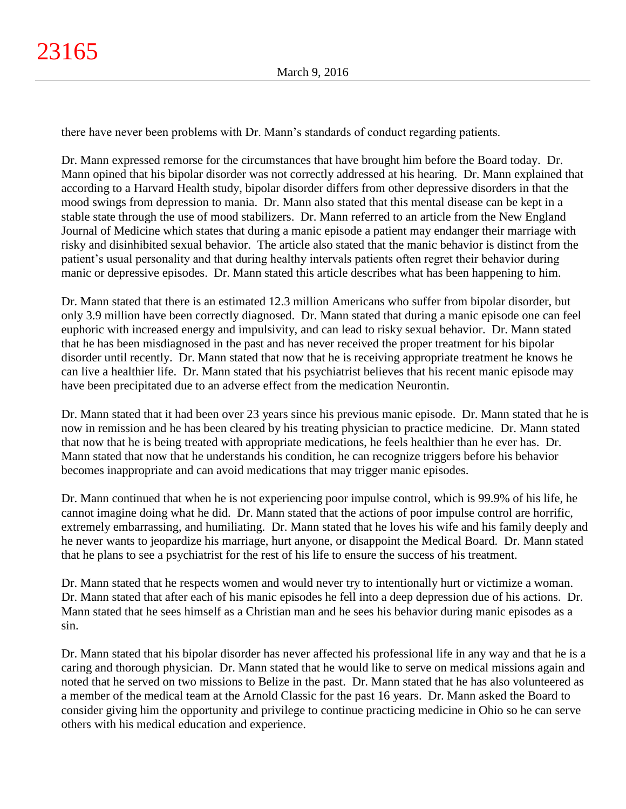there have never been problems with Dr. Mann's standards of conduct regarding patients.

Dr. Mann expressed remorse for the circumstances that have brought him before the Board today. Dr. Mann opined that his bipolar disorder was not correctly addressed at his hearing. Dr. Mann explained that according to a Harvard Health study, bipolar disorder differs from other depressive disorders in that the mood swings from depression to mania. Dr. Mann also stated that this mental disease can be kept in a stable state through the use of mood stabilizers. Dr. Mann referred to an article from the New England Journal of Medicine which states that during a manic episode a patient may endanger their marriage with risky and disinhibited sexual behavior. The article also stated that the manic behavior is distinct from the patient's usual personality and that during healthy intervals patients often regret their behavior during manic or depressive episodes. Dr. Mann stated this article describes what has been happening to him.

Dr. Mann stated that there is an estimated 12.3 million Americans who suffer from bipolar disorder, but only 3.9 million have been correctly diagnosed. Dr. Mann stated that during a manic episode one can feel euphoric with increased energy and impulsivity, and can lead to risky sexual behavior. Dr. Mann stated that he has been misdiagnosed in the past and has never received the proper treatment for his bipolar disorder until recently. Dr. Mann stated that now that he is receiving appropriate treatment he knows he can live a healthier life. Dr. Mann stated that his psychiatrist believes that his recent manic episode may have been precipitated due to an adverse effect from the medication Neurontin.

Dr. Mann stated that it had been over 23 years since his previous manic episode. Dr. Mann stated that he is now in remission and he has been cleared by his treating physician to practice medicine. Dr. Mann stated that now that he is being treated with appropriate medications, he feels healthier than he ever has. Dr. Mann stated that now that he understands his condition, he can recognize triggers before his behavior becomes inappropriate and can avoid medications that may trigger manic episodes.

Dr. Mann continued that when he is not experiencing poor impulse control, which is 99.9% of his life, he cannot imagine doing what he did. Dr. Mann stated that the actions of poor impulse control are horrific, extremely embarrassing, and humiliating. Dr. Mann stated that he loves his wife and his family deeply and he never wants to jeopardize his marriage, hurt anyone, or disappoint the Medical Board. Dr. Mann stated that he plans to see a psychiatrist for the rest of his life to ensure the success of his treatment.

Dr. Mann stated that he respects women and would never try to intentionally hurt or victimize a woman. Dr. Mann stated that after each of his manic episodes he fell into a deep depression due of his actions. Dr. Mann stated that he sees himself as a Christian man and he sees his behavior during manic episodes as a sin.

Dr. Mann stated that his bipolar disorder has never affected his professional life in any way and that he is a caring and thorough physician. Dr. Mann stated that he would like to serve on medical missions again and noted that he served on two missions to Belize in the past. Dr. Mann stated that he has also volunteered as a member of the medical team at the Arnold Classic for the past 16 years. Dr. Mann asked the Board to consider giving him the opportunity and privilege to continue practicing medicine in Ohio so he can serve others with his medical education and experience.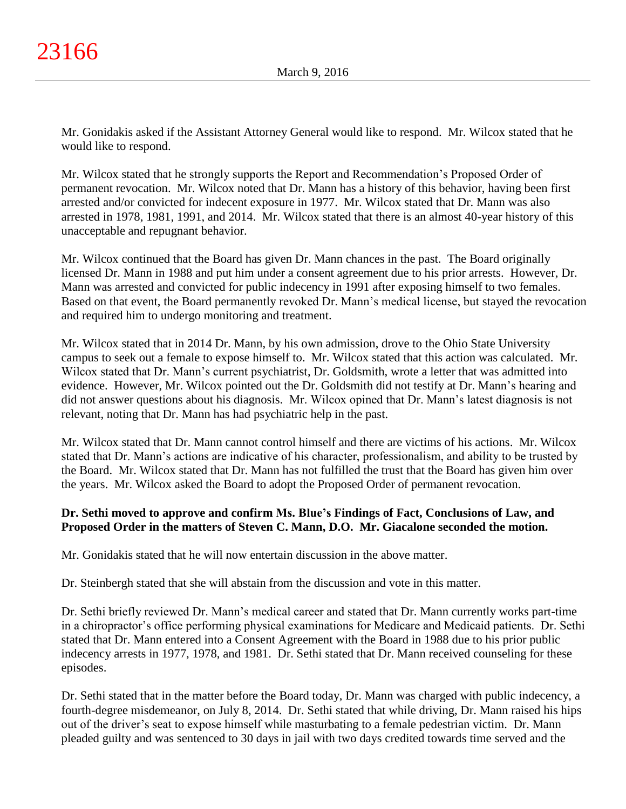Mr. Gonidakis asked if the Assistant Attorney General would like to respond. Mr. Wilcox stated that he would like to respond.

Mr. Wilcox stated that he strongly supports the Report and Recommendation's Proposed Order of permanent revocation. Mr. Wilcox noted that Dr. Mann has a history of this behavior, having been first arrested and/or convicted for indecent exposure in 1977. Mr. Wilcox stated that Dr. Mann was also arrested in 1978, 1981, 1991, and 2014. Mr. Wilcox stated that there is an almost 40-year history of this unacceptable and repugnant behavior.

Mr. Wilcox continued that the Board has given Dr. Mann chances in the past. The Board originally licensed Dr. Mann in 1988 and put him under a consent agreement due to his prior arrests. However, Dr. Mann was arrested and convicted for public indecency in 1991 after exposing himself to two females. Based on that event, the Board permanently revoked Dr. Mann's medical license, but stayed the revocation and required him to undergo monitoring and treatment.

Mr. Wilcox stated that in 2014 Dr. Mann, by his own admission, drove to the Ohio State University campus to seek out a female to expose himself to. Mr. Wilcox stated that this action was calculated. Mr. Wilcox stated that Dr. Mann's current psychiatrist, Dr. Goldsmith, wrote a letter that was admitted into evidence. However, Mr. Wilcox pointed out the Dr. Goldsmith did not testify at Dr. Mann's hearing and did not answer questions about his diagnosis. Mr. Wilcox opined that Dr. Mann's latest diagnosis is not relevant, noting that Dr. Mann has had psychiatric help in the past.

Mr. Wilcox stated that Dr. Mann cannot control himself and there are victims of his actions. Mr. Wilcox stated that Dr. Mann's actions are indicative of his character, professionalism, and ability to be trusted by the Board. Mr. Wilcox stated that Dr. Mann has not fulfilled the trust that the Board has given him over the years. Mr. Wilcox asked the Board to adopt the Proposed Order of permanent revocation.

# **Dr. Sethi moved to approve and confirm Ms. Blue's Findings of Fact, Conclusions of Law, and Proposed Order in the matters of Steven C. Mann, D.O. Mr. Giacalone seconded the motion.**

Mr. Gonidakis stated that he will now entertain discussion in the above matter.

Dr. Steinbergh stated that she will abstain from the discussion and vote in this matter.

Dr. Sethi briefly reviewed Dr. Mann's medical career and stated that Dr. Mann currently works part-time in a chiropractor's office performing physical examinations for Medicare and Medicaid patients. Dr. Sethi stated that Dr. Mann entered into a Consent Agreement with the Board in 1988 due to his prior public indecency arrests in 1977, 1978, and 1981. Dr. Sethi stated that Dr. Mann received counseling for these episodes.

Dr. Sethi stated that in the matter before the Board today, Dr. Mann was charged with public indecency, a fourth-degree misdemeanor, on July 8, 2014. Dr. Sethi stated that while driving, Dr. Mann raised his hips out of the driver's seat to expose himself while masturbating to a female pedestrian victim. Dr. Mann pleaded guilty and was sentenced to 30 days in jail with two days credited towards time served and the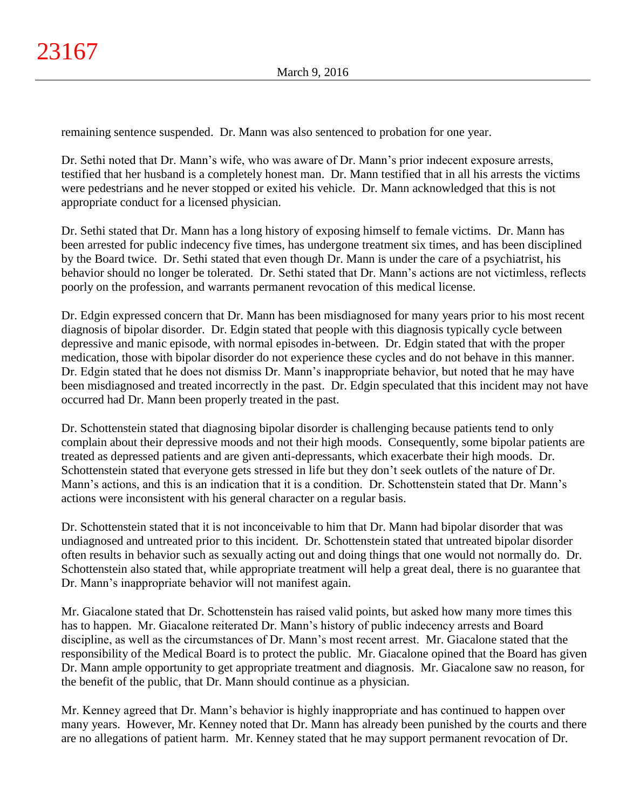remaining sentence suspended. Dr. Mann was also sentenced to probation for one year.

Dr. Sethi noted that Dr. Mann's wife, who was aware of Dr. Mann's prior indecent exposure arrests, testified that her husband is a completely honest man. Dr. Mann testified that in all his arrests the victims were pedestrians and he never stopped or exited his vehicle. Dr. Mann acknowledged that this is not appropriate conduct for a licensed physician.

Dr. Sethi stated that Dr. Mann has a long history of exposing himself to female victims. Dr. Mann has been arrested for public indecency five times, has undergone treatment six times, and has been disciplined by the Board twice. Dr. Sethi stated that even though Dr. Mann is under the care of a psychiatrist, his behavior should no longer be tolerated. Dr. Sethi stated that Dr. Mann's actions are not victimless, reflects poorly on the profession, and warrants permanent revocation of this medical license.

Dr. Edgin expressed concern that Dr. Mann has been misdiagnosed for many years prior to his most recent diagnosis of bipolar disorder. Dr. Edgin stated that people with this diagnosis typically cycle between depressive and manic episode, with normal episodes in-between. Dr. Edgin stated that with the proper medication, those with bipolar disorder do not experience these cycles and do not behave in this manner. Dr. Edgin stated that he does not dismiss Dr. Mann's inappropriate behavior, but noted that he may have been misdiagnosed and treated incorrectly in the past. Dr. Edgin speculated that this incident may not have occurred had Dr. Mann been properly treated in the past.

Dr. Schottenstein stated that diagnosing bipolar disorder is challenging because patients tend to only complain about their depressive moods and not their high moods. Consequently, some bipolar patients are treated as depressed patients and are given anti-depressants, which exacerbate their high moods. Dr. Schottenstein stated that everyone gets stressed in life but they don't seek outlets of the nature of Dr. Mann's actions, and this is an indication that it is a condition. Dr. Schottenstein stated that Dr. Mann's actions were inconsistent with his general character on a regular basis.

Dr. Schottenstein stated that it is not inconceivable to him that Dr. Mann had bipolar disorder that was undiagnosed and untreated prior to this incident. Dr. Schottenstein stated that untreated bipolar disorder often results in behavior such as sexually acting out and doing things that one would not normally do. Dr. Schottenstein also stated that, while appropriate treatment will help a great deal, there is no guarantee that Dr. Mann's inappropriate behavior will not manifest again.

Mr. Giacalone stated that Dr. Schottenstein has raised valid points, but asked how many more times this has to happen. Mr. Giacalone reiterated Dr. Mann's history of public indecency arrests and Board discipline, as well as the circumstances of Dr. Mann's most recent arrest. Mr. Giacalone stated that the responsibility of the Medical Board is to protect the public. Mr. Giacalone opined that the Board has given Dr. Mann ample opportunity to get appropriate treatment and diagnosis. Mr. Giacalone saw no reason, for the benefit of the public, that Dr. Mann should continue as a physician.

Mr. Kenney agreed that Dr. Mann's behavior is highly inappropriate and has continued to happen over many years. However, Mr. Kenney noted that Dr. Mann has already been punished by the courts and there are no allegations of patient harm. Mr. Kenney stated that he may support permanent revocation of Dr.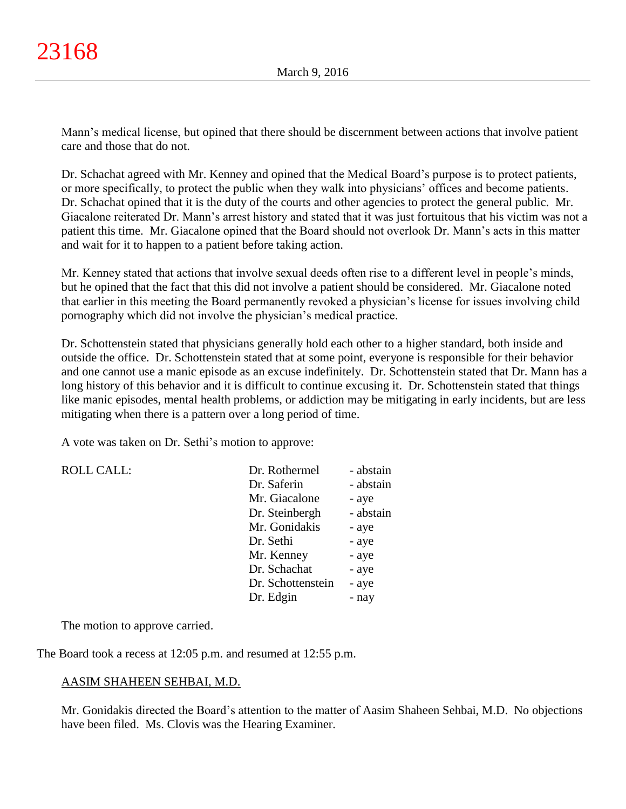Mann's medical license, but opined that there should be discernment between actions that involve patient care and those that do not.

Dr. Schachat agreed with Mr. Kenney and opined that the Medical Board's purpose is to protect patients, or more specifically, to protect the public when they walk into physicians' offices and become patients. Dr. Schachat opined that it is the duty of the courts and other agencies to protect the general public. Mr. Giacalone reiterated Dr. Mann's arrest history and stated that it was just fortuitous that his victim was not a patient this time. Mr. Giacalone opined that the Board should not overlook Dr. Mann's acts in this matter and wait for it to happen to a patient before taking action.

Mr. Kenney stated that actions that involve sexual deeds often rise to a different level in people's minds, but he opined that the fact that this did not involve a patient should be considered. Mr. Giacalone noted that earlier in this meeting the Board permanently revoked a physician's license for issues involving child pornography which did not involve the physician's medical practice.

Dr. Schottenstein stated that physicians generally hold each other to a higher standard, both inside and outside the office. Dr. Schottenstein stated that at some point, everyone is responsible for their behavior and one cannot use a manic episode as an excuse indefinitely. Dr. Schottenstein stated that Dr. Mann has a long history of this behavior and it is difficult to continue excusing it. Dr. Schottenstein stated that things like manic episodes, mental health problems, or addiction may be mitigating in early incidents, but are less mitigating when there is a pattern over a long period of time.

A vote was taken on Dr. Sethi's motion to approve:

| <b>ROLL CALL:</b> | Dr. Rothermel     | - abstain |
|-------------------|-------------------|-----------|
|                   | Dr. Saferin       | - abstain |
|                   | Mr. Giacalone     | - aye     |
|                   | Dr. Steinbergh    | - abstain |
|                   | Mr. Gonidakis     | - aye     |
|                   | Dr. Sethi         | - aye     |
|                   | Mr. Kenney        | - aye     |
|                   | Dr. Schachat      | - aye     |
|                   | Dr. Schottenstein | - aye     |
|                   | Dr. Edgin         | - nay     |
|                   |                   |           |

The motion to approve carried.

The Board took a recess at 12:05 p.m. and resumed at 12:55 p.m.

# AASIM SHAHEEN SEHBAI, M.D.

Mr. Gonidakis directed the Board's attention to the matter of Aasim Shaheen Sehbai, M.D. No objections have been filed. Ms. Clovis was the Hearing Examiner.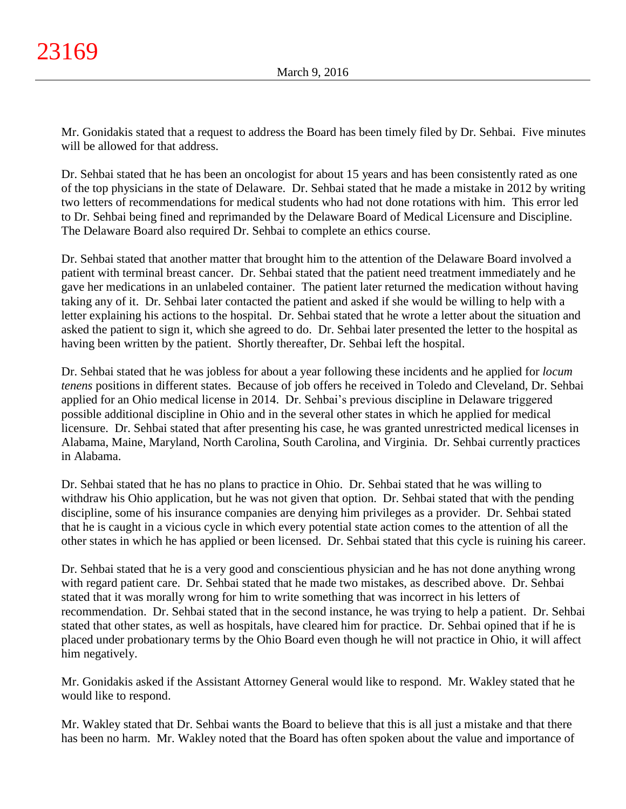Mr. Gonidakis stated that a request to address the Board has been timely filed by Dr. Sehbai. Five minutes will be allowed for that address.

Dr. Sehbai stated that he has been an oncologist for about 15 years and has been consistently rated as one of the top physicians in the state of Delaware. Dr. Sehbai stated that he made a mistake in 2012 by writing two letters of recommendations for medical students who had not done rotations with him. This error led to Dr. Sehbai being fined and reprimanded by the Delaware Board of Medical Licensure and Discipline. The Delaware Board also required Dr. Sehbai to complete an ethics course.

Dr. Sehbai stated that another matter that brought him to the attention of the Delaware Board involved a patient with terminal breast cancer. Dr. Sehbai stated that the patient need treatment immediately and he gave her medications in an unlabeled container. The patient later returned the medication without having taking any of it. Dr. Sehbai later contacted the patient and asked if she would be willing to help with a letter explaining his actions to the hospital. Dr. Sehbai stated that he wrote a letter about the situation and asked the patient to sign it, which she agreed to do. Dr. Sehbai later presented the letter to the hospital as having been written by the patient. Shortly thereafter, Dr. Sehbai left the hospital.

Dr. Sehbai stated that he was jobless for about a year following these incidents and he applied for *locum tenens* positions in different states. Because of job offers he received in Toledo and Cleveland, Dr. Sehbai applied for an Ohio medical license in 2014. Dr. Sehbai's previous discipline in Delaware triggered possible additional discipline in Ohio and in the several other states in which he applied for medical licensure. Dr. Sehbai stated that after presenting his case, he was granted unrestricted medical licenses in Alabama, Maine, Maryland, North Carolina, South Carolina, and Virginia. Dr. Sehbai currently practices in Alabama.

Dr. Sehbai stated that he has no plans to practice in Ohio. Dr. Sehbai stated that he was willing to withdraw his Ohio application, but he was not given that option. Dr. Sehbai stated that with the pending discipline, some of his insurance companies are denying him privileges as a provider. Dr. Sehbai stated that he is caught in a vicious cycle in which every potential state action comes to the attention of all the other states in which he has applied or been licensed. Dr. Sehbai stated that this cycle is ruining his career.

Dr. Sehbai stated that he is a very good and conscientious physician and he has not done anything wrong with regard patient care. Dr. Sehbai stated that he made two mistakes, as described above. Dr. Sehbai stated that it was morally wrong for him to write something that was incorrect in his letters of recommendation. Dr. Sehbai stated that in the second instance, he was trying to help a patient. Dr. Sehbai stated that other states, as well as hospitals, have cleared him for practice. Dr. Sehbai opined that if he is placed under probationary terms by the Ohio Board even though he will not practice in Ohio, it will affect him negatively.

Mr. Gonidakis asked if the Assistant Attorney General would like to respond. Mr. Wakley stated that he would like to respond.

Mr. Wakley stated that Dr. Sehbai wants the Board to believe that this is all just a mistake and that there has been no harm. Mr. Wakley noted that the Board has often spoken about the value and importance of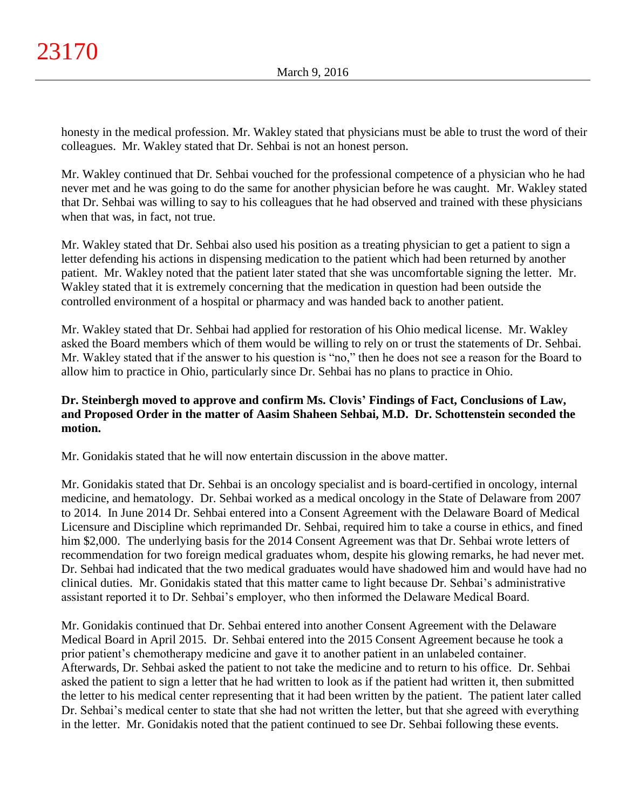honesty in the medical profession. Mr. Wakley stated that physicians must be able to trust the word of their colleagues. Mr. Wakley stated that Dr. Sehbai is not an honest person.

Mr. Wakley continued that Dr. Sehbai vouched for the professional competence of a physician who he had never met and he was going to do the same for another physician before he was caught. Mr. Wakley stated that Dr. Sehbai was willing to say to his colleagues that he had observed and trained with these physicians when that was, in fact, not true.

Mr. Wakley stated that Dr. Sehbai also used his position as a treating physician to get a patient to sign a letter defending his actions in dispensing medication to the patient which had been returned by another patient. Mr. Wakley noted that the patient later stated that she was uncomfortable signing the letter. Mr. Wakley stated that it is extremely concerning that the medication in question had been outside the controlled environment of a hospital or pharmacy and was handed back to another patient.

Mr. Wakley stated that Dr. Sehbai had applied for restoration of his Ohio medical license. Mr. Wakley asked the Board members which of them would be willing to rely on or trust the statements of Dr. Sehbai. Mr. Wakley stated that if the answer to his question is "no," then he does not see a reason for the Board to allow him to practice in Ohio, particularly since Dr. Sehbai has no plans to practice in Ohio.

# **Dr. Steinbergh moved to approve and confirm Ms. Clovis' Findings of Fact, Conclusions of Law, and Proposed Order in the matter of Aasim Shaheen Sehbai, M.D. Dr. Schottenstein seconded the motion.**

Mr. Gonidakis stated that he will now entertain discussion in the above matter.

Mr. Gonidakis stated that Dr. Sehbai is an oncology specialist and is board-certified in oncology, internal medicine, and hematology. Dr. Sehbai worked as a medical oncology in the State of Delaware from 2007 to 2014. In June 2014 Dr. Sehbai entered into a Consent Agreement with the Delaware Board of Medical Licensure and Discipline which reprimanded Dr. Sehbai, required him to take a course in ethics, and fined him \$2,000. The underlying basis for the 2014 Consent Agreement was that Dr. Sehbai wrote letters of recommendation for two foreign medical graduates whom, despite his glowing remarks, he had never met. Dr. Sehbai had indicated that the two medical graduates would have shadowed him and would have had no clinical duties. Mr. Gonidakis stated that this matter came to light because Dr. Sehbai's administrative assistant reported it to Dr. Sehbai's employer, who then informed the Delaware Medical Board.

Mr. Gonidakis continued that Dr. Sehbai entered into another Consent Agreement with the Delaware Medical Board in April 2015. Dr. Sehbai entered into the 2015 Consent Agreement because he took a prior patient's chemotherapy medicine and gave it to another patient in an unlabeled container. Afterwards, Dr. Sehbai asked the patient to not take the medicine and to return to his office. Dr. Sehbai asked the patient to sign a letter that he had written to look as if the patient had written it, then submitted the letter to his medical center representing that it had been written by the patient. The patient later called Dr. Sehbai's medical center to state that she had not written the letter, but that she agreed with everything in the letter. Mr. Gonidakis noted that the patient continued to see Dr. Sehbai following these events.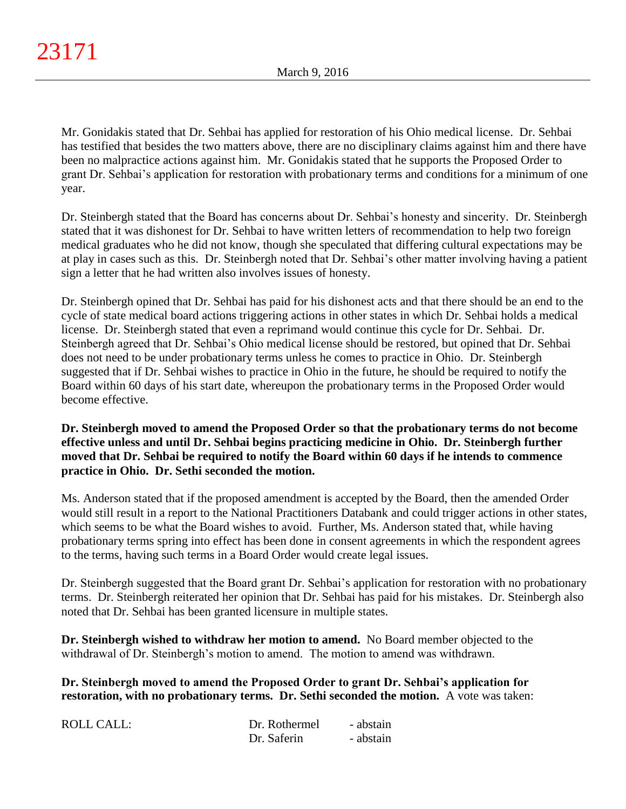Mr. Gonidakis stated that Dr. Sehbai has applied for restoration of his Ohio medical license. Dr. Sehbai has testified that besides the two matters above, there are no disciplinary claims against him and there have been no malpractice actions against him. Mr. Gonidakis stated that he supports the Proposed Order to grant Dr. Sehbai's application for restoration with probationary terms and conditions for a minimum of one year.

Dr. Steinbergh stated that the Board has concerns about Dr. Sehbai's honesty and sincerity. Dr. Steinbergh stated that it was dishonest for Dr. Sehbai to have written letters of recommendation to help two foreign medical graduates who he did not know, though she speculated that differing cultural expectations may be at play in cases such as this. Dr. Steinbergh noted that Dr. Sehbai's other matter involving having a patient sign a letter that he had written also involves issues of honesty.

Dr. Steinbergh opined that Dr. Sehbai has paid for his dishonest acts and that there should be an end to the cycle of state medical board actions triggering actions in other states in which Dr. Sehbai holds a medical license. Dr. Steinbergh stated that even a reprimand would continue this cycle for Dr. Sehbai. Dr. Steinbergh agreed that Dr. Sehbai's Ohio medical license should be restored, but opined that Dr. Sehbai does not need to be under probationary terms unless he comes to practice in Ohio. Dr. Steinbergh suggested that if Dr. Sehbai wishes to practice in Ohio in the future, he should be required to notify the Board within 60 days of his start date, whereupon the probationary terms in the Proposed Order would become effective.

# **Dr. Steinbergh moved to amend the Proposed Order so that the probationary terms do not become effective unless and until Dr. Sehbai begins practicing medicine in Ohio. Dr. Steinbergh further moved that Dr. Sehbai be required to notify the Board within 60 days if he intends to commence practice in Ohio. Dr. Sethi seconded the motion.**

Ms. Anderson stated that if the proposed amendment is accepted by the Board, then the amended Order would still result in a report to the National Practitioners Databank and could trigger actions in other states, which seems to be what the Board wishes to avoid. Further, Ms. Anderson stated that, while having probationary terms spring into effect has been done in consent agreements in which the respondent agrees to the terms, having such terms in a Board Order would create legal issues.

Dr. Steinbergh suggested that the Board grant Dr. Sehbai's application for restoration with no probationary terms. Dr. Steinbergh reiterated her opinion that Dr. Sehbai has paid for his mistakes. Dr. Steinbergh also noted that Dr. Sehbai has been granted licensure in multiple states.

**Dr. Steinbergh wished to withdraw her motion to amend.** No Board member objected to the withdrawal of Dr. Steinbergh's motion to amend. The motion to amend was withdrawn.

**Dr. Steinbergh moved to amend the Proposed Order to grant Dr. Sehbai's application for restoration, with no probationary terms. Dr. Sethi seconded the motion.** A vote was taken:

| ROLL CALL: | Dr. Rothermel | - abstain |
|------------|---------------|-----------|
|            | Dr. Saferin   | - abstain |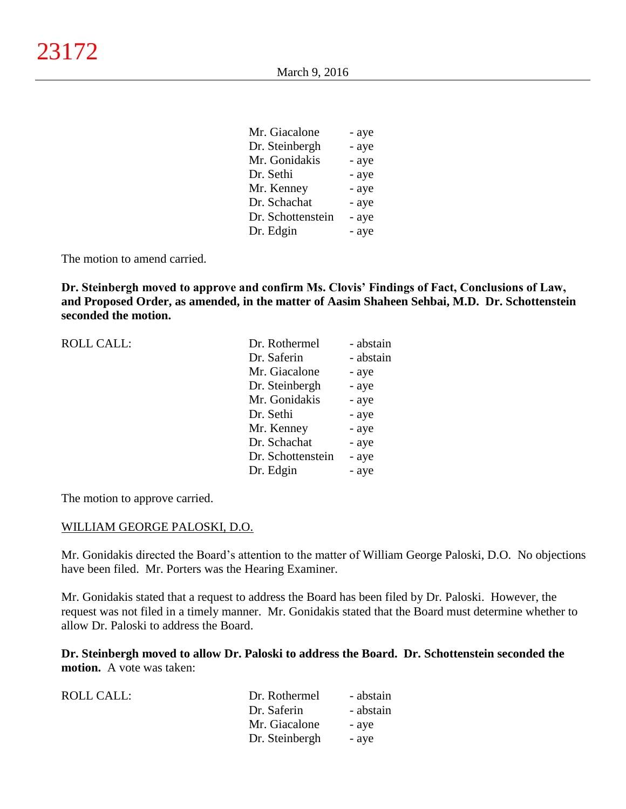| Mr. Giacalone     | - aye |
|-------------------|-------|
| Dr. Steinbergh    | - aye |
| Mr. Gonidakis     | - aye |
| Dr. Sethi         | - aye |
| Mr. Kenney        | - aye |
| Dr. Schachat      | - aye |
| Dr. Schottenstein | - aye |
| Dr. Edgin         | - aye |
|                   |       |

The motion to amend carried.

**Dr. Steinbergh moved to approve and confirm Ms. Clovis' Findings of Fact, Conclusions of Law, and Proposed Order, as amended, in the matter of Aasim Shaheen Sehbai, M.D. Dr. Schottenstein seconded the motion.**

| <b>ROLL CALL:</b> | Dr. Rothermel     | - abstain |
|-------------------|-------------------|-----------|
|                   | Dr. Saferin       | - abstain |
|                   | Mr. Giacalone     | - aye     |
|                   | Dr. Steinbergh    | - aye     |
|                   | Mr. Gonidakis     | - aye     |
|                   | Dr. Sethi         | - aye     |
|                   | Mr. Kenney        | - aye     |
|                   | Dr. Schachat      | - aye     |
|                   | Dr. Schottenstein | - aye     |
|                   | Dr. Edgin         | - aye     |
|                   |                   |           |

The motion to approve carried.

### WILLIAM GEORGE PALOSKI, D.O.

Mr. Gonidakis directed the Board's attention to the matter of William George Paloski, D.O. No objections have been filed. Mr. Porters was the Hearing Examiner.

Mr. Gonidakis stated that a request to address the Board has been filed by Dr. Paloski. However, the request was not filed in a timely manner. Mr. Gonidakis stated that the Board must determine whether to allow Dr. Paloski to address the Board.

**Dr. Steinbergh moved to allow Dr. Paloski to address the Board. Dr. Schottenstein seconded the motion.** A vote was taken:

| ROLL CALL: | Dr. Rothermel  | - abstain |
|------------|----------------|-----------|
|            | Dr. Saferin    | - abstain |
|            | Mr. Giacalone  | - ave     |
|            | Dr. Steinbergh | - aye     |
|            |                |           |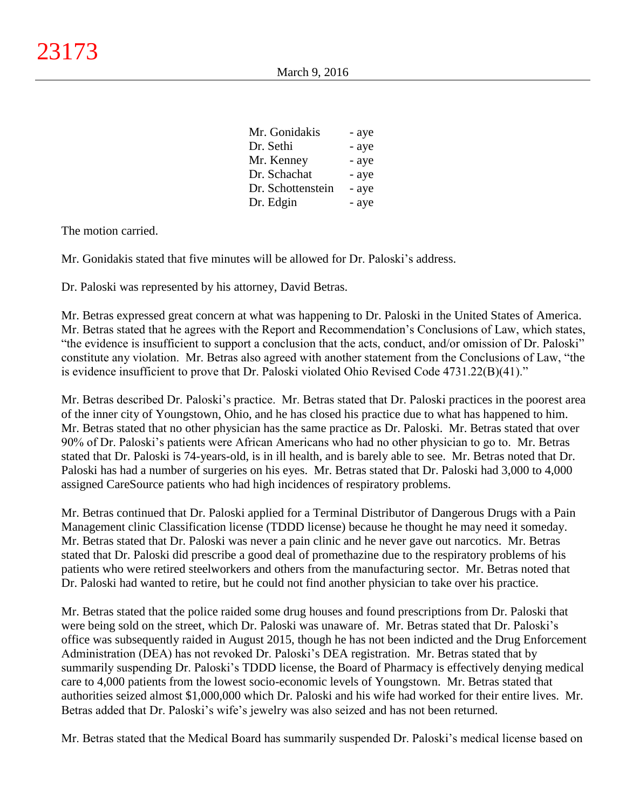| - aye |
|-------|
| - aye |
| - aye |
| - aye |
| - aye |
| - aye |
|       |

The motion carried.

Mr. Gonidakis stated that five minutes will be allowed for Dr. Paloski's address.

Dr. Paloski was represented by his attorney, David Betras.

Mr. Betras expressed great concern at what was happening to Dr. Paloski in the United States of America. Mr. Betras stated that he agrees with the Report and Recommendation's Conclusions of Law, which states, "the evidence is insufficient to support a conclusion that the acts, conduct, and/or omission of Dr. Paloski" constitute any violation. Mr. Betras also agreed with another statement from the Conclusions of Law, "the is evidence insufficient to prove that Dr. Paloski violated Ohio Revised Code 4731.22(B)(41)."

Mr. Betras described Dr. Paloski's practice. Mr. Betras stated that Dr. Paloski practices in the poorest area of the inner city of Youngstown, Ohio, and he has closed his practice due to what has happened to him. Mr. Betras stated that no other physician has the same practice as Dr. Paloski. Mr. Betras stated that over 90% of Dr. Paloski's patients were African Americans who had no other physician to go to. Mr. Betras stated that Dr. Paloski is 74-years-old, is in ill health, and is barely able to see. Mr. Betras noted that Dr. Paloski has had a number of surgeries on his eyes. Mr. Betras stated that Dr. Paloski had 3,000 to 4,000 assigned CareSource patients who had high incidences of respiratory problems.

Mr. Betras continued that Dr. Paloski applied for a Terminal Distributor of Dangerous Drugs with a Pain Management clinic Classification license (TDDD license) because he thought he may need it someday. Mr. Betras stated that Dr. Paloski was never a pain clinic and he never gave out narcotics. Mr. Betras stated that Dr. Paloski did prescribe a good deal of promethazine due to the respiratory problems of his patients who were retired steelworkers and others from the manufacturing sector. Mr. Betras noted that Dr. Paloski had wanted to retire, but he could not find another physician to take over his practice.

Mr. Betras stated that the police raided some drug houses and found prescriptions from Dr. Paloski that were being sold on the street, which Dr. Paloski was unaware of. Mr. Betras stated that Dr. Paloski's office was subsequently raided in August 2015, though he has not been indicted and the Drug Enforcement Administration (DEA) has not revoked Dr. Paloski's DEA registration. Mr. Betras stated that by summarily suspending Dr. Paloski's TDDD license, the Board of Pharmacy is effectively denying medical care to 4,000 patients from the lowest socio-economic levels of Youngstown. Mr. Betras stated that authorities seized almost \$1,000,000 which Dr. Paloski and his wife had worked for their entire lives. Mr. Betras added that Dr. Paloski's wife's jewelry was also seized and has not been returned.

Mr. Betras stated that the Medical Board has summarily suspended Dr. Paloski's medical license based on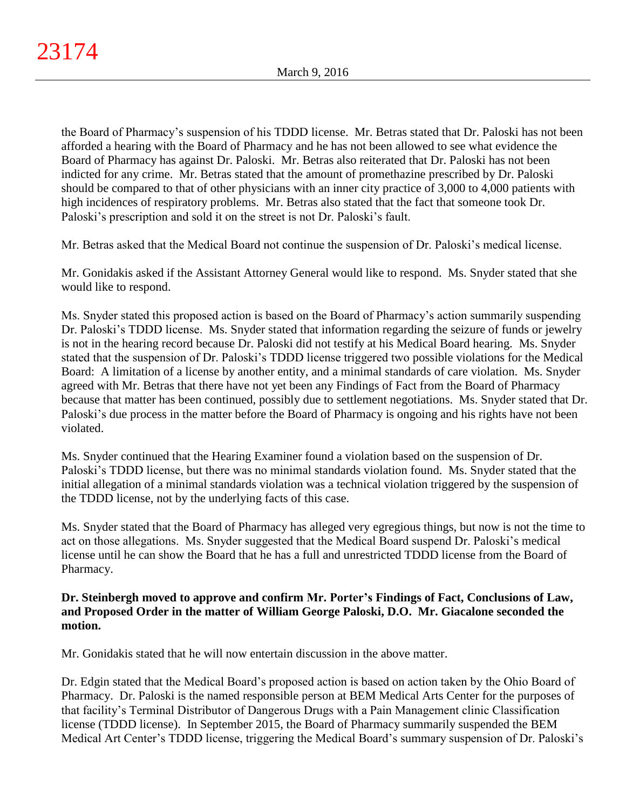the Board of Pharmacy's suspension of his TDDD license. Mr. Betras stated that Dr. Paloski has not been afforded a hearing with the Board of Pharmacy and he has not been allowed to see what evidence the Board of Pharmacy has against Dr. Paloski. Mr. Betras also reiterated that Dr. Paloski has not been indicted for any crime. Mr. Betras stated that the amount of promethazine prescribed by Dr. Paloski should be compared to that of other physicians with an inner city practice of 3,000 to 4,000 patients with high incidences of respiratory problems. Mr. Betras also stated that the fact that someone took Dr. Paloski's prescription and sold it on the street is not Dr. Paloski's fault.

Mr. Betras asked that the Medical Board not continue the suspension of Dr. Paloski's medical license.

Mr. Gonidakis asked if the Assistant Attorney General would like to respond. Ms. Snyder stated that she would like to respond.

Ms. Snyder stated this proposed action is based on the Board of Pharmacy's action summarily suspending Dr. Paloski's TDDD license. Ms. Snyder stated that information regarding the seizure of funds or jewelry is not in the hearing record because Dr. Paloski did not testify at his Medical Board hearing. Ms. Snyder stated that the suspension of Dr. Paloski's TDDD license triggered two possible violations for the Medical Board: A limitation of a license by another entity, and a minimal standards of care violation. Ms. Snyder agreed with Mr. Betras that there have not yet been any Findings of Fact from the Board of Pharmacy because that matter has been continued, possibly due to settlement negotiations. Ms. Snyder stated that Dr. Paloski's due process in the matter before the Board of Pharmacy is ongoing and his rights have not been violated.

Ms. Snyder continued that the Hearing Examiner found a violation based on the suspension of Dr. Paloski's TDDD license, but there was no minimal standards violation found. Ms. Snyder stated that the initial allegation of a minimal standards violation was a technical violation triggered by the suspension of the TDDD license, not by the underlying facts of this case.

Ms. Snyder stated that the Board of Pharmacy has alleged very egregious things, but now is not the time to act on those allegations. Ms. Snyder suggested that the Medical Board suspend Dr. Paloski's medical license until he can show the Board that he has a full and unrestricted TDDD license from the Board of Pharmacy.

# **Dr. Steinbergh moved to approve and confirm Mr. Porter's Findings of Fact, Conclusions of Law, and Proposed Order in the matter of William George Paloski, D.O. Mr. Giacalone seconded the motion.**

Mr. Gonidakis stated that he will now entertain discussion in the above matter.

Dr. Edgin stated that the Medical Board's proposed action is based on action taken by the Ohio Board of Pharmacy. Dr. Paloski is the named responsible person at BEM Medical Arts Center for the purposes of that facility's Terminal Distributor of Dangerous Drugs with a Pain Management clinic Classification license (TDDD license). In September 2015, the Board of Pharmacy summarily suspended the BEM Medical Art Center's TDDD license, triggering the Medical Board's summary suspension of Dr. Paloski's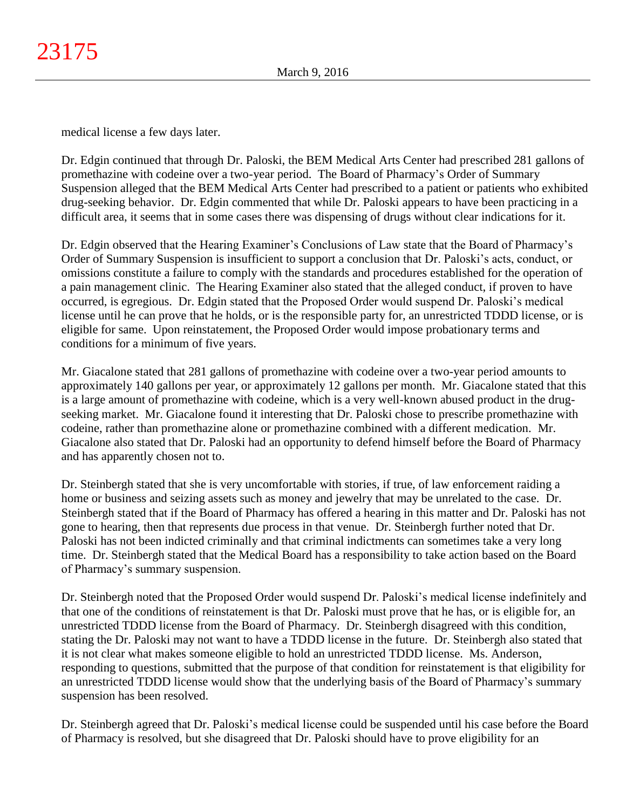medical license a few days later.

Dr. Edgin continued that through Dr. Paloski, the BEM Medical Arts Center had prescribed 281 gallons of promethazine with codeine over a two-year period. The Board of Pharmacy's Order of Summary Suspension alleged that the BEM Medical Arts Center had prescribed to a patient or patients who exhibited drug-seeking behavior. Dr. Edgin commented that while Dr. Paloski appears to have been practicing in a difficult area, it seems that in some cases there was dispensing of drugs without clear indications for it.

Dr. Edgin observed that the Hearing Examiner's Conclusions of Law state that the Board of Pharmacy's Order of Summary Suspension is insufficient to support a conclusion that Dr. Paloski's acts, conduct, or omissions constitute a failure to comply with the standards and procedures established for the operation of a pain management clinic. The Hearing Examiner also stated that the alleged conduct, if proven to have occurred, is egregious. Dr. Edgin stated that the Proposed Order would suspend Dr. Paloski's medical license until he can prove that he holds, or is the responsible party for, an unrestricted TDDD license, or is eligible for same. Upon reinstatement, the Proposed Order would impose probationary terms and conditions for a minimum of five years.

Mr. Giacalone stated that 281 gallons of promethazine with codeine over a two-year period amounts to approximately 140 gallons per year, or approximately 12 gallons per month. Mr. Giacalone stated that this is a large amount of promethazine with codeine, which is a very well-known abused product in the drugseeking market. Mr. Giacalone found it interesting that Dr. Paloski chose to prescribe promethazine with codeine, rather than promethazine alone or promethazine combined with a different medication. Mr. Giacalone also stated that Dr. Paloski had an opportunity to defend himself before the Board of Pharmacy and has apparently chosen not to.

Dr. Steinbergh stated that she is very uncomfortable with stories, if true, of law enforcement raiding a home or business and seizing assets such as money and jewelry that may be unrelated to the case. Dr. Steinbergh stated that if the Board of Pharmacy has offered a hearing in this matter and Dr. Paloski has not gone to hearing, then that represents due process in that venue. Dr. Steinbergh further noted that Dr. Paloski has not been indicted criminally and that criminal indictments can sometimes take a very long time. Dr. Steinbergh stated that the Medical Board has a responsibility to take action based on the Board of Pharmacy's summary suspension.

Dr. Steinbergh noted that the Proposed Order would suspend Dr. Paloski's medical license indefinitely and that one of the conditions of reinstatement is that Dr. Paloski must prove that he has, or is eligible for, an unrestricted TDDD license from the Board of Pharmacy. Dr. Steinbergh disagreed with this condition, stating the Dr. Paloski may not want to have a TDDD license in the future. Dr. Steinbergh also stated that it is not clear what makes someone eligible to hold an unrestricted TDDD license. Ms. Anderson, responding to questions, submitted that the purpose of that condition for reinstatement is that eligibility for an unrestricted TDDD license would show that the underlying basis of the Board of Pharmacy's summary suspension has been resolved.

Dr. Steinbergh agreed that Dr. Paloski's medical license could be suspended until his case before the Board of Pharmacy is resolved, but she disagreed that Dr. Paloski should have to prove eligibility for an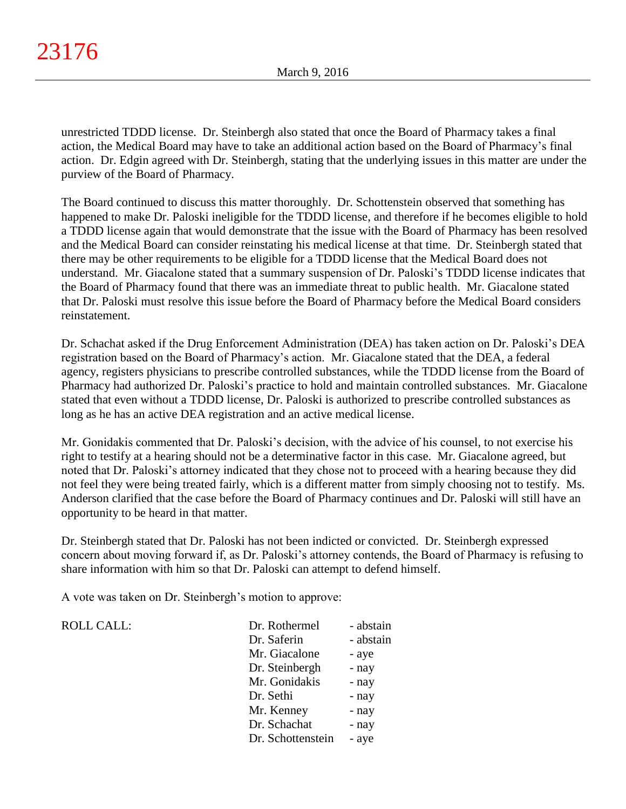unrestricted TDDD license. Dr. Steinbergh also stated that once the Board of Pharmacy takes a final action, the Medical Board may have to take an additional action based on the Board of Pharmacy's final action. Dr. Edgin agreed with Dr. Steinbergh, stating that the underlying issues in this matter are under the purview of the Board of Pharmacy.

The Board continued to discuss this matter thoroughly. Dr. Schottenstein observed that something has happened to make Dr. Paloski ineligible for the TDDD license, and therefore if he becomes eligible to hold a TDDD license again that would demonstrate that the issue with the Board of Pharmacy has been resolved and the Medical Board can consider reinstating his medical license at that time. Dr. Steinbergh stated that there may be other requirements to be eligible for a TDDD license that the Medical Board does not understand. Mr. Giacalone stated that a summary suspension of Dr. Paloski's TDDD license indicates that the Board of Pharmacy found that there was an immediate threat to public health. Mr. Giacalone stated that Dr. Paloski must resolve this issue before the Board of Pharmacy before the Medical Board considers reinstatement.

Dr. Schachat asked if the Drug Enforcement Administration (DEA) has taken action on Dr. Paloski's DEA registration based on the Board of Pharmacy's action. Mr. Giacalone stated that the DEA, a federal agency, registers physicians to prescribe controlled substances, while the TDDD license from the Board of Pharmacy had authorized Dr. Paloski's practice to hold and maintain controlled substances. Mr. Giacalone stated that even without a TDDD license, Dr. Paloski is authorized to prescribe controlled substances as long as he has an active DEA registration and an active medical license.

Mr. Gonidakis commented that Dr. Paloski's decision, with the advice of his counsel, to not exercise his right to testify at a hearing should not be a determinative factor in this case. Mr. Giacalone agreed, but noted that Dr. Paloski's attorney indicated that they chose not to proceed with a hearing because they did not feel they were being treated fairly, which is a different matter from simply choosing not to testify. Ms. Anderson clarified that the case before the Board of Pharmacy continues and Dr. Paloski will still have an opportunity to be heard in that matter.

Dr. Steinbergh stated that Dr. Paloski has not been indicted or convicted. Dr. Steinbergh expressed concern about moving forward if, as Dr. Paloski's attorney contends, the Board of Pharmacy is refusing to share information with him so that Dr. Paloski can attempt to defend himself.

A vote was taken on Dr. Steinbergh's motion to approve:

ROLL CALL:

| Dr. Rothermel     | - abstain |
|-------------------|-----------|
| Dr. Saferin       | - abstain |
| Mr. Giacalone     | - aye     |
| Dr. Steinbergh    | - nay     |
| Mr. Gonidakis     | - nay     |
| Dr. Sethi         | - nay     |
| Mr. Kenney        | - nay     |
| Dr. Schachat      | - nay     |
| Dr. Schottenstein | - aye     |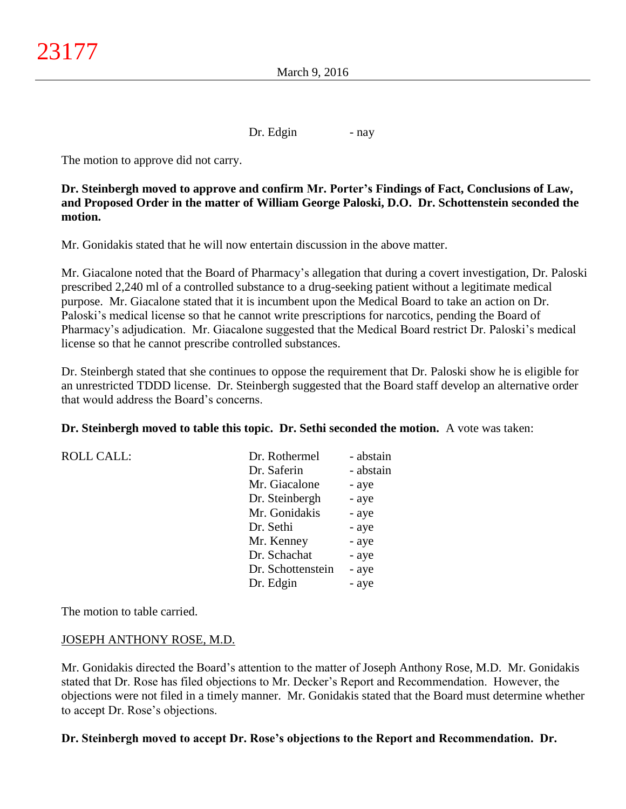Dr. Edgin - nay

The motion to approve did not carry.

**Dr. Steinbergh moved to approve and confirm Mr. Porter's Findings of Fact, Conclusions of Law, and Proposed Order in the matter of William George Paloski, D.O. Dr. Schottenstein seconded the motion.**

Mr. Gonidakis stated that he will now entertain discussion in the above matter.

Mr. Giacalone noted that the Board of Pharmacy's allegation that during a covert investigation, Dr. Paloski prescribed 2,240 ml of a controlled substance to a drug-seeking patient without a legitimate medical purpose. Mr. Giacalone stated that it is incumbent upon the Medical Board to take an action on Dr. Paloski's medical license so that he cannot write prescriptions for narcotics, pending the Board of Pharmacy's adjudication. Mr. Giacalone suggested that the Medical Board restrict Dr. Paloski's medical license so that he cannot prescribe controlled substances.

Dr. Steinbergh stated that she continues to oppose the requirement that Dr. Paloski show he is eligible for an unrestricted TDDD license. Dr. Steinbergh suggested that the Board staff develop an alternative order that would address the Board's concerns.

**Dr. Steinbergh moved to table this topic. Dr. Sethi seconded the motion.** A vote was taken:

| <b>ROLL CALL:</b> | Dr. Rothermel     | - abstain |
|-------------------|-------------------|-----------|
|                   | Dr. Saferin       | - abstain |
|                   | Mr. Giacalone     | - aye     |
|                   | Dr. Steinbergh    | - aye     |
|                   | Mr. Gonidakis     | - aye     |
|                   | Dr. Sethi         | - aye     |
|                   | Mr. Kenney        | - aye     |
|                   | Dr. Schachat      | - aye     |
|                   | Dr. Schottenstein | - aye     |
|                   | Dr. Edgin         | - aye     |

The motion to table carried.

## JOSEPH ANTHONY ROSE, M.D.

Mr. Gonidakis directed the Board's attention to the matter of Joseph Anthony Rose, M.D. Mr. Gonidakis stated that Dr. Rose has filed objections to Mr. Decker's Report and Recommendation. However, the objections were not filed in a timely manner. Mr. Gonidakis stated that the Board must determine whether to accept Dr. Rose's objections.

## **Dr. Steinbergh moved to accept Dr. Rose's objections to the Report and Recommendation. Dr.**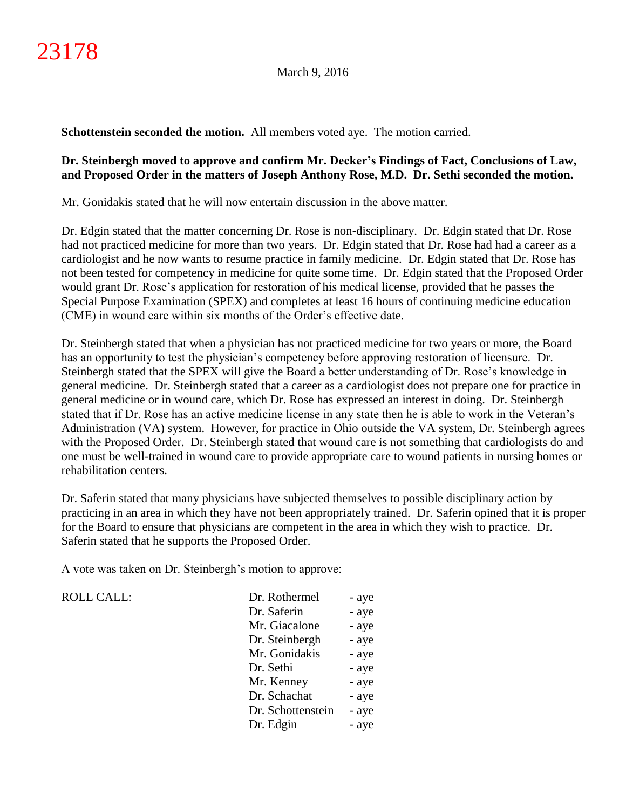**Schottenstein seconded the motion.** All members voted aye. The motion carried.

## **Dr. Steinbergh moved to approve and confirm Mr. Decker's Findings of Fact, Conclusions of Law, and Proposed Order in the matters of Joseph Anthony Rose, M.D. Dr. Sethi seconded the motion.**

Mr. Gonidakis stated that he will now entertain discussion in the above matter.

Dr. Edgin stated that the matter concerning Dr. Rose is non-disciplinary. Dr. Edgin stated that Dr. Rose had not practiced medicine for more than two years. Dr. Edgin stated that Dr. Rose had had a career as a cardiologist and he now wants to resume practice in family medicine. Dr. Edgin stated that Dr. Rose has not been tested for competency in medicine for quite some time. Dr. Edgin stated that the Proposed Order would grant Dr. Rose's application for restoration of his medical license, provided that he passes the Special Purpose Examination (SPEX) and completes at least 16 hours of continuing medicine education (CME) in wound care within six months of the Order's effective date.

Dr. Steinbergh stated that when a physician has not practiced medicine for two years or more, the Board has an opportunity to test the physician's competency before approving restoration of licensure. Dr. Steinbergh stated that the SPEX will give the Board a better understanding of Dr. Rose's knowledge in general medicine. Dr. Steinbergh stated that a career as a cardiologist does not prepare one for practice in general medicine or in wound care, which Dr. Rose has expressed an interest in doing. Dr. Steinbergh stated that if Dr. Rose has an active medicine license in any state then he is able to work in the Veteran's Administration (VA) system. However, for practice in Ohio outside the VA system, Dr. Steinbergh agrees with the Proposed Order. Dr. Steinbergh stated that wound care is not something that cardiologists do and one must be well-trained in wound care to provide appropriate care to wound patients in nursing homes or rehabilitation centers.

Dr. Saferin stated that many physicians have subjected themselves to possible disciplinary action by practicing in an area in which they have not been appropriately trained. Dr. Saferin opined that it is proper for the Board to ensure that physicians are competent in the area in which they wish to practice. Dr. Saferin stated that he supports the Proposed Order.

A vote was taken on Dr. Steinbergh's motion to approve:

| <b>ROLL CALL:</b> | Dr. Rothermel     | - aye |
|-------------------|-------------------|-------|
|                   | Dr. Saferin       | - aye |
|                   | Mr. Giacalone     | - aye |
|                   | Dr. Steinbergh    | - aye |
|                   | Mr. Gonidakis     | - aye |
|                   | Dr. Sethi         | - aye |
|                   | Mr. Kenney        | - aye |
|                   | Dr. Schachat      | - aye |
|                   | Dr. Schottenstein | - aye |
|                   | Dr. Edgin         | - aye |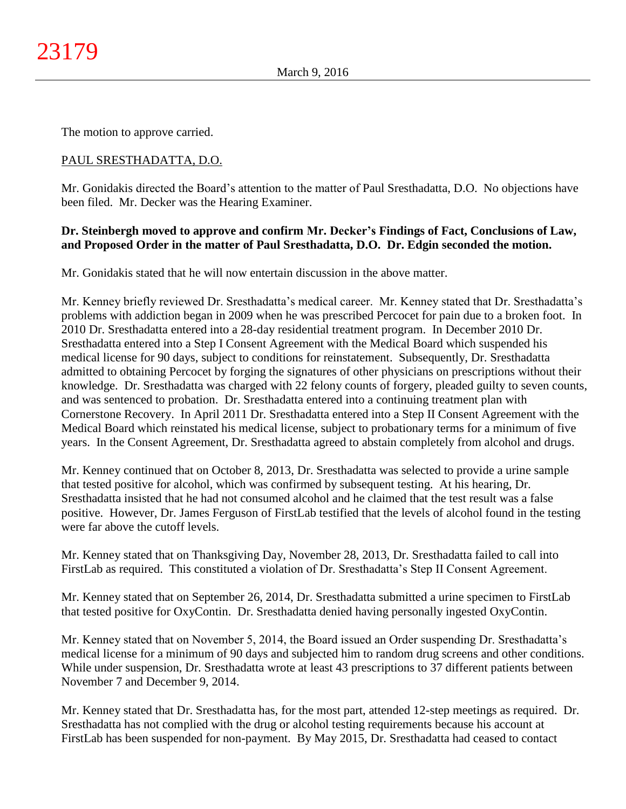The motion to approve carried.

# PAUL SRESTHADATTA, D.O.

Mr. Gonidakis directed the Board's attention to the matter of Paul Sresthadatta, D.O. No objections have been filed. Mr. Decker was the Hearing Examiner.

## **Dr. Steinbergh moved to approve and confirm Mr. Decker's Findings of Fact, Conclusions of Law, and Proposed Order in the matter of Paul Sresthadatta, D.O. Dr. Edgin seconded the motion.**

Mr. Gonidakis stated that he will now entertain discussion in the above matter.

Mr. Kenney briefly reviewed Dr. Sresthadatta's medical career. Mr. Kenney stated that Dr. Sresthadatta's problems with addiction began in 2009 when he was prescribed Percocet for pain due to a broken foot. In 2010 Dr. Sresthadatta entered into a 28-day residential treatment program. In December 2010 Dr. Sresthadatta entered into a Step I Consent Agreement with the Medical Board which suspended his medical license for 90 days, subject to conditions for reinstatement. Subsequently, Dr. Sresthadatta admitted to obtaining Percocet by forging the signatures of other physicians on prescriptions without their knowledge. Dr. Sresthadatta was charged with 22 felony counts of forgery, pleaded guilty to seven counts, and was sentenced to probation. Dr. Sresthadatta entered into a continuing treatment plan with Cornerstone Recovery. In April 2011 Dr. Sresthadatta entered into a Step II Consent Agreement with the Medical Board which reinstated his medical license, subject to probationary terms for a minimum of five years. In the Consent Agreement, Dr. Sresthadatta agreed to abstain completely from alcohol and drugs.

Mr. Kenney continued that on October 8, 2013, Dr. Sresthadatta was selected to provide a urine sample that tested positive for alcohol, which was confirmed by subsequent testing. At his hearing, Dr. Sresthadatta insisted that he had not consumed alcohol and he claimed that the test result was a false positive. However, Dr. James Ferguson of FirstLab testified that the levels of alcohol found in the testing were far above the cutoff levels.

Mr. Kenney stated that on Thanksgiving Day, November 28, 2013, Dr. Sresthadatta failed to call into FirstLab as required. This constituted a violation of Dr. Sresthadatta's Step II Consent Agreement.

Mr. Kenney stated that on September 26, 2014, Dr. Sresthadatta submitted a urine specimen to FirstLab that tested positive for OxyContin. Dr. Sresthadatta denied having personally ingested OxyContin.

Mr. Kenney stated that on November 5, 2014, the Board issued an Order suspending Dr. Sresthadatta's medical license for a minimum of 90 days and subjected him to random drug screens and other conditions. While under suspension, Dr. Sresthadatta wrote at least 43 prescriptions to 37 different patients between November 7 and December 9, 2014.

Mr. Kenney stated that Dr. Sresthadatta has, for the most part, attended 12-step meetings as required. Dr. Sresthadatta has not complied with the drug or alcohol testing requirements because his account at FirstLab has been suspended for non-payment. By May 2015, Dr. Sresthadatta had ceased to contact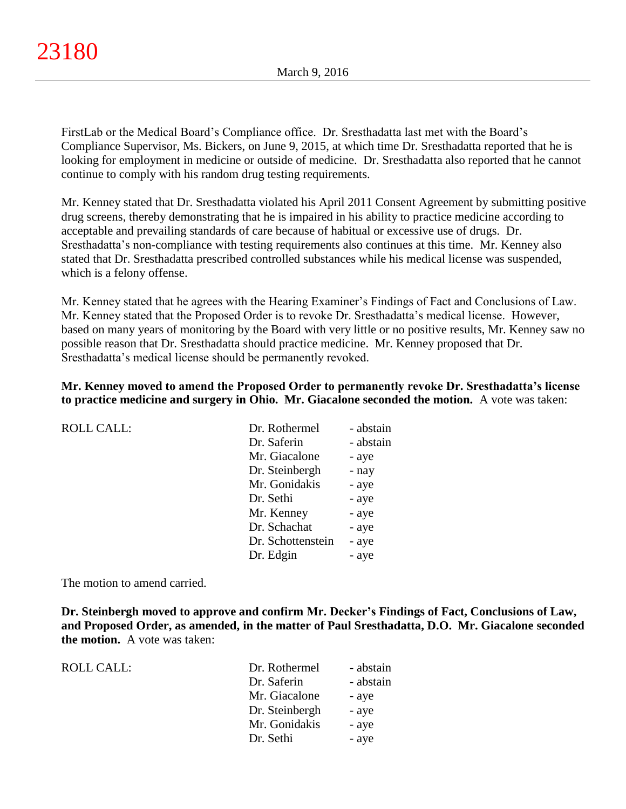FirstLab or the Medical Board's Compliance office. Dr. Sresthadatta last met with the Board's Compliance Supervisor, Ms. Bickers, on June 9, 2015, at which time Dr. Sresthadatta reported that he is looking for employment in medicine or outside of medicine. Dr. Sresthadatta also reported that he cannot continue to comply with his random drug testing requirements.

Mr. Kenney stated that Dr. Sresthadatta violated his April 2011 Consent Agreement by submitting positive drug screens, thereby demonstrating that he is impaired in his ability to practice medicine according to acceptable and prevailing standards of care because of habitual or excessive use of drugs. Dr. Sresthadatta's non-compliance with testing requirements also continues at this time. Mr. Kenney also stated that Dr. Sresthadatta prescribed controlled substances while his medical license was suspended, which is a felony offense.

Mr. Kenney stated that he agrees with the Hearing Examiner's Findings of Fact and Conclusions of Law. Mr. Kenney stated that the Proposed Order is to revoke Dr. Sresthadatta's medical license. However, based on many years of monitoring by the Board with very little or no positive results, Mr. Kenney saw no possible reason that Dr. Sresthadatta should practice medicine. Mr. Kenney proposed that Dr. Sresthadatta's medical license should be permanently revoked.

## **Mr. Kenney moved to amend the Proposed Order to permanently revoke Dr. Sresthadatta's license to practice medicine and surgery in Ohio. Mr. Giacalone seconded the motion.** A vote was taken:

| <b>ROLL CALL:</b> | Dr. Rothermel     | - abstain |
|-------------------|-------------------|-----------|
|                   | Dr. Saferin       | - abstain |
|                   | Mr. Giacalone     | - aye     |
|                   | Dr. Steinbergh    | - nay     |
|                   | Mr. Gonidakis     | - aye     |
|                   | Dr. Sethi         | - aye     |
|                   | Mr. Kenney        | - aye     |
|                   | Dr. Schachat      | - aye     |
|                   | Dr. Schottenstein | - aye     |
|                   | Dr. Edgin         | - aye     |
|                   |                   |           |

The motion to amend carried.

**Dr. Steinbergh moved to approve and confirm Mr. Decker's Findings of Fact, Conclusions of Law, and Proposed Order, as amended, in the matter of Paul Sresthadatta, D.O. Mr. Giacalone seconded the motion.** A vote was taken:

| ROLL CALL: | Dr. Rothermel  | - abstain |
|------------|----------------|-----------|
|            | Dr. Saferin    | - abstain |
|            | Mr. Giacalone  | - aye     |
|            | Dr. Steinbergh | - aye     |
|            | Mr. Gonidakis  | - aye     |
|            | Dr. Sethi      | - aye     |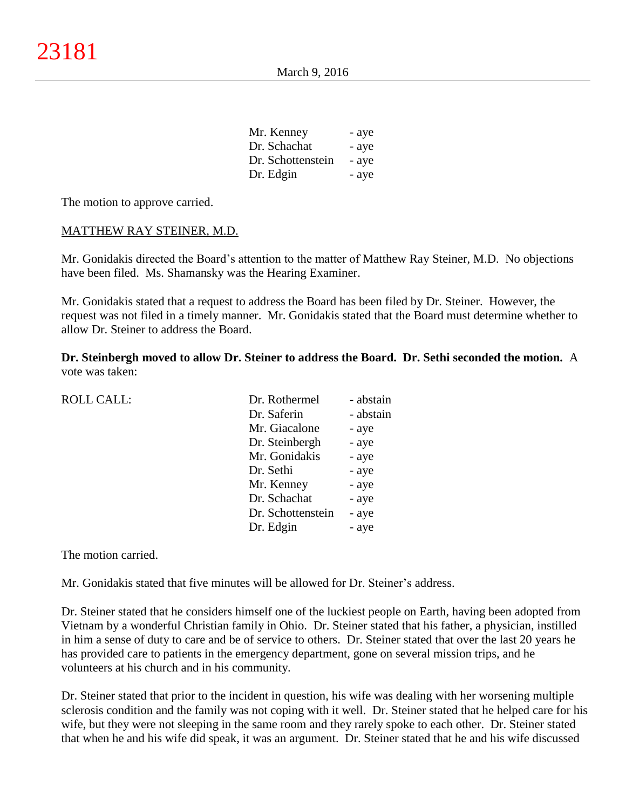| Mr. Kenney        | - aye |
|-------------------|-------|
| Dr. Schachat      | - aye |
| Dr. Schottenstein | - aye |
| Dr. Edgin         | - aye |

The motion to approve carried.

## MATTHEW RAY STEINER, M.D.

Mr. Gonidakis directed the Board's attention to the matter of Matthew Ray Steiner, M.D. No objections have been filed. Ms. Shamansky was the Hearing Examiner.

Mr. Gonidakis stated that a request to address the Board has been filed by Dr. Steiner. However, the request was not filed in a timely manner. Mr. Gonidakis stated that the Board must determine whether to allow Dr. Steiner to address the Board.

**Dr. Steinbergh moved to allow Dr. Steiner to address the Board. Dr. Sethi seconded the motion.** A vote was taken:

| <b>ROLL CALL:</b> | Dr. Rothermel     | - abstain |
|-------------------|-------------------|-----------|
|                   | Dr. Saferin       | - abstain |
|                   | Mr. Giacalone     | - aye     |
|                   | Dr. Steinbergh    | - aye     |
|                   | Mr. Gonidakis     | - aye     |
|                   | Dr. Sethi         | - aye     |
|                   | Mr. Kenney        | - aye     |
|                   | Dr. Schachat      | - aye     |
|                   | Dr. Schottenstein | - aye     |
|                   | Dr. Edgin         | - aye     |
|                   |                   |           |

The motion carried.

Mr. Gonidakis stated that five minutes will be allowed for Dr. Steiner's address.

Dr. Steiner stated that he considers himself one of the luckiest people on Earth, having been adopted from Vietnam by a wonderful Christian family in Ohio. Dr. Steiner stated that his father, a physician, instilled in him a sense of duty to care and be of service to others. Dr. Steiner stated that over the last 20 years he has provided care to patients in the emergency department, gone on several mission trips, and he volunteers at his church and in his community.

Dr. Steiner stated that prior to the incident in question, his wife was dealing with her worsening multiple sclerosis condition and the family was not coping with it well. Dr. Steiner stated that he helped care for his wife, but they were not sleeping in the same room and they rarely spoke to each other. Dr. Steiner stated that when he and his wife did speak, it was an argument. Dr. Steiner stated that he and his wife discussed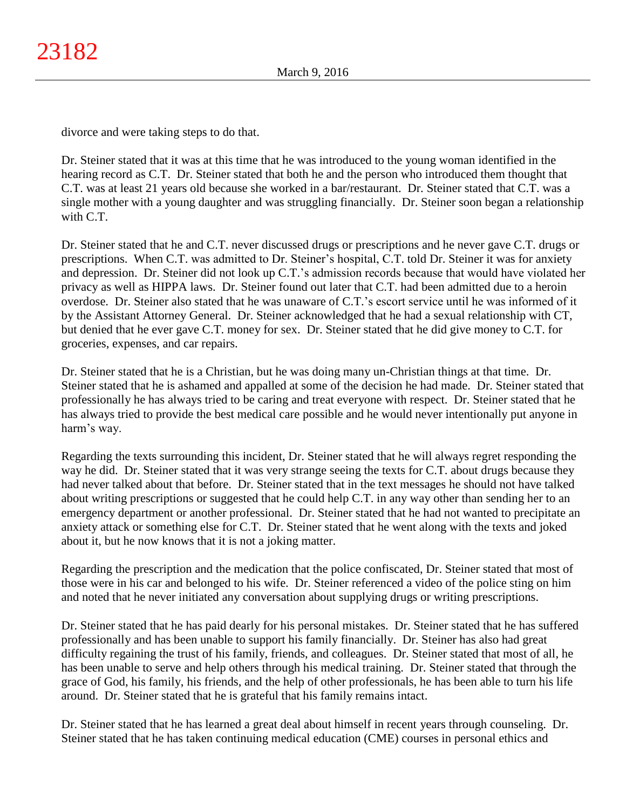divorce and were taking steps to do that.

Dr. Steiner stated that it was at this time that he was introduced to the young woman identified in the hearing record as C.T. Dr. Steiner stated that both he and the person who introduced them thought that C.T. was at least 21 years old because she worked in a bar/restaurant. Dr. Steiner stated that C.T. was a single mother with a young daughter and was struggling financially. Dr. Steiner soon began a relationship with C.T.

Dr. Steiner stated that he and C.T. never discussed drugs or prescriptions and he never gave C.T. drugs or prescriptions. When C.T. was admitted to Dr. Steiner's hospital, C.T. told Dr. Steiner it was for anxiety and depression. Dr. Steiner did not look up C.T.'s admission records because that would have violated her privacy as well as HIPPA laws. Dr. Steiner found out later that C.T. had been admitted due to a heroin overdose. Dr. Steiner also stated that he was unaware of C.T.'s escort service until he was informed of it by the Assistant Attorney General. Dr. Steiner acknowledged that he had a sexual relationship with CT, but denied that he ever gave C.T. money for sex. Dr. Steiner stated that he did give money to C.T. for groceries, expenses, and car repairs.

Dr. Steiner stated that he is a Christian, but he was doing many un-Christian things at that time. Dr. Steiner stated that he is ashamed and appalled at some of the decision he had made. Dr. Steiner stated that professionally he has always tried to be caring and treat everyone with respect. Dr. Steiner stated that he has always tried to provide the best medical care possible and he would never intentionally put anyone in harm's way.

Regarding the texts surrounding this incident, Dr. Steiner stated that he will always regret responding the way he did. Dr. Steiner stated that it was very strange seeing the texts for C.T. about drugs because they had never talked about that before. Dr. Steiner stated that in the text messages he should not have talked about writing prescriptions or suggested that he could help C.T. in any way other than sending her to an emergency department or another professional. Dr. Steiner stated that he had not wanted to precipitate an anxiety attack or something else for C.T. Dr. Steiner stated that he went along with the texts and joked about it, but he now knows that it is not a joking matter.

Regarding the prescription and the medication that the police confiscated, Dr. Steiner stated that most of those were in his car and belonged to his wife. Dr. Steiner referenced a video of the police sting on him and noted that he never initiated any conversation about supplying drugs or writing prescriptions.

Dr. Steiner stated that he has paid dearly for his personal mistakes. Dr. Steiner stated that he has suffered professionally and has been unable to support his family financially. Dr. Steiner has also had great difficulty regaining the trust of his family, friends, and colleagues. Dr. Steiner stated that most of all, he has been unable to serve and help others through his medical training. Dr. Steiner stated that through the grace of God, his family, his friends, and the help of other professionals, he has been able to turn his life around. Dr. Steiner stated that he is grateful that his family remains intact.

Dr. Steiner stated that he has learned a great deal about himself in recent years through counseling. Dr. Steiner stated that he has taken continuing medical education (CME) courses in personal ethics and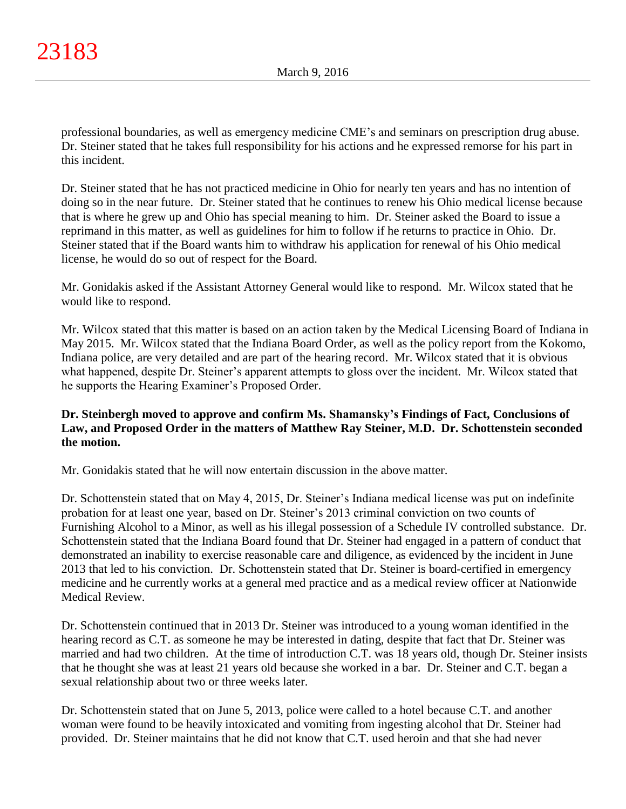professional boundaries, as well as emergency medicine CME's and seminars on prescription drug abuse. Dr. Steiner stated that he takes full responsibility for his actions and he expressed remorse for his part in this incident.

Dr. Steiner stated that he has not practiced medicine in Ohio for nearly ten years and has no intention of doing so in the near future. Dr. Steiner stated that he continues to renew his Ohio medical license because that is where he grew up and Ohio has special meaning to him. Dr. Steiner asked the Board to issue a reprimand in this matter, as well as guidelines for him to follow if he returns to practice in Ohio. Dr. Steiner stated that if the Board wants him to withdraw his application for renewal of his Ohio medical license, he would do so out of respect for the Board.

Mr. Gonidakis asked if the Assistant Attorney General would like to respond. Mr. Wilcox stated that he would like to respond.

Mr. Wilcox stated that this matter is based on an action taken by the Medical Licensing Board of Indiana in May 2015. Mr. Wilcox stated that the Indiana Board Order, as well as the policy report from the Kokomo, Indiana police, are very detailed and are part of the hearing record. Mr. Wilcox stated that it is obvious what happened, despite Dr. Steiner's apparent attempts to gloss over the incident. Mr. Wilcox stated that he supports the Hearing Examiner's Proposed Order.

# **Dr. Steinbergh moved to approve and confirm Ms. Shamansky's Findings of Fact, Conclusions of Law, and Proposed Order in the matters of Matthew Ray Steiner, M.D. Dr. Schottenstein seconded the motion.**

Mr. Gonidakis stated that he will now entertain discussion in the above matter.

Dr. Schottenstein stated that on May 4, 2015, Dr. Steiner's Indiana medical license was put on indefinite probation for at least one year, based on Dr. Steiner's 2013 criminal conviction on two counts of Furnishing Alcohol to a Minor, as well as his illegal possession of a Schedule IV controlled substance. Dr. Schottenstein stated that the Indiana Board found that Dr. Steiner had engaged in a pattern of conduct that demonstrated an inability to exercise reasonable care and diligence, as evidenced by the incident in June 2013 that led to his conviction. Dr. Schottenstein stated that Dr. Steiner is board-certified in emergency medicine and he currently works at a general med practice and as a medical review officer at Nationwide Medical Review.

Dr. Schottenstein continued that in 2013 Dr. Steiner was introduced to a young woman identified in the hearing record as C.T. as someone he may be interested in dating, despite that fact that Dr. Steiner was married and had two children. At the time of introduction C.T. was 18 years old, though Dr. Steiner insists that he thought she was at least 21 years old because she worked in a bar. Dr. Steiner and C.T. began a sexual relationship about two or three weeks later.

Dr. Schottenstein stated that on June 5, 2013, police were called to a hotel because C.T. and another woman were found to be heavily intoxicated and vomiting from ingesting alcohol that Dr. Steiner had provided. Dr. Steiner maintains that he did not know that C.T. used heroin and that she had never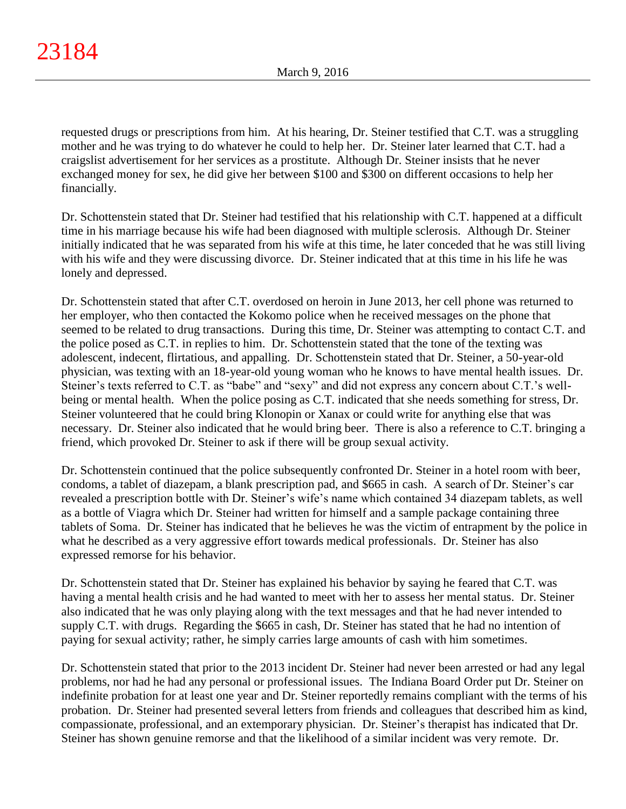requested drugs or prescriptions from him. At his hearing, Dr. Steiner testified that C.T. was a struggling mother and he was trying to do whatever he could to help her. Dr. Steiner later learned that C.T. had a craigslist advertisement for her services as a prostitute. Although Dr. Steiner insists that he never exchanged money for sex, he did give her between \$100 and \$300 on different occasions to help her financially.

Dr. Schottenstein stated that Dr. Steiner had testified that his relationship with C.T. happened at a difficult time in his marriage because his wife had been diagnosed with multiple sclerosis. Although Dr. Steiner initially indicated that he was separated from his wife at this time, he later conceded that he was still living with his wife and they were discussing divorce. Dr. Steiner indicated that at this time in his life he was lonely and depressed.

Dr. Schottenstein stated that after C.T. overdosed on heroin in June 2013, her cell phone was returned to her employer, who then contacted the Kokomo police when he received messages on the phone that seemed to be related to drug transactions. During this time, Dr. Steiner was attempting to contact C.T. and the police posed as C.T. in replies to him. Dr. Schottenstein stated that the tone of the texting was adolescent, indecent, flirtatious, and appalling. Dr. Schottenstein stated that Dr. Steiner, a 50-year-old physician, was texting with an 18-year-old young woman who he knows to have mental health issues. Dr. Steiner's texts referred to C.T. as "babe" and "sexy" and did not express any concern about C.T.'s wellbeing or mental health. When the police posing as C.T. indicated that she needs something for stress, Dr. Steiner volunteered that he could bring Klonopin or Xanax or could write for anything else that was necessary. Dr. Steiner also indicated that he would bring beer. There is also a reference to C.T. bringing a friend, which provoked Dr. Steiner to ask if there will be group sexual activity.

Dr. Schottenstein continued that the police subsequently confronted Dr. Steiner in a hotel room with beer, condoms, a tablet of diazepam, a blank prescription pad, and \$665 in cash. A search of Dr. Steiner's car revealed a prescription bottle with Dr. Steiner's wife's name which contained 34 diazepam tablets, as well as a bottle of Viagra which Dr. Steiner had written for himself and a sample package containing three tablets of Soma. Dr. Steiner has indicated that he believes he was the victim of entrapment by the police in what he described as a very aggressive effort towards medical professionals. Dr. Steiner has also expressed remorse for his behavior.

Dr. Schottenstein stated that Dr. Steiner has explained his behavior by saying he feared that C.T. was having a mental health crisis and he had wanted to meet with her to assess her mental status. Dr. Steiner also indicated that he was only playing along with the text messages and that he had never intended to supply C.T. with drugs. Regarding the \$665 in cash, Dr. Steiner has stated that he had no intention of paying for sexual activity; rather, he simply carries large amounts of cash with him sometimes.

Dr. Schottenstein stated that prior to the 2013 incident Dr. Steiner had never been arrested or had any legal problems, nor had he had any personal or professional issues. The Indiana Board Order put Dr. Steiner on indefinite probation for at least one year and Dr. Steiner reportedly remains compliant with the terms of his probation. Dr. Steiner had presented several letters from friends and colleagues that described him as kind, compassionate, professional, and an extemporary physician. Dr. Steiner's therapist has indicated that Dr. Steiner has shown genuine remorse and that the likelihood of a similar incident was very remote. Dr.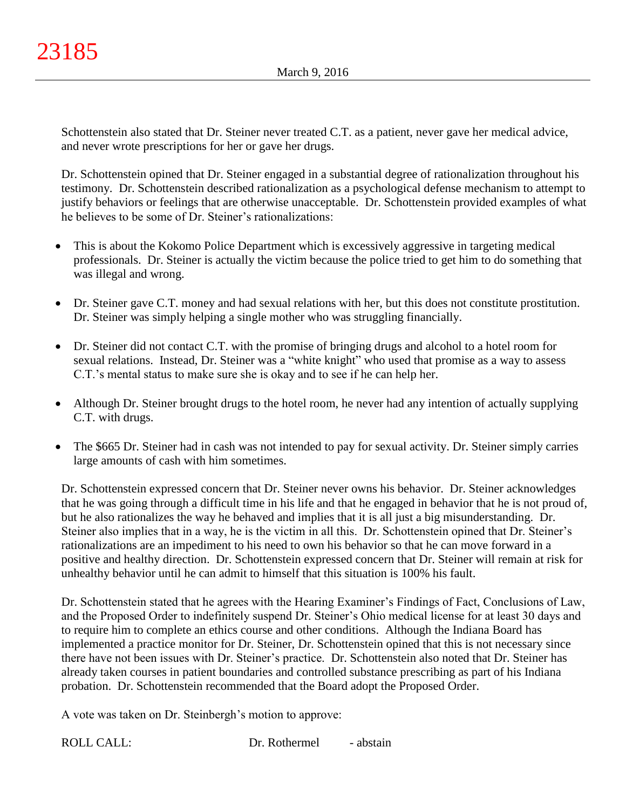Schottenstein also stated that Dr. Steiner never treated C.T. as a patient, never gave her medical advice, and never wrote prescriptions for her or gave her drugs.

Dr. Schottenstein opined that Dr. Steiner engaged in a substantial degree of rationalization throughout his testimony. Dr. Schottenstein described rationalization as a psychological defense mechanism to attempt to justify behaviors or feelings that are otherwise unacceptable. Dr. Schottenstein provided examples of what he believes to be some of Dr. Steiner's rationalizations:

- This is about the Kokomo Police Department which is excessively aggressive in targeting medical professionals. Dr. Steiner is actually the victim because the police tried to get him to do something that was illegal and wrong.
- Dr. Steiner gave C.T. money and had sexual relations with her, but this does not constitute prostitution. Dr. Steiner was simply helping a single mother who was struggling financially.
- Dr. Steiner did not contact C.T. with the promise of bringing drugs and alcohol to a hotel room for sexual relations. Instead, Dr. Steiner was a "white knight" who used that promise as a way to assess C.T.'s mental status to make sure she is okay and to see if he can help her.
- Although Dr. Steiner brought drugs to the hotel room, he never had any intention of actually supplying C.T. with drugs.
- The \$665 Dr. Steiner had in cash was not intended to pay for sexual activity. Dr. Steiner simply carries large amounts of cash with him sometimes.

Dr. Schottenstein expressed concern that Dr. Steiner never owns his behavior. Dr. Steiner acknowledges that he was going through a difficult time in his life and that he engaged in behavior that he is not proud of, but he also rationalizes the way he behaved and implies that it is all just a big misunderstanding. Dr. Steiner also implies that in a way, he is the victim in all this. Dr. Schottenstein opined that Dr. Steiner's rationalizations are an impediment to his need to own his behavior so that he can move forward in a positive and healthy direction. Dr. Schottenstein expressed concern that Dr. Steiner will remain at risk for unhealthy behavior until he can admit to himself that this situation is 100% his fault.

Dr. Schottenstein stated that he agrees with the Hearing Examiner's Findings of Fact, Conclusions of Law, and the Proposed Order to indefinitely suspend Dr. Steiner's Ohio medical license for at least 30 days and to require him to complete an ethics course and other conditions. Although the Indiana Board has implemented a practice monitor for Dr. Steiner, Dr. Schottenstein opined that this is not necessary since there have not been issues with Dr. Steiner's practice. Dr. Schottenstein also noted that Dr. Steiner has already taken courses in patient boundaries and controlled substance prescribing as part of his Indiana probation. Dr. Schottenstein recommended that the Board adopt the Proposed Order.

A vote was taken on Dr. Steinbergh's motion to approve:

ROLL CALL: Dr. Rothermel - abstain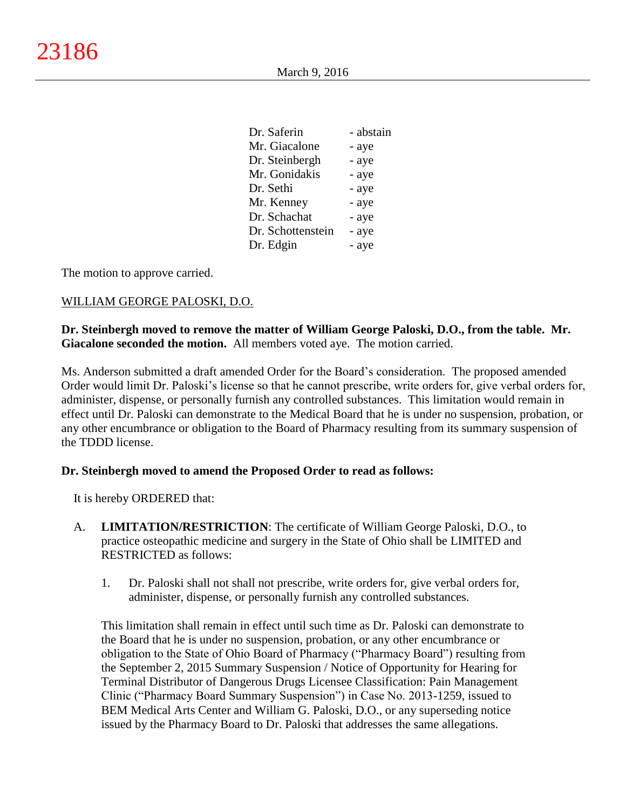| Dr. Saferin       | - abstain |
|-------------------|-----------|
| Mr. Giacalone     | - aye     |
| Dr. Steinbergh    | - aye     |
| Mr. Gonidakis     | - aye     |
| Dr. Sethi         | - aye     |
| Mr. Kenney        | - aye     |
| Dr. Schachat      | - aye     |
| Dr. Schottenstein | - aye     |
| Dr. Edgin         | - aye     |
|                   |           |

The motion to approve carried.

## WILLIAM GEORGE PALOSKI, D.O.

**Dr. Steinbergh moved to remove the matter of William George Paloski, D.O., from the table. Mr. Giacalone seconded the motion.** All members voted aye. The motion carried.

Ms. Anderson submitted a draft amended Order for the Board's consideration. The proposed amended Order would limit Dr. Paloski's license so that he cannot prescribe, write orders for, give verbal orders for, administer, dispense, or personally furnish any controlled substances. This limitation would remain in effect until Dr. Paloski can demonstrate to the Medical Board that he is under no suspension, probation, or any other encumbrance or obligation to the Board of Pharmacy resulting from its summary suspension of the TDDD license.

## **Dr. Steinbergh moved to amend the Proposed Order to read as follows:**

It is hereby ORDERED that:

- A. **LIMITATION/RESTRICTION**: The certificate of William George Paloski, D.O., to practice osteopathic medicine and surgery in the State of Ohio shall be LIMITED and RESTRICTED as follows:
	- 1. Dr. Paloski shall not shall not prescribe, write orders for, give verbal orders for, administer, dispense, or personally furnish any controlled substances.

This limitation shall remain in effect until such time as Dr. Paloski can demonstrate to the Board that he is under no suspension, probation, or any other encumbrance or obligation to the State of Ohio Board of Pharmacy ("Pharmacy Board") resulting from the September 2, 2015 Summary Suspension / Notice of Opportunity for Hearing for Terminal Distributor of Dangerous Drugs Licensee Classification: Pain Management Clinic ("Pharmacy Board Summary Suspension") in Case No. 2013-1259, issued to BEM Medical Arts Center and William G. Paloski, D.O., or any superseding notice issued by the Pharmacy Board to Dr. Paloski that addresses the same allegations.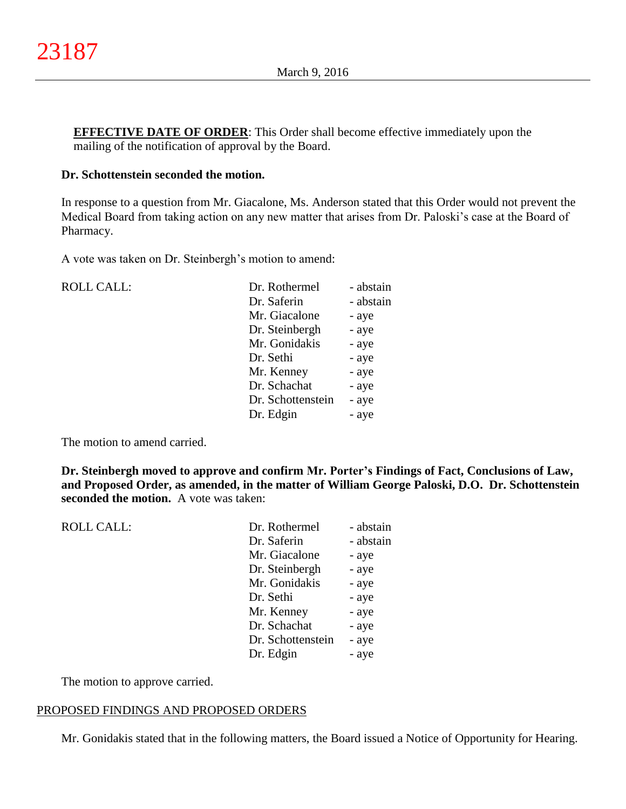**EFFECTIVE DATE OF ORDER:** This Order shall become effective immediately upon the mailing of the notification of approval by the Board.

## **Dr. Schottenstein seconded the motion.**

In response to a question from Mr. Giacalone, Ms. Anderson stated that this Order would not prevent the Medical Board from taking action on any new matter that arises from Dr. Paloski's case at the Board of Pharmacy.

A vote was taken on Dr. Steinbergh's motion to amend:

| <b>ROLL CALL:</b> | Dr. Rothermel     | - abstain |
|-------------------|-------------------|-----------|
|                   | Dr. Saferin       | - abstain |
|                   | Mr. Giacalone     | - aye     |
|                   | Dr. Steinbergh    | - aye     |
|                   | Mr. Gonidakis     | - aye     |
|                   | Dr. Sethi         | - aye     |
|                   | Mr. Kenney        | - aye     |
|                   | Dr. Schachat      | - aye     |
|                   | Dr. Schottenstein | - aye     |
|                   | Dr. Edgin         | - aye     |
|                   |                   |           |

The motion to amend carried.

**Dr. Steinbergh moved to approve and confirm Mr. Porter's Findings of Fact, Conclusions of Law, and Proposed Order, as amended, in the matter of William George Paloski, D.O. Dr. Schottenstein seconded the motion.** A vote was taken:

| <b>ROLL CALL:</b> | Dr. Rothermel     | - abstain |
|-------------------|-------------------|-----------|
|                   | Dr. Saferin       | - abstain |
|                   | Mr. Giacalone     | - aye     |
|                   | Dr. Steinbergh    | - aye     |
|                   | Mr. Gonidakis     | - aye     |
|                   | Dr. Sethi         | - aye     |
|                   | Mr. Kenney        | - aye     |
|                   | Dr. Schachat      | - aye     |
|                   | Dr. Schottenstein | - aye     |
|                   | Dr. Edgin         | - aye     |
|                   |                   |           |

The motion to approve carried.

## PROPOSED FINDINGS AND PROPOSED ORDERS

Mr. Gonidakis stated that in the following matters, the Board issued a Notice of Opportunity for Hearing.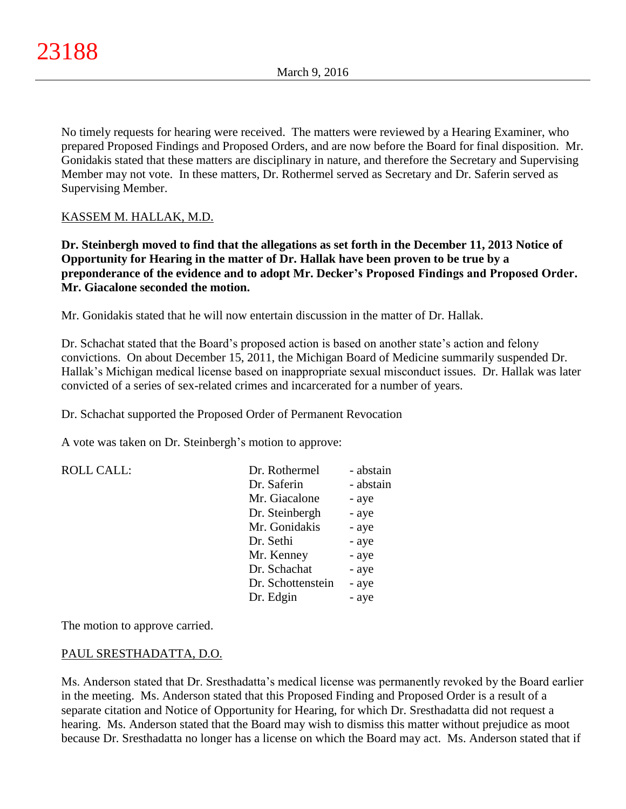No timely requests for hearing were received. The matters were reviewed by a Hearing Examiner, who prepared Proposed Findings and Proposed Orders, and are now before the Board for final disposition. Mr. Gonidakis stated that these matters are disciplinary in nature, and therefore the Secretary and Supervising Member may not vote. In these matters, Dr. Rothermel served as Secretary and Dr. Saferin served as Supervising Member.

# KASSEM M. HALLAK, M.D.

**Dr. Steinbergh moved to find that the allegations as set forth in the December 11, 2013 Notice of Opportunity for Hearing in the matter of Dr. Hallak have been proven to be true by a preponderance of the evidence and to adopt Mr. Decker's Proposed Findings and Proposed Order. Mr. Giacalone seconded the motion.**

Mr. Gonidakis stated that he will now entertain discussion in the matter of Dr. Hallak.

Dr. Schachat stated that the Board's proposed action is based on another state's action and felony convictions. On about December 15, 2011, the Michigan Board of Medicine summarily suspended Dr. Hallak's Michigan medical license based on inappropriate sexual misconduct issues. Dr. Hallak was later convicted of a series of sex-related crimes and incarcerated for a number of years.

Dr. Schachat supported the Proposed Order of Permanent Revocation

A vote was taken on Dr. Steinbergh's motion to approve:

| <b>ROLL CALL:</b> | Dr. Rothermel     | - abstain |
|-------------------|-------------------|-----------|
|                   | Dr. Saferin       | - abstain |
|                   | Mr. Giacalone     | - aye     |
|                   | Dr. Steinbergh    | - aye     |
|                   | Mr. Gonidakis     | - aye     |
|                   | Dr. Sethi         | - aye     |
|                   | Mr. Kenney        | - aye     |
|                   | Dr. Schachat      | - aye     |
|                   | Dr. Schottenstein | - aye     |
|                   | Dr. Edgin         | - aye     |
|                   |                   |           |

The motion to approve carried.

## PAUL SRESTHADATTA, D.O.

Ms. Anderson stated that Dr. Sresthadatta's medical license was permanently revoked by the Board earlier in the meeting. Ms. Anderson stated that this Proposed Finding and Proposed Order is a result of a separate citation and Notice of Opportunity for Hearing, for which Dr. Sresthadatta did not request a hearing. Ms. Anderson stated that the Board may wish to dismiss this matter without prejudice as moot because Dr. Sresthadatta no longer has a license on which the Board may act. Ms. Anderson stated that if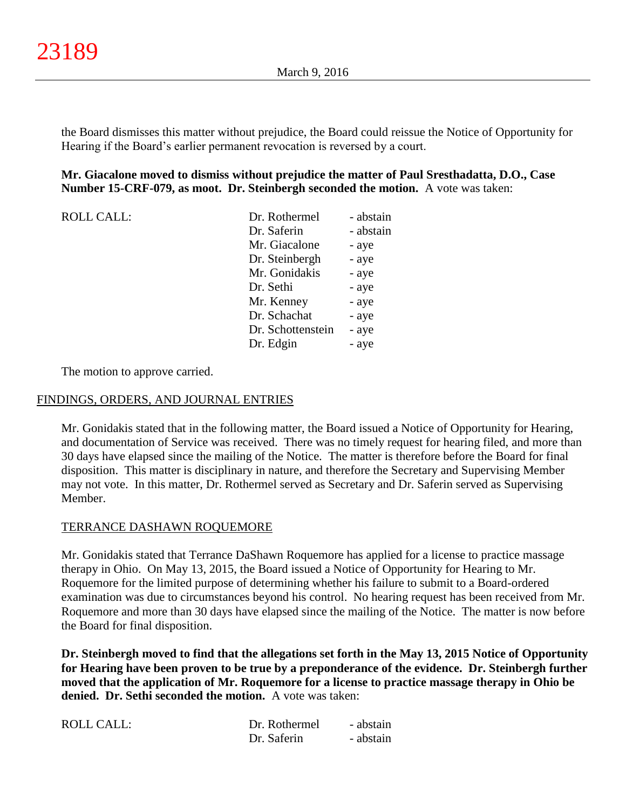the Board dismisses this matter without prejudice, the Board could reissue the Notice of Opportunity for Hearing if the Board's earlier permanent revocation is reversed by a court.

## **Mr. Giacalone moved to dismiss without prejudice the matter of Paul Sresthadatta, D.O., Case Number 15-CRF-079, as moot. Dr. Steinbergh seconded the motion.** A vote was taken:

| <b>ROLL CALL:</b> | Dr. Rothermel     | - abstain |
|-------------------|-------------------|-----------|
|                   | Dr. Saferin       | - abstain |
|                   | Mr. Giacalone     | - aye     |
|                   | Dr. Steinbergh    | - aye     |
|                   | Mr. Gonidakis     | - aye     |
|                   | Dr. Sethi         | - aye     |
|                   | Mr. Kenney        | - aye     |
|                   | Dr. Schachat      | - aye     |
|                   | Dr. Schottenstein | - aye     |
|                   | Dr. Edgin         | - aye     |

The motion to approve carried.

## FINDINGS, ORDERS, AND JOURNAL ENTRIES

Mr. Gonidakis stated that in the following matter, the Board issued a Notice of Opportunity for Hearing, and documentation of Service was received. There was no timely request for hearing filed, and more than 30 days have elapsed since the mailing of the Notice. The matter is therefore before the Board for final disposition. This matter is disciplinary in nature, and therefore the Secretary and Supervising Member may not vote. In this matter, Dr. Rothermel served as Secretary and Dr. Saferin served as Supervising Member.

## TERRANCE DASHAWN ROQUEMORE

Mr. Gonidakis stated that Terrance DaShawn Roquemore has applied for a license to practice massage therapy in Ohio. On May 13, 2015, the Board issued a Notice of Opportunity for Hearing to Mr. Roquemore for the limited purpose of determining whether his failure to submit to a Board-ordered examination was due to circumstances beyond his control. No hearing request has been received from Mr. Roquemore and more than 30 days have elapsed since the mailing of the Notice. The matter is now before the Board for final disposition.

**Dr. Steinbergh moved to find that the allegations set forth in the May 13, 2015 Notice of Opportunity for Hearing have been proven to be true by a preponderance of the evidence. Dr. Steinbergh further moved that the application of Mr. Roquemore for a license to practice massage therapy in Ohio be denied. Dr. Sethi seconded the motion.** A vote was taken:

| ROLL CALL: | Dr. Rothermel | - abstain |
|------------|---------------|-----------|
|            | Dr. Saferin   | - abstain |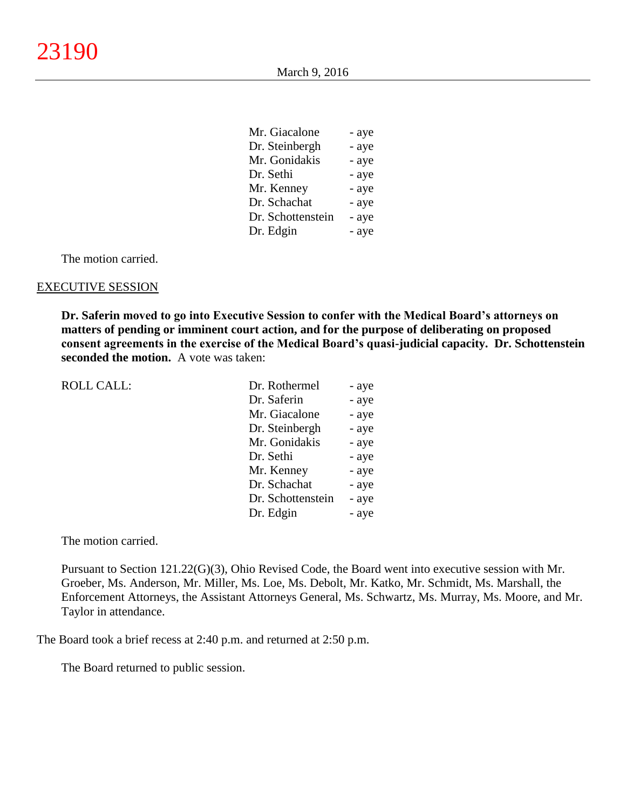$\mathbf{M}$   $\mathbf{G}^{\dagger}$   $\mathbf{I}$ 

| Mr. Giacaione     | - ave |
|-------------------|-------|
| Dr. Steinbergh    | - aye |
| Mr. Gonidakis     | - aye |
| Dr. Sethi         | - aye |
| Mr. Kenney        | - aye |
| Dr. Schachat      | - aye |
| Dr. Schottenstein | - aye |
| Dr. Edgin         | - aye |
|                   |       |

The motion carried.

#### EXECUTIVE SESSION

**Dr. Saferin moved to go into Executive Session to confer with the Medical Board's attorneys on matters of pending or imminent court action, and for the purpose of deliberating on proposed consent agreements in the exercise of the Medical Board's quasi-judicial capacity. Dr. Schottenstein seconded the motion.** A vote was taken:

| <b>ROLL CALL:</b> | Dr. Rothermel     | - aye |
|-------------------|-------------------|-------|
|                   | Dr. Saferin       | - aye |
|                   | Mr. Giacalone     | - aye |
|                   | Dr. Steinbergh    | - aye |
|                   | Mr. Gonidakis     | - aye |
|                   | Dr. Sethi         | - aye |
|                   | Mr. Kenney        | - aye |
|                   | Dr. Schachat      | - aye |
|                   | Dr. Schottenstein | - aye |
|                   | Dr. Edgin         | - aye |
|                   |                   |       |

The motion carried.

Pursuant to Section 121.22(G)(3), Ohio Revised Code, the Board went into executive session with Mr. Groeber, Ms. Anderson, Mr. Miller, Ms. Loe, Ms. Debolt, Mr. Katko, Mr. Schmidt, Ms. Marshall, the Enforcement Attorneys, the Assistant Attorneys General, Ms. Schwartz, Ms. Murray, Ms. Moore, and Mr. Taylor in attendance.

The Board took a brief recess at 2:40 p.m. and returned at 2:50 p.m.

The Board returned to public session.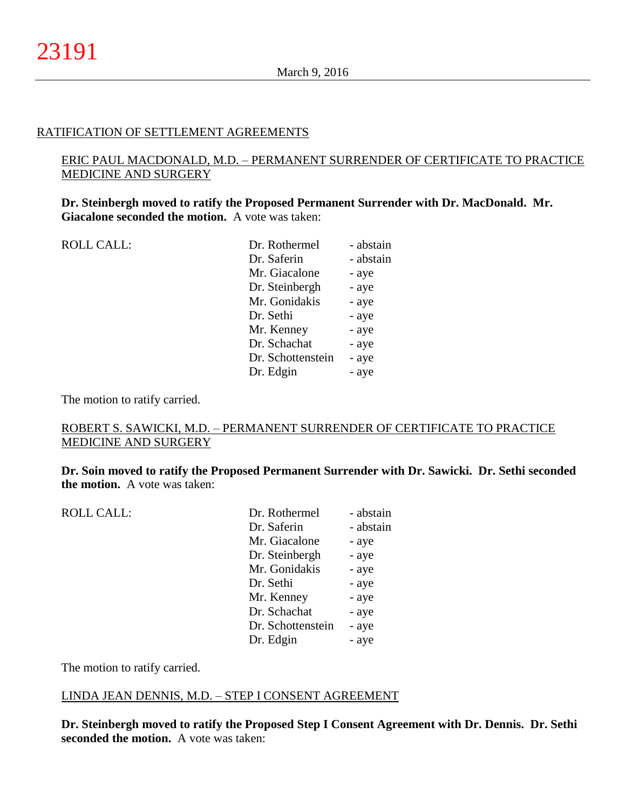## RATIFICATION OF SETTLEMENT AGREEMENTS

# ERIC PAUL MACDONALD, M.D. – PERMANENT SURRENDER OF CERTIFICATE TO PRACTICE MEDICINE AND SURGERY

**Dr. Steinbergh moved to ratify the Proposed Permanent Surrender with Dr. MacDonald. Mr. Giacalone seconded the motion.** A vote was taken:

| Dr. Saferin<br>- abstain   |  |
|----------------------------|--|
|                            |  |
| Mr. Giacalone<br>- aye     |  |
| Dr. Steinbergh<br>- aye    |  |
| Mr. Gonidakis<br>- aye     |  |
| Dr. Sethi<br>- aye         |  |
| Mr. Kenney<br>- aye        |  |
| Dr. Schachat<br>- aye      |  |
| Dr. Schottenstein<br>- aye |  |
| Dr. Edgin<br>- aye         |  |

The motion to ratify carried.

# ROBERT S. SAWICKI, M.D. – PERMANENT SURRENDER OF CERTIFICATE TO PRACTICE MEDICINE AND SURGERY

**Dr. Soin moved to ratify the Proposed Permanent Surrender with Dr. Sawicki. Dr. Sethi seconded the motion.** A vote was taken:

| <b>ROLL CALL:</b> | Dr. Rothermel     | - abstain |
|-------------------|-------------------|-----------|
|                   | Dr. Saferin       | - abstain |
|                   | Mr. Giacalone     | - aye     |
|                   | Dr. Steinbergh    | - aye     |
|                   | Mr. Gonidakis     | - aye     |
|                   | Dr. Sethi         | - aye     |
|                   | Mr. Kenney        | - aye     |
|                   | Dr. Schachat      | - aye     |
|                   | Dr. Schottenstein | - aye     |
|                   | Dr. Edgin         | - aye     |
|                   |                   |           |

The motion to ratify carried.

## LINDA JEAN DENNIS, M.D. – STEP I CONSENT AGREEMENT

**Dr. Steinbergh moved to ratify the Proposed Step I Consent Agreement with Dr. Dennis. Dr. Sethi seconded the motion.** A vote was taken: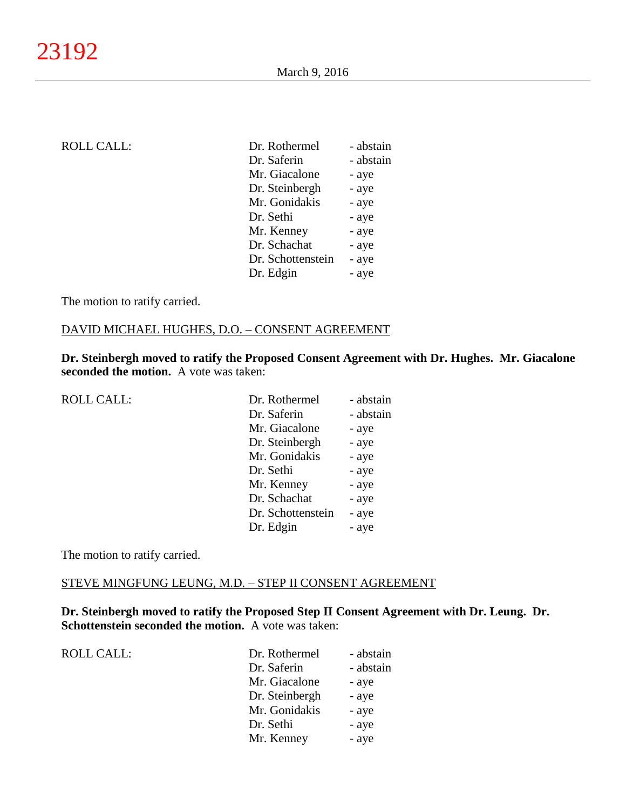| Dr. Rothermel     | - abstain |
|-------------------|-----------|
| Dr. Saferin       | - abstain |
| Mr. Giacalone     | - aye     |
| Dr. Steinbergh    | - aye     |
| Mr. Gonidakis     | - aye     |
| Dr. Sethi         | - aye     |
| Mr. Kenney        | - aye     |
| Dr. Schachat      | - aye     |
| Dr. Schottenstein | - aye     |
| Dr. Edgin         | - aye     |
|                   |           |

The motion to ratify carried.

#### DAVID MICHAEL HUGHES, D.O. – CONSENT AGREEMENT

**Dr. Steinbergh moved to ratify the Proposed Consent Agreement with Dr. Hughes. Mr. Giacalone seconded the motion.** A vote was taken:

| <b>ROLL CALL:</b> | Dr. Rothermel     | - abstain |
|-------------------|-------------------|-----------|
|                   | Dr. Saferin       | - abstain |
|                   | Mr. Giacalone     | - aye     |
|                   | Dr. Steinbergh    | - aye     |
|                   | Mr. Gonidakis     | - aye     |
|                   | Dr. Sethi         | - aye     |
|                   | Mr. Kenney        | - aye     |
|                   | Dr. Schachat      | - aye     |
|                   | Dr. Schottenstein | - aye     |
|                   | Dr. Edgin         | - aye     |
|                   |                   |           |

The motion to ratify carried.

#### STEVE MINGFUNG LEUNG, M.D. – STEP II CONSENT AGREEMENT

**Dr. Steinbergh moved to ratify the Proposed Step II Consent Agreement with Dr. Leung. Dr. Schottenstein seconded the motion.** A vote was taken:

ROLL CALL:

| Dr. Rothermel  | - abstain |
|----------------|-----------|
| Dr. Saferin    | - abstain |
| Mr. Giacalone  | - aye     |
| Dr. Steinbergh | - aye     |
| Mr. Gonidakis  | - aye     |
| Dr. Sethi      | - aye     |
| Mr. Kenney     | - aye     |
|                |           |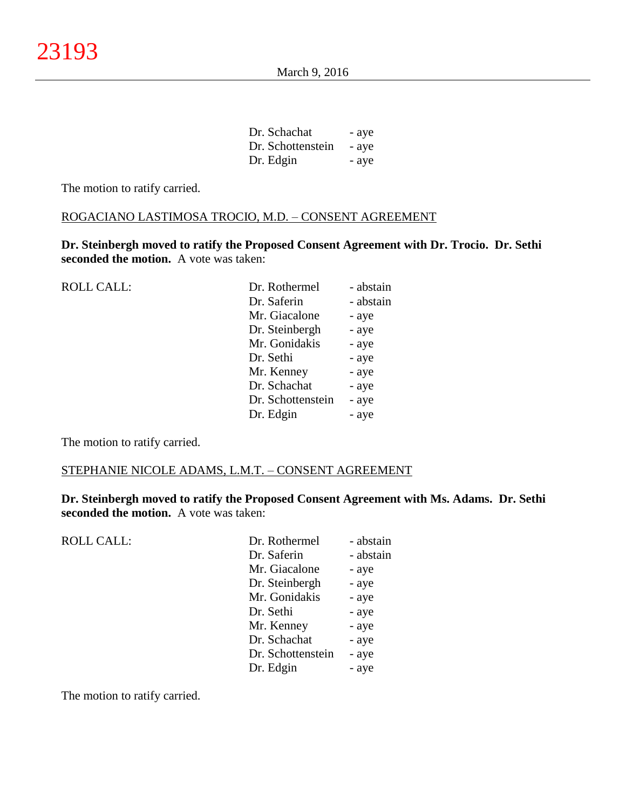| Dr. Schachat      | - aye |
|-------------------|-------|
| Dr. Schottenstein | - aye |
| Dr. Edgin         | - aye |

The motion to ratify carried.

## ROGACIANO LASTIMOSA TROCIO, M.D. – CONSENT AGREEMENT

**Dr. Steinbergh moved to ratify the Proposed Consent Agreement with Dr. Trocio. Dr. Sethi seconded the motion.** A vote was taken:

| <b>ROLL CALL:</b> | Dr. Rothermel     | - abstain |
|-------------------|-------------------|-----------|
|                   | Dr. Saferin       | - abstain |
|                   | Mr. Giacalone     | - aye     |
|                   | Dr. Steinbergh    | - aye     |
|                   | Mr. Gonidakis     | - aye     |
|                   | Dr. Sethi         | - aye     |
|                   | Mr. Kenney        | - aye     |
|                   | Dr. Schachat      | - aye     |
|                   | Dr. Schottenstein | - aye     |
|                   | Dr. Edgin         | - aye     |
|                   |                   |           |

The motion to ratify carried.

## STEPHANIE NICOLE ADAMS, L.M.T. – CONSENT AGREEMENT

**Dr. Steinbergh moved to ratify the Proposed Consent Agreement with Ms. Adams. Dr. Sethi seconded the motion.** A vote was taken:

| <b>ROLL CALL:</b> | Dr. Rothermel     | - abstain |
|-------------------|-------------------|-----------|
|                   | Dr. Saferin       | - abstain |
|                   | Mr. Giacalone     | - aye     |
|                   | Dr. Steinbergh    | - aye     |
|                   | Mr. Gonidakis     | - aye     |
|                   | Dr. Sethi         | - aye     |
|                   | Mr. Kenney        | - aye     |
|                   | Dr. Schachat      | - aye     |
|                   | Dr. Schottenstein | - aye     |
|                   | Dr. Edgin         | - aye     |
|                   |                   |           |

The motion to ratify carried.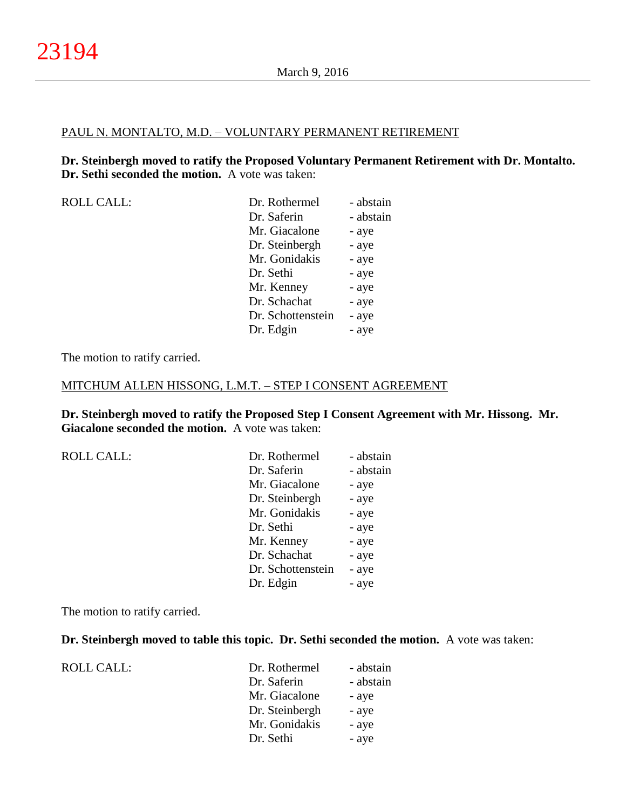#### PAUL N. MONTALTO, M.D. – VOLUNTARY PERMANENT RETIREMENT

**Dr. Steinbergh moved to ratify the Proposed Voluntary Permanent Retirement with Dr. Montalto. Dr. Sethi seconded the motion.** A vote was taken:

| <b>ROLL CALL:</b> |  |
|-------------------|--|
|-------------------|--|

| <b>ROLL CALL:</b> | Dr. Rothermel     | - abstain |
|-------------------|-------------------|-----------|
|                   | Dr. Saferin       | - abstain |
|                   | Mr. Giacalone     | - aye     |
|                   | Dr. Steinbergh    | - aye     |
|                   | Mr. Gonidakis     | - aye     |
|                   | Dr. Sethi         | - aye     |
|                   | Mr. Kenney        | - aye     |
|                   | Dr. Schachat      | - aye     |
|                   | Dr. Schottenstein | - aye     |
|                   | Dr. Edgin         | - aye     |
|                   |                   |           |

The motion to ratify carried.

### MITCHUM ALLEN HISSONG, L.M.T. – STEP I CONSENT AGREEMENT

**Dr. Steinbergh moved to ratify the Proposed Step I Consent Agreement with Mr. Hissong. Mr. Giacalone seconded the motion.** A vote was taken:

| Dr. Rothermel     | - abstain |
|-------------------|-----------|
| Dr. Saferin       | - abstain |
| Mr. Giacalone     | - aye     |
| Dr. Steinbergh    | - aye     |
| Mr. Gonidakis     | - aye     |
| Dr. Sethi         | - aye     |
| Mr. Kenney        | - aye     |
| Dr. Schachat      | - aye     |
| Dr. Schottenstein | - aye     |
| Dr. Edgin         | - aye     |
|                   |           |

The motion to ratify carried.

### **Dr. Steinbergh moved to table this topic. Dr. Sethi seconded the motion.** A vote was taken:

| <b>ROLL CALL:</b> |  |
|-------------------|--|
|-------------------|--|

| Dr. Rothermel  | - abstain |
|----------------|-----------|
| Dr. Saferin    | - abstain |
| Mr. Giacalone  | - aye     |
| Dr. Steinbergh | - aye     |
| Mr. Gonidakis  | - aye     |
| Dr. Sethi      | - aye     |
|                |           |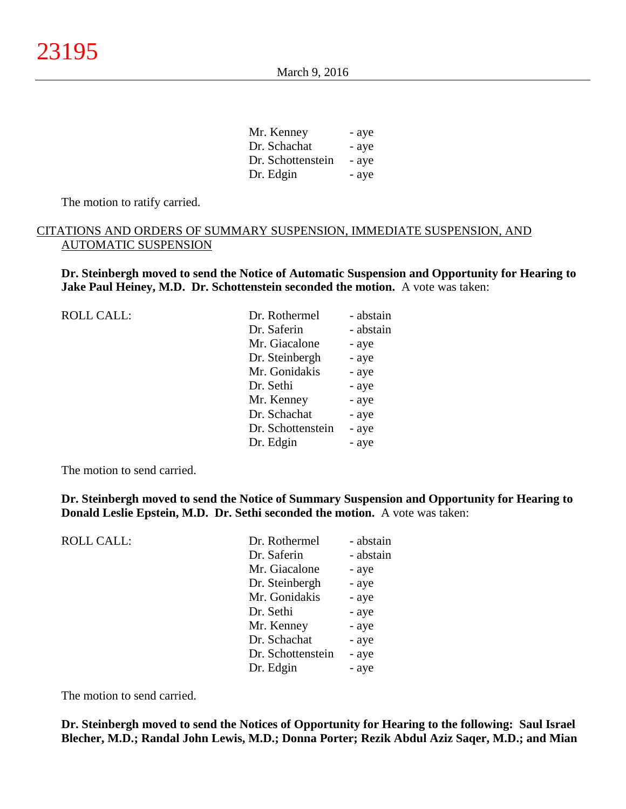| Mr. Kenney        | - aye |
|-------------------|-------|
| Dr. Schachat      | - aye |
| Dr. Schottenstein | - aye |
| Dr. Edgin         | - aye |

The motion to ratify carried.

## CITATIONS AND ORDERS OF SUMMARY SUSPENSION, IMMEDIATE SUSPENSION, AND AUTOMATIC SUSPENSION

**Dr. Steinbergh moved to send the Notice of Automatic Suspension and Opportunity for Hearing to Jake Paul Heiney, M.D. Dr. Schottenstein seconded the motion.** A vote was taken:

| <b>ROLL CALL:</b> | Dr. Rothermel     | - abstain |
|-------------------|-------------------|-----------|
|                   | Dr. Saferin       | - abstain |
|                   | Mr. Giacalone     | - aye     |
|                   | Dr. Steinbergh    | - aye     |
|                   | Mr. Gonidakis     | - aye     |
|                   | Dr. Sethi         | - aye     |
|                   | Mr. Kenney        | - aye     |
|                   | Dr. Schachat      | - aye     |
|                   | Dr. Schottenstein | - aye     |
|                   | Dr. Edgin         | - aye     |
|                   |                   |           |

The motion to send carried.

ROLL CALL:

**Dr. Steinbergh moved to send the Notice of Summary Suspension and Opportunity for Hearing to Donald Leslie Epstein, M.D. Dr. Sethi seconded the motion.** A vote was taken:

| Dr. Rothermel     | - abstain |
|-------------------|-----------|
| Dr. Saferin       | - abstain |
| Mr. Giacalone     | - aye     |
| Dr. Steinbergh    | - aye     |
| Mr. Gonidakis     | - aye     |
| Dr. Sethi         | - aye     |
| Mr. Kenney        | - aye     |
| Dr. Schachat      | - aye     |
| Dr. Schottenstein | - aye     |
| Dr. Edgin         | - aye     |
|                   |           |

The motion to send carried.

**Dr. Steinbergh moved to send the Notices of Opportunity for Hearing to the following: Saul Israel Blecher, M.D.; Randal John Lewis, M.D.; Donna Porter; Rezik Abdul Aziz Saqer, M.D.; and Mian**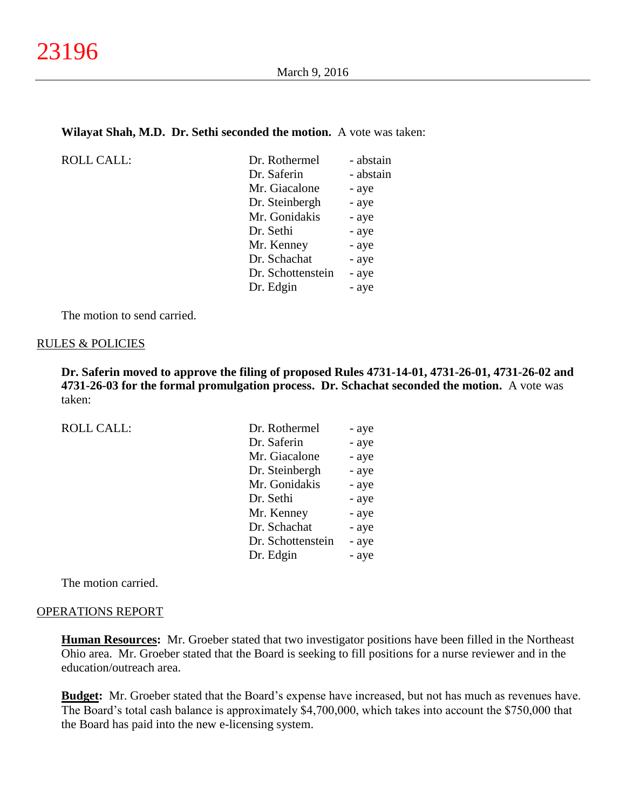#### **Wilayat Shah, M.D. Dr. Sethi seconded the motion.** A vote was taken:

| Dr. Rothermel     | - abstain |
|-------------------|-----------|
| Dr. Saferin       | - abstain |
| Mr. Giacalone     | - aye     |
| Dr. Steinbergh    | - aye     |
| Mr. Gonidakis     | - aye     |
| Dr. Sethi         | - aye     |
| Mr. Kenney        | - aye     |
| Dr. Schachat      | - aye     |
| Dr. Schottenstein | - aye     |
| Dr. Edgin         | - aye     |

The motion to send carried.

## RULES & POLICIES

 $ROLL CALL$ :

**Dr. Saferin moved to approve the filing of proposed Rules 4731-14-01, 4731-26-01, 4731-26-02 and 4731-26-03 for the formal promulgation process. Dr. Schachat seconded the motion.** A vote was taken:

ROLL CALL:

| Dr. Rothermel     | - aye |
|-------------------|-------|
| Dr. Saferin       | - aye |
| Mr. Giacalone     | - aye |
| Dr. Steinbergh    | - aye |
| Mr. Gonidakis     | - aye |
| Dr. Sethi         | - aye |
| Mr. Kenney        | - aye |
| Dr. Schachat      | - aye |
| Dr. Schottenstein | - aye |
| Dr. Edgin         | - aye |

The motion carried.

#### OPERATIONS REPORT

**Human Resources:** Mr. Groeber stated that two investigator positions have been filled in the Northeast Ohio area. Mr. Groeber stated that the Board is seeking to fill positions for a nurse reviewer and in the education/outreach area.

**Budget:** Mr. Groeber stated that the Board's expense have increased, but not has much as revenues have. The Board's total cash balance is approximately \$4,700,000, which takes into account the \$750,000 that the Board has paid into the new e-licensing system.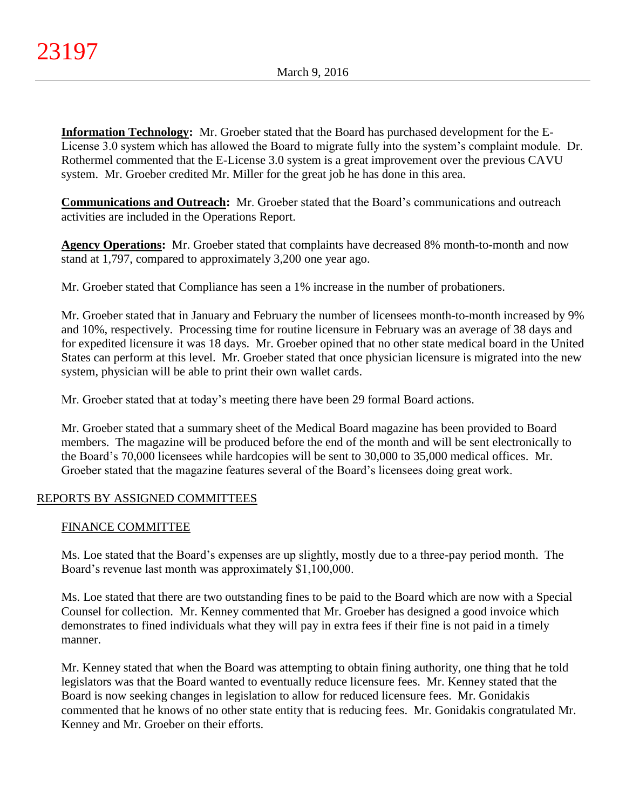**Information Technology:** Mr. Groeber stated that the Board has purchased development for the E-License 3.0 system which has allowed the Board to migrate fully into the system's complaint module. Dr. Rothermel commented that the E-License 3.0 system is a great improvement over the previous CAVU system. Mr. Groeber credited Mr. Miller for the great job he has done in this area.

**Communications and Outreach:** Mr. Groeber stated that the Board's communications and outreach activities are included in the Operations Report.

**Agency Operations:** Mr. Groeber stated that complaints have decreased 8% month-to-month and now stand at 1,797, compared to approximately 3,200 one year ago.

Mr. Groeber stated that Compliance has seen a 1% increase in the number of probationers.

Mr. Groeber stated that in January and February the number of licensees month-to-month increased by 9% and 10%, respectively. Processing time for routine licensure in February was an average of 38 days and for expedited licensure it was 18 days. Mr. Groeber opined that no other state medical board in the United States can perform at this level. Mr. Groeber stated that once physician licensure is migrated into the new system, physician will be able to print their own wallet cards.

Mr. Groeber stated that at today's meeting there have been 29 formal Board actions.

Mr. Groeber stated that a summary sheet of the Medical Board magazine has been provided to Board members. The magazine will be produced before the end of the month and will be sent electronically to the Board's 70,000 licensees while hardcopies will be sent to 30,000 to 35,000 medical offices. Mr. Groeber stated that the magazine features several of the Board's licensees doing great work.

# REPORTS BY ASSIGNED COMMITTEES

## FINANCE COMMITTEE

Ms. Loe stated that the Board's expenses are up slightly, mostly due to a three-pay period month. The Board's revenue last month was approximately \$1,100,000.

Ms. Loe stated that there are two outstanding fines to be paid to the Board which are now with a Special Counsel for collection. Mr. Kenney commented that Mr. Groeber has designed a good invoice which demonstrates to fined individuals what they will pay in extra fees if their fine is not paid in a timely manner.

Mr. Kenney stated that when the Board was attempting to obtain fining authority, one thing that he told legislators was that the Board wanted to eventually reduce licensure fees. Mr. Kenney stated that the Board is now seeking changes in legislation to allow for reduced licensure fees. Mr. Gonidakis commented that he knows of no other state entity that is reducing fees. Mr. Gonidakis congratulated Mr. Kenney and Mr. Groeber on their efforts.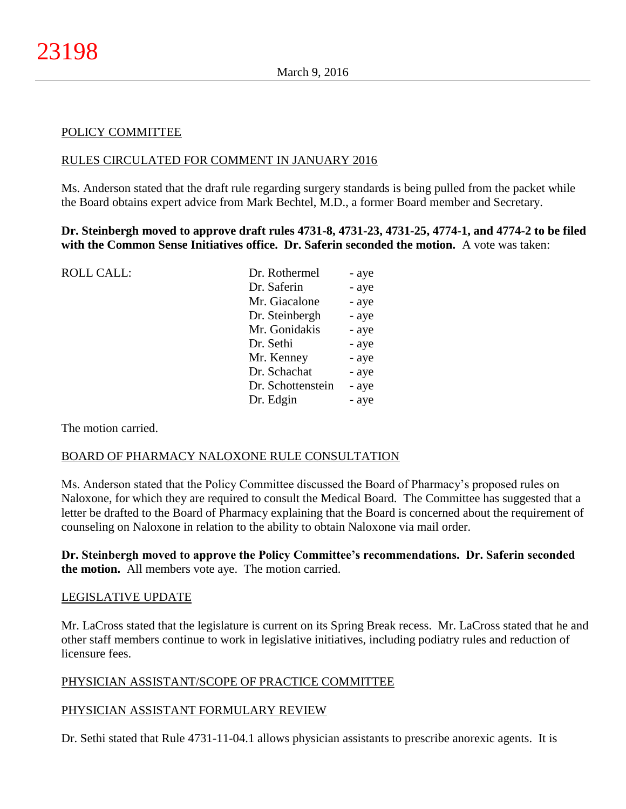## POLICY COMMITTEE

## RULES CIRCULATED FOR COMMENT IN JANUARY 2016

Ms. Anderson stated that the draft rule regarding surgery standards is being pulled from the packet while the Board obtains expert advice from Mark Bechtel, M.D., a former Board member and Secretary.

**Dr. Steinbergh moved to approve draft rules 4731-8, 4731-23, 4731-25, 4774-1, and 4774-2 to be filed with the Common Sense Initiatives office. Dr. Saferin seconded the motion.** A vote was taken:

| Dr. Rothermel     | - aye |
|-------------------|-------|
| Dr. Saferin       | - aye |
| Mr. Giacalone     | - aye |
| Dr. Steinbergh    | - aye |
| Mr. Gonidakis     | - aye |
| Dr. Sethi         | - aye |
| Mr. Kenney        | - aye |
| Dr. Schachat      | - aye |
| Dr. Schottenstein | - aye |
| Dr. Edgin         | - aye |
|                   |       |

The motion carried.

### BOARD OF PHARMACY NALOXONE RULE CONSULTATION

Ms. Anderson stated that the Policy Committee discussed the Board of Pharmacy's proposed rules on Naloxone, for which they are required to consult the Medical Board. The Committee has suggested that a letter be drafted to the Board of Pharmacy explaining that the Board is concerned about the requirement of counseling on Naloxone in relation to the ability to obtain Naloxone via mail order.

## **Dr. Steinbergh moved to approve the Policy Committee's recommendations. Dr. Saferin seconded the motion.** All members vote aye. The motion carried.

### LEGISLATIVE UPDATE

Mr. LaCross stated that the legislature is current on its Spring Break recess. Mr. LaCross stated that he and other staff members continue to work in legislative initiatives, including podiatry rules and reduction of licensure fees.

## PHYSICIAN ASSISTANT/SCOPE OF PRACTICE COMMITTEE

## PHYSICIAN ASSISTANT FORMULARY REVIEW

Dr. Sethi stated that Rule 4731-11-04.1 allows physician assistants to prescribe anorexic agents. It is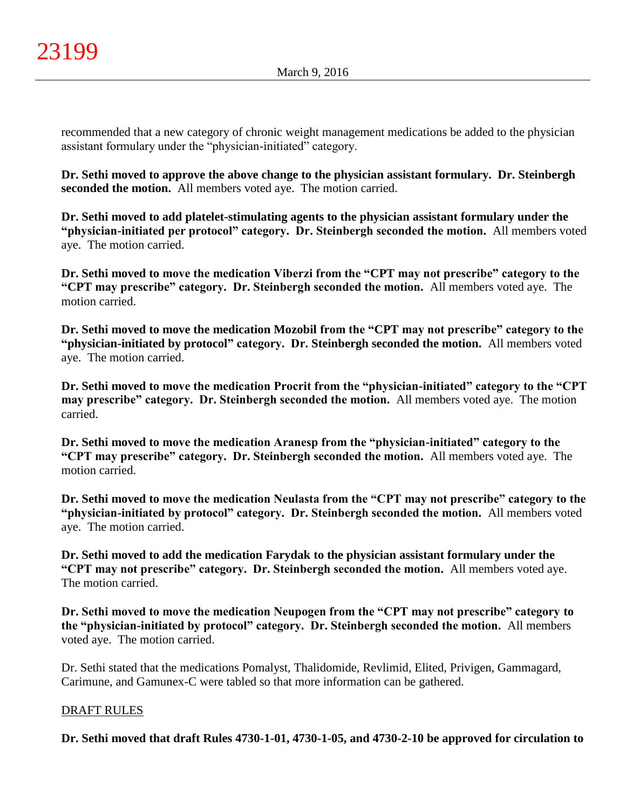recommended that a new category of chronic weight management medications be added to the physician assistant formulary under the "physician-initiated" category.

**Dr. Sethi moved to approve the above change to the physician assistant formulary. Dr. Steinbergh seconded the motion.** All members voted aye. The motion carried.

**Dr. Sethi moved to add platelet-stimulating agents to the physician assistant formulary under the "physician-initiated per protocol" category. Dr. Steinbergh seconded the motion.** All members voted aye. The motion carried.

**Dr. Sethi moved to move the medication Viberzi from the "CPT may not prescribe" category to the "CPT may prescribe" category. Dr. Steinbergh seconded the motion.** All members voted aye. The motion carried.

**Dr. Sethi moved to move the medication Mozobil from the "CPT may not prescribe" category to the "physician-initiated by protocol" category. Dr. Steinbergh seconded the motion.** All members voted aye. The motion carried.

**Dr. Sethi moved to move the medication Procrit from the "physician-initiated" category to the "CPT may prescribe" category. Dr. Steinbergh seconded the motion.** All members voted aye. The motion carried.

**Dr. Sethi moved to move the medication Aranesp from the "physician-initiated" category to the "CPT may prescribe" category. Dr. Steinbergh seconded the motion.** All members voted aye. The motion carried.

**Dr. Sethi moved to move the medication Neulasta from the "CPT may not prescribe" category to the "physician-initiated by protocol" category. Dr. Steinbergh seconded the motion.** All members voted aye. The motion carried.

**Dr. Sethi moved to add the medication Farydak to the physician assistant formulary under the "CPT may not prescribe" category. Dr. Steinbergh seconded the motion.** All members voted aye. The motion carried.

**Dr. Sethi moved to move the medication Neupogen from the "CPT may not prescribe" category to the "physician-initiated by protocol" category. Dr. Steinbergh seconded the motion.** All members voted aye. The motion carried.

Dr. Sethi stated that the medications Pomalyst, Thalidomide, Revlimid, Elited, Privigen, Gammagard, Carimune, and Gamunex-C were tabled so that more information can be gathered.

# DRAFT RULES

**Dr. Sethi moved that draft Rules 4730-1-01, 4730-1-05, and 4730-2-10 be approved for circulation to**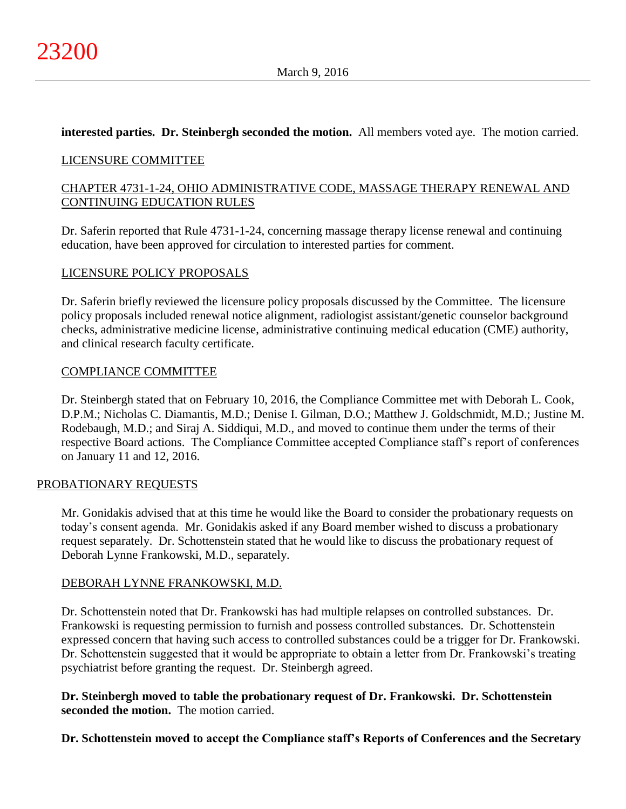## **interested parties. Dr. Steinbergh seconded the motion.** All members voted aye. The motion carried.

## LICENSURE COMMITTEE

# CHAPTER 4731-1-24, OHIO ADMINISTRATIVE CODE, MASSAGE THERAPY RENEWAL AND CONTINUING EDUCATION RULES

Dr. Saferin reported that Rule 4731-1-24, concerning massage therapy license renewal and continuing education, have been approved for circulation to interested parties for comment.

## LICENSURE POLICY PROPOSALS

Dr. Saferin briefly reviewed the licensure policy proposals discussed by the Committee. The licensure policy proposals included renewal notice alignment, radiologist assistant/genetic counselor background checks, administrative medicine license, administrative continuing medical education (CME) authority, and clinical research faculty certificate.

## COMPLIANCE COMMITTEE

Dr. Steinbergh stated that on February 10, 2016, the Compliance Committee met with Deborah L. Cook, D.P.M.; Nicholas C. Diamantis, M.D.; Denise I. Gilman, D.O.; Matthew J. Goldschmidt, M.D.; Justine M. Rodebaugh, M.D.; and Siraj A. Siddiqui, M.D., and moved to continue them under the terms of their respective Board actions. The Compliance Committee accepted Compliance staff's report of conferences on January 11 and 12, 2016.

## PROBATIONARY REQUESTS

Mr. Gonidakis advised that at this time he would like the Board to consider the probationary requests on today's consent agenda. Mr. Gonidakis asked if any Board member wished to discuss a probationary request separately. Dr. Schottenstein stated that he would like to discuss the probationary request of Deborah Lynne Frankowski, M.D., separately.

## DEBORAH LYNNE FRANKOWSKI, M.D.

Dr. Schottenstein noted that Dr. Frankowski has had multiple relapses on controlled substances. Dr. Frankowski is requesting permission to furnish and possess controlled substances. Dr. Schottenstein expressed concern that having such access to controlled substances could be a trigger for Dr. Frankowski. Dr. Schottenstein suggested that it would be appropriate to obtain a letter from Dr. Frankowski's treating psychiatrist before granting the request. Dr. Steinbergh agreed.

**Dr. Steinbergh moved to table the probationary request of Dr. Frankowski. Dr. Schottenstein seconded the motion.** The motion carried.

**Dr. Schottenstein moved to accept the Compliance staff's Reports of Conferences and the Secretary**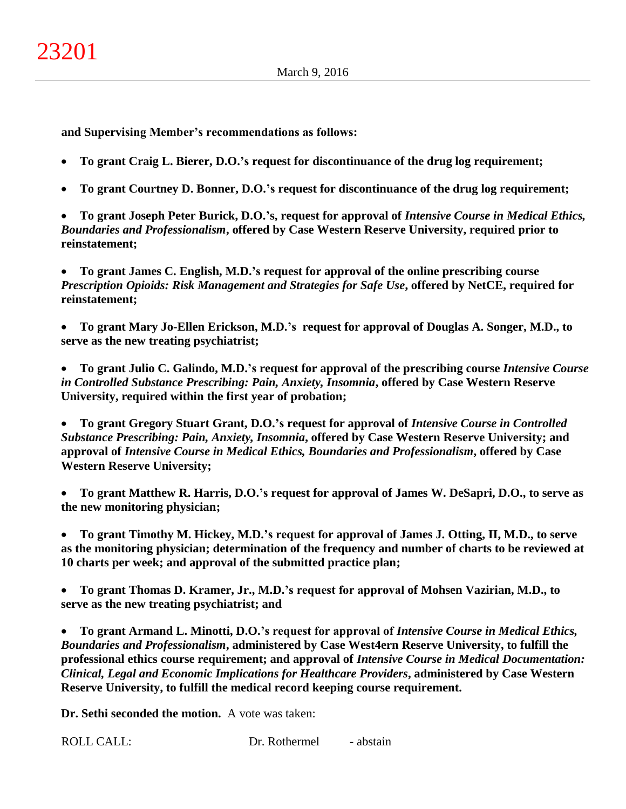**and Supervising Member's recommendations as follows:**

- **To grant Craig L. Bierer, D.O.'s request for discontinuance of the drug log requirement;**
- **To grant Courtney D. Bonner, D.O.'s request for discontinuance of the drug log requirement;**

 **To grant Joseph Peter Burick, D.O.'s, request for approval of** *Intensive Course in Medical Ethics, Boundaries and Professionalism***, offered by Case Western Reserve University, required prior to reinstatement;**

 **To grant James C. English, M.D.'s request for approval of the online prescribing course**  *Prescription Opioids: Risk Management and Strategies for Safe Use***, offered by NetCE, required for reinstatement;**

 **To grant Mary Jo-Ellen Erickson, M.D.'s request for approval of Douglas A. Songer, M.D., to serve as the new treating psychiatrist;**

 **To grant Julio C. Galindo, M.D.'s request for approval of the prescribing course** *Intensive Course in Controlled Substance Prescribing: Pain, Anxiety, Insomnia***, offered by Case Western Reserve University, required within the first year of probation;**

 **To grant Gregory Stuart Grant, D.O.'s request for approval of** *Intensive Course in Controlled Substance Prescribing: Pain, Anxiety, Insomnia***, offered by Case Western Reserve University; and approval of** *Intensive Course in Medical Ethics, Boundaries and Professionalism***, offered by Case Western Reserve University;**

 **To grant Matthew R. Harris, D.O.'s request for approval of James W. DeSapri, D.O., to serve as the new monitoring physician;**

 **To grant Timothy M. Hickey, M.D.'s request for approval of James J. Otting, II, M.D., to serve as the monitoring physician; determination of the frequency and number of charts to be reviewed at 10 charts per week; and approval of the submitted practice plan;**

 **To grant Thomas D. Kramer, Jr., M.D.'s request for approval of Mohsen Vazirian, M.D., to serve as the new treating psychiatrist; and**

 **To grant Armand L. Minotti, D.O.'s request for approval of** *Intensive Course in Medical Ethics, Boundaries and Professionalism***, administered by Case West4ern Reserve University, to fulfill the professional ethics course requirement; and approval of** *Intensive Course in Medical Documentation: Clinical, Legal and Economic Implications for Healthcare Providers***, administered by Case Western Reserve University, to fulfill the medical record keeping course requirement.**

**Dr. Sethi seconded the motion.** A vote was taken: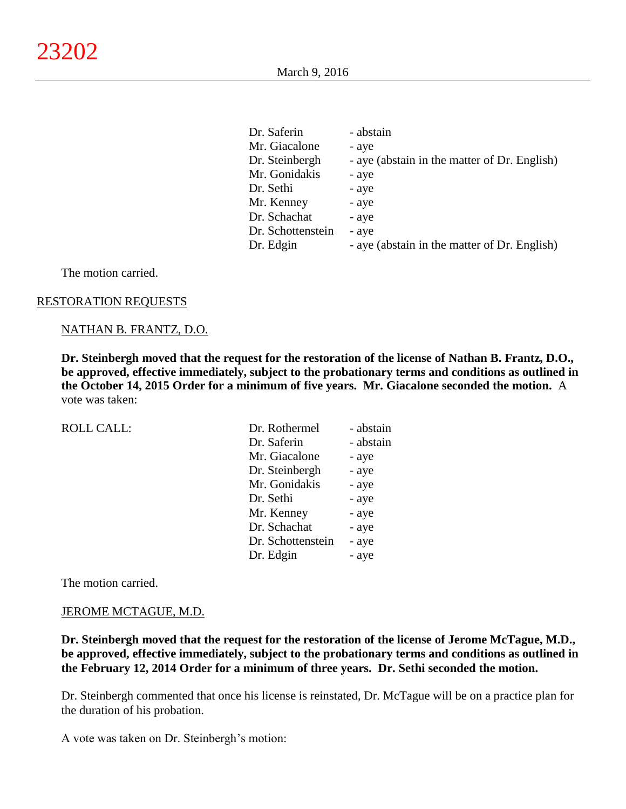| Dr. Saferin       | - abstain                                    |
|-------------------|----------------------------------------------|
| Mr. Giacalone     | - aye                                        |
| Dr. Steinbergh    | - aye (abstain in the matter of Dr. English) |
| Mr. Gonidakis     | - aye                                        |
| Dr. Sethi         | - aye                                        |
| Mr. Kenney        | - aye                                        |
| Dr. Schachat      | - aye                                        |
| Dr. Schottenstein | - aye                                        |
| Dr. Edgin         | - aye (abstain in the matter of Dr. English) |

The motion carried.

#### RESTORATION REQUESTS

#### NATHAN B. FRANTZ, D.O.

**Dr. Steinbergh moved that the request for the restoration of the license of Nathan B. Frantz, D.O., be approved, effective immediately, subject to the probationary terms and conditions as outlined in the October 14, 2015 Order for a minimum of five years. Mr. Giacalone seconded the motion.** A vote was taken:

ROLL CALL:

| Dr. Rothermel     | - abstain |
|-------------------|-----------|
| Dr. Saferin       | - abstain |
| Mr. Giacalone     | - aye     |
| Dr. Steinbergh    | - aye     |
| Mr. Gonidakis     | - aye     |
| Dr. Sethi         | - aye     |
| Mr. Kenney        | - aye     |
| Dr. Schachat      | - aye     |
| Dr. Schottenstein | - aye     |
| Dr. Edgin         | - aye     |

The motion carried.

#### JEROME MCTAGUE, M.D.

**Dr. Steinbergh moved that the request for the restoration of the license of Jerome McTague, M.D., be approved, effective immediately, subject to the probationary terms and conditions as outlined in the February 12, 2014 Order for a minimum of three years. Dr. Sethi seconded the motion.**

Dr. Steinbergh commented that once his license is reinstated, Dr. McTague will be on a practice plan for the duration of his probation.

A vote was taken on Dr. Steinbergh's motion: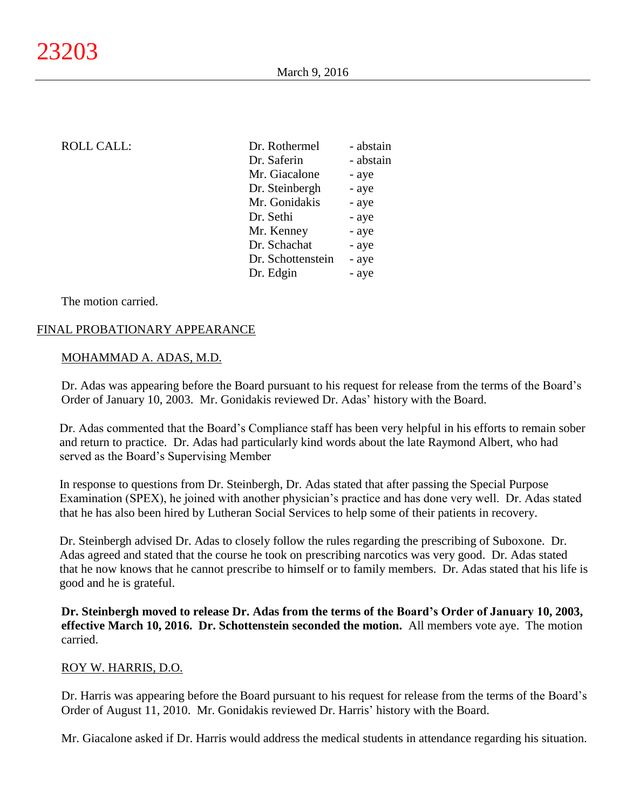| <b>ROLL CALL:</b> | Dr. Rothermel     | - abstain |
|-------------------|-------------------|-----------|
|                   | Dr. Saferin       | - abstain |
|                   | Mr. Giacalone     | - aye     |
|                   | Dr. Steinbergh    | - aye     |
|                   | Mr. Gonidakis     | - aye     |
|                   | Dr. Sethi         | - aye     |
|                   | Mr. Kenney        | - aye     |
|                   | Dr. Schachat      | - aye     |
|                   | Dr. Schottenstein | - aye     |
|                   | Dr. Edgin         | - aye     |
|                   |                   |           |

The motion carried.

# FINAL PROBATIONARY APPEARANCE

## MOHAMMAD A. ADAS, M.D.

Dr. Adas was appearing before the Board pursuant to his request for release from the terms of the Board's Order of January 10, 2003. Mr. Gonidakis reviewed Dr. Adas' history with the Board.

Dr. Adas commented that the Board's Compliance staff has been very helpful in his efforts to remain sober and return to practice. Dr. Adas had particularly kind words about the late Raymond Albert, who had served as the Board's Supervising Member

In response to questions from Dr. Steinbergh, Dr. Adas stated that after passing the Special Purpose Examination (SPEX), he joined with another physician's practice and has done very well. Dr. Adas stated that he has also been hired by Lutheran Social Services to help some of their patients in recovery.

Dr. Steinbergh advised Dr. Adas to closely follow the rules regarding the prescribing of Suboxone. Dr. Adas agreed and stated that the course he took on prescribing narcotics was very good. Dr. Adas stated that he now knows that he cannot prescribe to himself or to family members. Dr. Adas stated that his life is good and he is grateful.

**Dr. Steinbergh moved to release Dr. Adas from the terms of the Board's Order of January 10, 2003, effective March 10, 2016. Dr. Schottenstein seconded the motion.** All members vote aye. The motion carried.

## ROY W. HARRIS, D.O.

Dr. Harris was appearing before the Board pursuant to his request for release from the terms of the Board's Order of August 11, 2010. Mr. Gonidakis reviewed Dr. Harris' history with the Board.

Mr. Giacalone asked if Dr. Harris would address the medical students in attendance regarding his situation.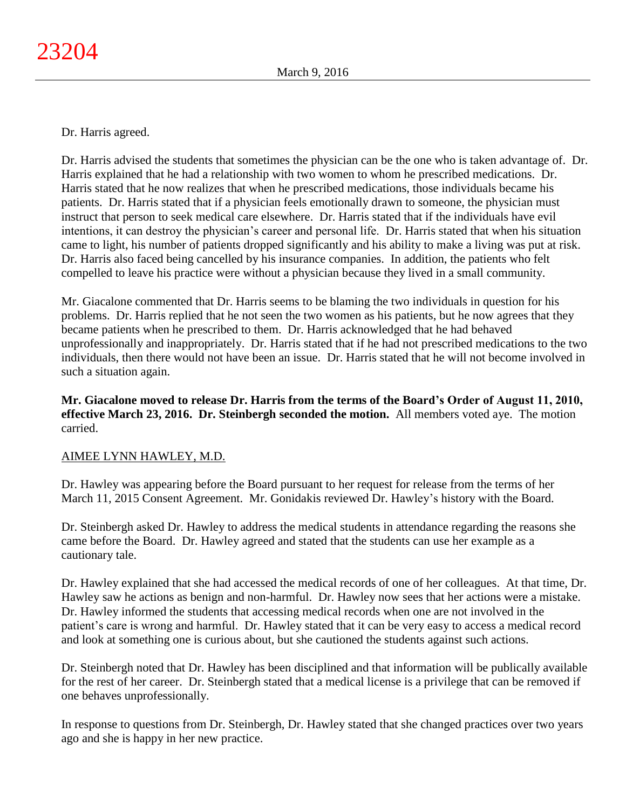Dr. Harris agreed.

Dr. Harris advised the students that sometimes the physician can be the one who is taken advantage of. Dr. Harris explained that he had a relationship with two women to whom he prescribed medications. Dr. Harris stated that he now realizes that when he prescribed medications, those individuals became his patients. Dr. Harris stated that if a physician feels emotionally drawn to someone, the physician must instruct that person to seek medical care elsewhere. Dr. Harris stated that if the individuals have evil intentions, it can destroy the physician's career and personal life. Dr. Harris stated that when his situation came to light, his number of patients dropped significantly and his ability to make a living was put at risk. Dr. Harris also faced being cancelled by his insurance companies. In addition, the patients who felt compelled to leave his practice were without a physician because they lived in a small community.

Mr. Giacalone commented that Dr. Harris seems to be blaming the two individuals in question for his problems. Dr. Harris replied that he not seen the two women as his patients, but he now agrees that they became patients when he prescribed to them. Dr. Harris acknowledged that he had behaved unprofessionally and inappropriately. Dr. Harris stated that if he had not prescribed medications to the two individuals, then there would not have been an issue. Dr. Harris stated that he will not become involved in such a situation again.

**Mr. Giacalone moved to release Dr. Harris from the terms of the Board's Order of August 11, 2010, effective March 23, 2016. Dr. Steinbergh seconded the motion.** All members voted aye. The motion carried.

# AIMEE LYNN HAWLEY, M.D.

Dr. Hawley was appearing before the Board pursuant to her request for release from the terms of her March 11, 2015 Consent Agreement. Mr. Gonidakis reviewed Dr. Hawley's history with the Board.

Dr. Steinbergh asked Dr. Hawley to address the medical students in attendance regarding the reasons she came before the Board. Dr. Hawley agreed and stated that the students can use her example as a cautionary tale.

Dr. Hawley explained that she had accessed the medical records of one of her colleagues. At that time, Dr. Hawley saw he actions as benign and non-harmful. Dr. Hawley now sees that her actions were a mistake. Dr. Hawley informed the students that accessing medical records when one are not involved in the patient's care is wrong and harmful. Dr. Hawley stated that it can be very easy to access a medical record and look at something one is curious about, but she cautioned the students against such actions.

Dr. Steinbergh noted that Dr. Hawley has been disciplined and that information will be publically available for the rest of her career. Dr. Steinbergh stated that a medical license is a privilege that can be removed if one behaves unprofessionally.

In response to questions from Dr. Steinbergh, Dr. Hawley stated that she changed practices over two years ago and she is happy in her new practice.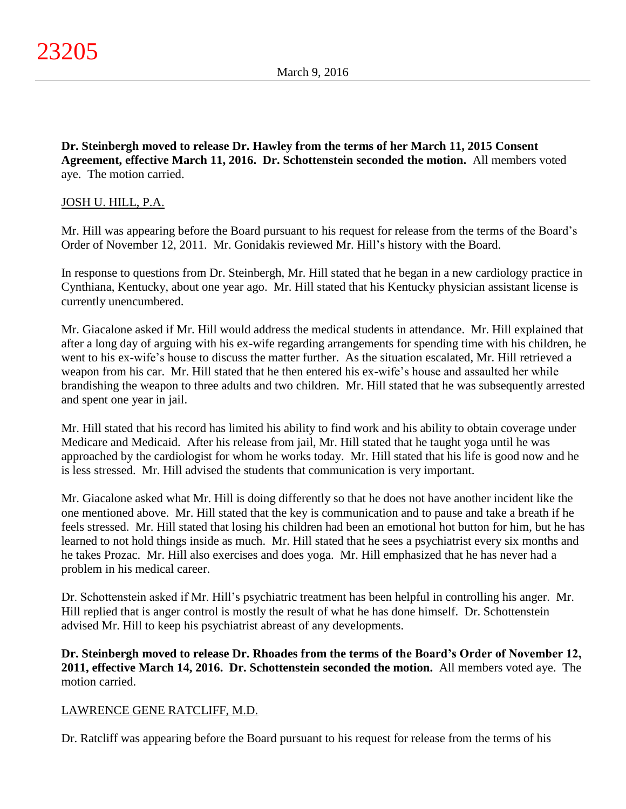**Dr. Steinbergh moved to release Dr. Hawley from the terms of her March 11, 2015 Consent Agreement, effective March 11, 2016. Dr. Schottenstein seconded the motion.** All members voted aye. The motion carried.

# JOSH U. HILL, P.A.

Mr. Hill was appearing before the Board pursuant to his request for release from the terms of the Board's Order of November 12, 2011. Mr. Gonidakis reviewed Mr. Hill's history with the Board.

In response to questions from Dr. Steinbergh, Mr. Hill stated that he began in a new cardiology practice in Cynthiana, Kentucky, about one year ago. Mr. Hill stated that his Kentucky physician assistant license is currently unencumbered.

Mr. Giacalone asked if Mr. Hill would address the medical students in attendance. Mr. Hill explained that after a long day of arguing with his ex-wife regarding arrangements for spending time with his children, he went to his ex-wife's house to discuss the matter further. As the situation escalated, Mr. Hill retrieved a weapon from his car. Mr. Hill stated that he then entered his ex-wife's house and assaulted her while brandishing the weapon to three adults and two children. Mr. Hill stated that he was subsequently arrested and spent one year in jail.

Mr. Hill stated that his record has limited his ability to find work and his ability to obtain coverage under Medicare and Medicaid. After his release from jail, Mr. Hill stated that he taught yoga until he was approached by the cardiologist for whom he works today. Mr. Hill stated that his life is good now and he is less stressed. Mr. Hill advised the students that communication is very important.

Mr. Giacalone asked what Mr. Hill is doing differently so that he does not have another incident like the one mentioned above. Mr. Hill stated that the key is communication and to pause and take a breath if he feels stressed. Mr. Hill stated that losing his children had been an emotional hot button for him, but he has learned to not hold things inside as much. Mr. Hill stated that he sees a psychiatrist every six months and he takes Prozac. Mr. Hill also exercises and does yoga. Mr. Hill emphasized that he has never had a problem in his medical career.

Dr. Schottenstein asked if Mr. Hill's psychiatric treatment has been helpful in controlling his anger. Mr. Hill replied that is anger control is mostly the result of what he has done himself. Dr. Schottenstein advised Mr. Hill to keep his psychiatrist abreast of any developments.

**Dr. Steinbergh moved to release Dr. Rhoades from the terms of the Board's Order of November 12, 2011, effective March 14, 2016. Dr. Schottenstein seconded the motion.** All members voted aye. The motion carried.

## LAWRENCE GENE RATCLIFF, M.D.

Dr. Ratcliff was appearing before the Board pursuant to his request for release from the terms of his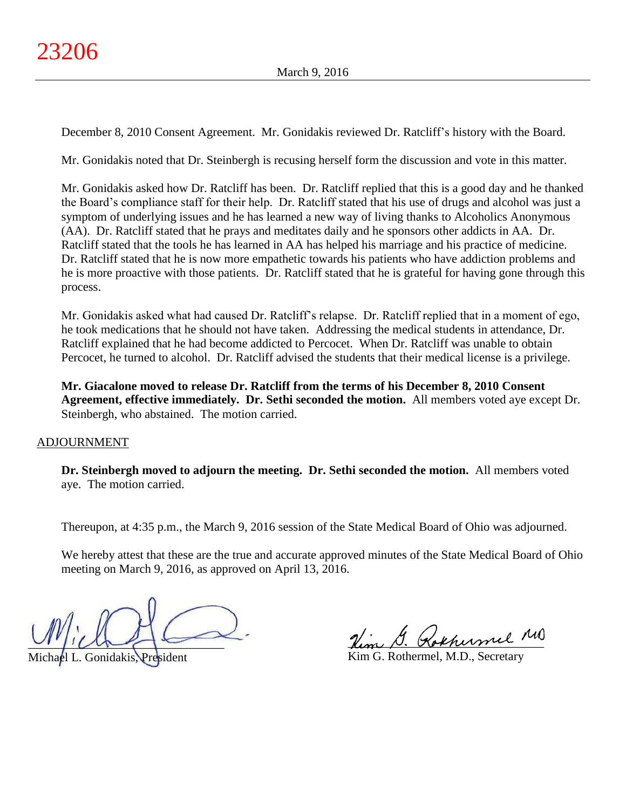December 8, 2010 Consent Agreement. Mr. Gonidakis reviewed Dr. Ratcliff's history with the Board.

Mr. Gonidakis noted that Dr. Steinbergh is recusing herself form the discussion and vote in this matter.

Mr. Gonidakis asked how Dr. Ratcliff has been. Dr. Ratcliff replied that this is a good day and he thanked the Board's compliance staff for their help. Dr. Ratcliff stated that his use of drugs and alcohol was just a symptom of underlying issues and he has learned a new way of living thanks to Alcoholics Anonymous (AA). Dr. Ratcliff stated that he prays and meditates daily and he sponsors other addicts in AA. Dr. Ratcliff stated that the tools he has learned in AA has helped his marriage and his practice of medicine. Dr. Ratcliff stated that he is now more empathetic towards his patients who have addiction problems and he is more proactive with those patients. Dr. Ratcliff stated that he is grateful for having gone through this process.

Mr. Gonidakis asked what had caused Dr. Ratcliff's relapse. Dr. Ratcliff replied that in a moment of ego, he took medications that he should not have taken. Addressing the medical students in attendance, Dr. Ratcliff explained that he had become addicted to Percocet. When Dr. Ratcliff was unable to obtain Percocet, he turned to alcohol. Dr. Ratcliff advised the students that their medical license is a privilege.

**Mr. Giacalone moved to release Dr. Ratcliff from the terms of his December 8, 2010 Consent Agreement, effective immediately. Dr. Sethi seconded the motion.** All members voted aye except Dr. Steinbergh, who abstained. The motion carried.

## ADJOURNMENT

**Dr. Steinbergh moved to adjourn the meeting. Dr. Sethi seconded the motion.** All members voted aye. The motion carried.

Thereupon, at 4:35 p.m., the March 9, 2016 session of the State Medical Board of Ohio was adjourned.

We hereby attest that these are the true and accurate approved minutes of the State Medical Board of Ohio meeting on March 9, 2016, as approved on April 13, 2016.

 $U^{\prime}$ 

Michael L. Gonidakis, President

Hem D. Kokhermel

Kim G. Rothermel, M.D., Secretary